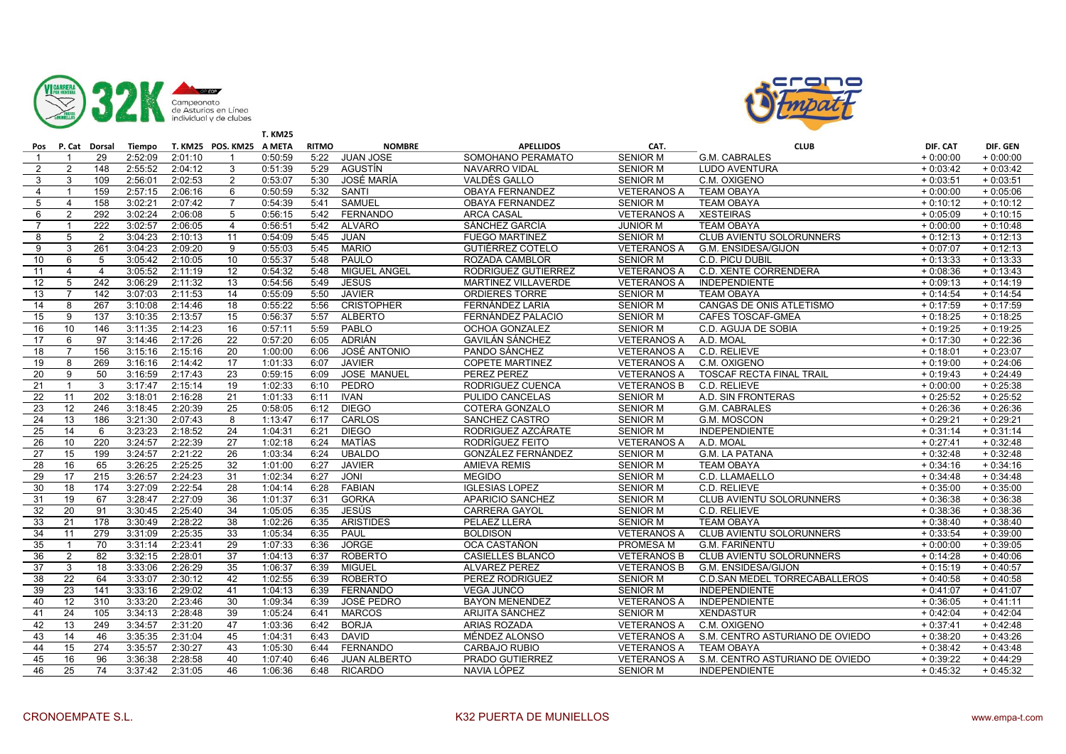



|                 |                |                   |         |         |                          | <b>T. KM25</b> |              |                     |                        |                    |                                 |            |            |
|-----------------|----------------|-------------------|---------|---------|--------------------------|----------------|--------------|---------------------|------------------------|--------------------|---------------------------------|------------|------------|
|                 |                | Pos P. Cat Dorsal | Tiempo  |         | T. KM25 POS. KM25 A META |                | <b>RITMO</b> | <b>NOMBRE</b>       | <b>APELLIDOS</b>       | CAT.               | <b>CLUB</b>                     | DIF. CAT   | DIF. GEN   |
| $\mathbf{1}$    |                | 29                | 2:52:09 | 2:01:10 |                          | 0:50:59        | 5:22         | <b>JUAN JOSE</b>    | SOMOHANO PERAMATO      | <b>SENIOR M</b>    | G.M. CABRALES                   | $+0:00:00$ | $+0:00:00$ |
| $\overline{2}$  | $\overline{2}$ | 148               | 2:55:52 | 2:04:12 | 3                        | 0:51:39        | 5:29         | AGUSTÍN             | <b>NAVARRO VIDAL</b>   | <b>SENIOR M</b>    | <b>LUDO AVENTURA</b>            | $+0:03:42$ | $+0:03:42$ |
| 3               | 3              | 109               | 2:56:01 | 2:02:53 | $\overline{2}$           | 0:53:07        | 5:30         | JOSÉ MARÍA          | VALDÉS GALLO           | <b>SENIOR M</b>    | C.M. OXIGENO                    | $+0:03:51$ | $+0:03:51$ |
| $\overline{4}$  | $\mathbf{1}$   | 159               | 2:57:15 | 2:06:16 | 6                        | 0:50:59        | 5:32         | SANTI               | OBAYA FERNANDEZ        | <b>VETERANOS A</b> | <b>TEAM OBAYA</b>               | $+0:00:00$ | $+0:05:06$ |
| 5               | $\overline{4}$ | 158               | 3:02:21 | 2:07:42 | $\overline{7}$           | 0:54:39        | 5:41         | <b>SAMUEL</b>       | <b>OBAYA FERNANDEZ</b> | <b>SENIOR M</b>    | <b>TEAM OBAYA</b>               | $+0:10:12$ | $+0:10:12$ |
| 6               | $\mathcal{P}$  | 292               | 3:02:24 | 2:06:08 | 5                        | 0:56:15        | 5:42         | FERNANDO            | <b>ARCA CASAL</b>      | <b>VETERANOS A</b> | <b>XESTEIRAS</b>                | $+0:05:09$ | $+0:10:15$ |
| $\overline{7}$  |                | 222               | 3:02:57 | 2:06:05 | $\overline{4}$           | 0:56:51        | 5:42         | <b>ALVARO</b>       | SÁNCHEZ GARCÍA         | <b>JUNIOR M</b>    | <b>TEAM OBAYA</b>               | $+0:00:00$ | $+0:10:48$ |
| 8               | 5              | 2                 | 3:04:23 | 2:10:13 | 11                       | 0:54:09        | 5:45         | <b>JUAN</b>         | <b>FUEGO MARTINEZ</b>  | <b>SENIOR M</b>    | <b>CLUB AVIENTU SOLORUNNERS</b> | $+0:12:13$ | $+0:12:13$ |
| 9               | 3              | 261               | 3:04:23 | 2:09:20 | 9                        | 0:55:03        | 5:45         | <b>MARIO</b>        | GUTIÉRREZ COTELO       | <b>VETERANOS A</b> | G.M. ENSIDESA/GIJON             | $+0:07:07$ | $+0:12:13$ |
| 10              | 6              | 5                 | 3:05:42 | 2:10:05 | 10                       | 0:55:37        | 5:48         | PAULO               | ROZADA CAMBLOR         | <b>SENIOR M</b>    | C.D. PICU DUBIL                 | $+0:13:33$ | $+0:13:33$ |
| 11              | $\overline{4}$ | $\overline{4}$    | 3:05:52 | 2:11:19 | 12                       | 0:54:32        | 5:48         | <b>MIGUEL ANGEL</b> | RODRIGUEZ GUTIERREZ    | <b>VETERANOS A</b> | C.D. XENTE CORRENDERA           | $+0:08:36$ | $+0:13:43$ |
| $\overline{12}$ | 5              | $\overline{242}$  | 3:06:29 | 2:11:32 | 13                       | 0:54:56        | 5:49         | <b>JESÚS</b>        | MARTINEZ VILLAVERDE    | <b>VETERANOS A</b> | <b>INDEPENDIENTE</b>            | $+0:09:13$ | $+0:14:19$ |
| 13              | $\overline{7}$ | 142               | 3:07:03 | 2:11:53 | 14                       | 0:55:09        | 5:50         | <b>JAVIER</b>       | <b>ORDIERES TORRE</b>  | <b>SENIOR M</b>    | <b>TEAM OBAYA</b>               | $+0:14:54$ | $+0:14:54$ |
| 14              | 8              | 267               | 3:10:08 | 2:14:46 | 18                       | 0:55:22        | 5:56         | <b>CRISTOPHER</b>   | FERNÁNDEZ LARIA        | <b>SENIOR M</b>    | CANGAS DE ONIS ATLETISMO        | $+0:17:59$ | $+0:17:59$ |
| 15              | 9              | 137               | 3:10:35 | 2:13:57 | 15                       | 0:56:37        | 5:57         | <b>ALBERTO</b>      | FERNÁNDEZ PALACIO      | <b>SENIOR M</b>    | CAFES TOSCAF-GMEA               | $+0:18:25$ | $+0:18:25$ |
| 16              | 10             | 146               | 3:11:35 | 2:14:23 | 16                       | 0:57:11        | 5:59         | PABLO               | OCHOA GONZALEZ         | <b>SENIOR M</b>    | C.D. AGUJA DE SOBIA             | $+0:19:25$ | $+0:19:25$ |
| 17              | 6              | 97                | 3:14:46 | 2:17:26 | 22                       | 0:57:20        | 6:05         | ADRIÁN              | <b>GAVILÁN SÁNCHEZ</b> | <b>VETERANOS A</b> | A.D. MOAL                       | $+0:17:30$ | $+0:22:36$ |
| 18              |                | 156               | 3:15:16 | 2:15:16 | 20                       | 1:00:00        | 6:06         | <b>JOSÉ ANTONIO</b> | PANDO SÁNCHEZ          | <b>VETERANOS A</b> | C.D. RELIEVE                    | $+0:18:01$ | $+0:23:07$ |
| 19              | 8              | 269               | 3:16:16 | 2:14:42 | 17                       | 1:01:33        | 6:07         | <b>JAVIER</b>       | <b>COPETE MARTINEZ</b> | <b>VETERANOS A</b> | C.M. OXIGENO                    | $+0:19:00$ | $+0:24:06$ |
| 20              | 9              | 50                | 3:16:59 | 2:17:43 | 23                       | 0:59:15        | 6:09         | <b>JOSE MANUEL</b>  | PEREZ PEREZ            | <b>VETERANOS A</b> | <b>TOSCAF RECTA FINAL TRAIL</b> | $+0:19:43$ | $+0:24:49$ |
| 21              | $\mathbf{1}$   | 3                 | 3:17:47 | 2:15:14 | 19                       | 1:02:33        | 6:10         | PEDRO               | RODRIGUEZ CUENCA       | <b>VETERANOS B</b> | C.D. RELIEVE                    | $+0:00:00$ | $+0:25:38$ |
| 22              | 11             | $\overline{202}$  | 3:18:01 | 2:16:28 | 21                       | 1:01:33        | 6:11         | <b>IVAN</b>         | <b>PULIDO CANCELAS</b> | <b>SENIOR M</b>    | A.D. SIN FRONTERAS              | $+0:25:52$ | $+0:25:52$ |
| 23              | 12             | 246               | 3:18:45 | 2:20:39 | 25                       | 0:58:05        | 6:12         | <b>DIEGO</b>        | COTERA GONZALO         | <b>SENIOR M</b>    | G.M. CABRALES                   | $+0:26:36$ | $+0:26:36$ |
| 24              | 13             | 186               | 3:21:30 | 2:07:43 | 8                        | 1:13:47        | 6:17         | <b>CARLOS</b>       | SANCHEZ CASTRO         | <b>SENIOR M</b>    | G.M. MOSCON                     | $+0:29:21$ | $+0:29:21$ |
| 25              | 14             | 6                 | 3:23:23 | 2:18:52 | 24                       | 1:04:31        | 6:21         | <b>DIEGO</b>        | RODRIGUEZ AZCÁRATE     | <b>SENIOR M</b>    | <b>INDEPENDIENTE</b>            | $+0:31:14$ | $+0:31:14$ |
| 26              | 10             | 220               | 3:24:57 | 2:22:39 | 27                       | 1:02:18        | 6:24         | MATÍAS              | RODRIGUEZ FEITO        | <b>VETERANOS A</b> | A.D. MOAL                       | $+0:27:41$ | $+0:32:48$ |
| 27              | 15             | 199               | 3:24:57 | 2:21:22 | 26                       | 1:03:34        | 6:24         | <b>UBALDO</b>       | GONZÁLEZ FERNÁNDEZ     | <b>SENIOR M</b>    | <b>G.M. LA PATANA</b>           | $+0:32:48$ | $+0:32:48$ |
| 28              | 16             | 65                | 3:26:25 | 2:25:25 | 32                       | 1:01:00        | 6:27         | <b>JAVIER</b>       | <b>AMIEVA REMIS</b>    | <b>SENIOR M</b>    | <b>TEAM OBAYA</b>               | $+0:34:16$ | $+0:34:16$ |
| 29              | 17             | 215               | 3:26:57 | 2:24:23 | 31                       | 1:02:34        | 6:27         | <b>JONI</b>         | <b>MEGIDO</b>          | <b>SENIOR M</b>    | C.D. LLAMAELLO                  | $+0:34:48$ | $+0:34:48$ |
| 30              | 18             | 174               | 3:27:09 | 2:22:54 | 28                       | 1:04:14        | 6:28         | <b>FABIAN</b>       | <b>IGLESIAS LOPEZ</b>  | <b>SENIOR M</b>    | C.D. RELIEVE                    | $+0:35:00$ | $+0:35:00$ |
| 31              | 19             | 67                | 3:28:47 | 2:27:09 | 36                       | 1:01:37        | 6:31         | <b>GORKA</b>        | APARICIO SANCHEZ       | <b>SENIOR M</b>    | <b>CLUB AVIENTU SOLORUNNERS</b> | $+0:36:38$ | $+0:36:38$ |
| 32              | 20             | 91                | 3:30:45 | 2:25:40 | 34                       | 1:05:05        | 6:35         | JESÚS               | <b>CARRERA GAYOL</b>   | <b>SENIOR M</b>    | C.D. RELIEVE                    | $+0:38:36$ | $+0:38:36$ |
| 33              | 21             | 178               | 3:30:49 | 2:28:22 | 38                       | 1:02:26        | 6:35         | <b>ARISTIDES</b>    | PELAEZ LLERA           | <b>SENIOR M</b>    | <b>TEAM OBAYA</b>               | $+0:38:40$ | $+0:38:40$ |
| 34              | 11             | 279               | 3:31:09 | 2:25:35 | 33                       | 1:05:34        | 6:35         | PAUL                | <b>BOLDISON</b>        | <b>VETERANOS A</b> | CLUB AVIENTU SOLORUNNERS        | $+0:33:54$ | $+0:39:00$ |
| 35              |                | 70                | 3:31:14 | 2:23:41 | 29                       | 1:07:33        | 6:36         | <b>JORGE</b>        | OCA CASTAÑON           | <b>PROMESA M</b>   | <b>G.M. FARIÑENTU</b>           | $+0:00:00$ | $+0:39:05$ |
| 36              | 2              | 82                | 3:32:15 | 2:28:01 | 37                       | 1:04:13        | 6:37         | <b>ROBERTO</b>      | CASIELLES BLANCO       | <b>VETERANOS B</b> | CLUB AVIENTU SOLORUNNERS        | $+0:14:28$ | $+0:40:06$ |
| 37              | 3              | 18                | 3:33:06 | 2:26:29 | 35                       | 1:06:37        | 6:39         | <b>MIGUEL</b>       | <b>ALVAREZ PEREZ</b>   | <b>VETERANOS B</b> | G.M. ENSIDESA/GIJON             | $+0:15:19$ | $+0:40:57$ |
| 38              | 22             | 64                | 3:33:07 | 2:30:12 | 42                       | 1:02:55        | 6:39         | <b>ROBERTO</b>      | PEREZ RODRIGUEZ        | <b>SENIOR M</b>    | C.D.SAN MEDEL TORRECABALLEROS   | $+0:40:58$ | $+0:40:58$ |
| 39              | 23             | 141               | 3:33:16 | 2:29:02 | 41                       | 1:04:13        | 6:39         | <b>FERNANDO</b>     | <b>VEGA JUNCO</b>      | <b>SENIOR M</b>    | <b>INDEPENDIENTE</b>            | $+0:41:07$ | $+0:41:07$ |
| 40              | 12             | 310               | 3:33:20 | 2:23:46 | 30                       | 1:09:34        | 6:39         | <b>JOSÉ PEDRO</b>   | <b>BAYON MENENDEZ</b>  | <b>VETERANOS A</b> | <b>INDEPENDIENTE</b>            | $+0:36:05$ | $+0:41:11$ |
| 41              | 24             | 105               | 3:34:13 | 2:28:48 | 39                       | 1:05:24        | 6:41         | <b>MARCOS</b>       | ARIJITA SÁNCHEZ        | <b>SENIOR M</b>    | <b>XENDASTUR</b>                | $+0:42:04$ | $+0.42:04$ |
| 42              | 13             | 249               | 3:34:57 | 2:31:20 | 47                       | 1:03:36        | 6:42         | <b>BORJA</b>        | <b>ARIAS ROZADA</b>    | <b>VETERANOS A</b> | C.M. OXIGENO                    | $+0:37:41$ | $+0:42:48$ |
| 43              | 14             | 46                | 3:35:35 | 2:31:04 | 45                       | 1:04:31        | 6:43         | <b>DAVID</b>        | MÉNDEZ ALONSO          | <b>VETERANOS A</b> | S.M. CENTRO ASTURIANO DE OVIEDO | $+0:38:20$ | $+0:43:26$ |
| 44              | 15             | 274               | 3:35:57 | 2:30:27 | 43                       | 1:05:30        | 6:44         | <b>FERNANDO</b>     | <b>CARBAJO RUBIO</b>   | <b>VETERANOS A</b> | <b>TEAM OBAYA</b>               | $+0:38:42$ | $+0:43:48$ |
| 45              | 16             | 96                | 3:36:38 | 2:28:58 | 40                       | 1:07:40        | 6:46         | <b>JUAN ALBERTO</b> | PRADO GUTIERREZ        | <b>VETERANOS A</b> | S.M. CENTRO ASTURIANO DE OVIEDO | $+0:39:22$ | $+0:44:29$ |
| 46              | 25             | 74                | 3:37:42 | 2:31:05 | 46                       | 1:06:36        | 6:48         | <b>RICARDO</b>      | NAVIA LÓPEZ            | <b>SENIOR M</b>    | <b>INDEPENDIENTE</b>            | $+0:45:32$ | $+0.45:32$ |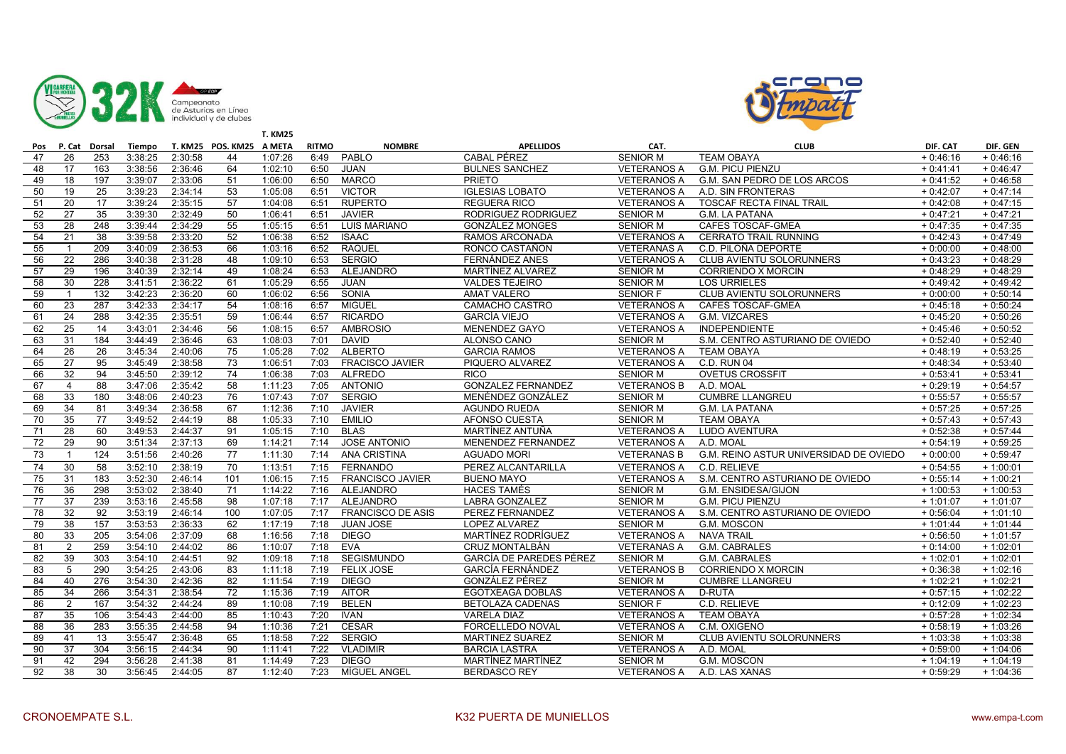



|     |                 |               |               |         |                          | <b>T. KM25</b> |              |                          |                           |                    |                                        |            |            |
|-----|-----------------|---------------|---------------|---------|--------------------------|----------------|--------------|--------------------------|---------------------------|--------------------|----------------------------------------|------------|------------|
| Pos |                 | P. Cat Dorsal | <b>Tiempo</b> |         | T. KM25 POS. KM25 A META |                | <b>RITMO</b> | <b>NOMBRE</b>            | <b>APELLIDOS</b>          | CAT.               | <b>CLUB</b>                            | DIF. CAT   | DIF. GEN   |
| 47  | 26              | 253           | 3:38:25       | 2:30:58 | 44                       | 1:07:26        | 6:49         | <b>PABLO</b>             | <b>CABAL PÉREZ</b>        | <b>SENIOR M</b>    | <b>TEAM OBAYA</b>                      | $+0:46:16$ | $+0:46:16$ |
| 48  | 17              | 163           | 3:38:56       | 2:36:46 | 64                       | 1:02:10        | 6:50         | <b>JUAN</b>              | <b>BULNES SANCHEZ</b>     | <b>VETERANOS A</b> | <b>G.M. PICU PIENZU</b>                | $+0:41:41$ | $+0:46:47$ |
| 49  | 18              | 197           | 3:39:07       | 2:33:06 | 51                       | 1:06:00        | 6:50         | <b>MARCO</b>             | <b>PRIETO</b>             | <b>VETERANOS A</b> | G.M. SAN PEDRO DE LOS ARCOS            | $+0:41:52$ | $+0:46:58$ |
| 50  | 19              | 25            | 3:39:23       | 2:34:14 | 53                       | 1:05:08        | 6:51         | <b>VICTOR</b>            | <b>IGLESIAS LOBATO</b>    | <b>VETERANOS A</b> | A.D. SIN FRONTERAS                     | $+0:42:07$ | $+0:47:14$ |
| 51  | 20              | 17            | 3:39:24       | 2:35:15 | 57                       | 1:04:08        | 6:51         | <b>RUPERTO</b>           | <b>REGUERA RICO</b>       | <b>VETERANOS A</b> | <b>TOSCAF RECTA FINAL TRAIL</b>        | $+0.42:08$ | $+0:47:15$ |
| 52  | 27              | 35            | 3:39:30       | 2:32:49 | 50                       | 1:06:41        | 6:51         | <b>JAVIER</b>            | RODRIGUEZ RODRIGUEZ       | <b>SENIOR M</b>    | <b>G.M. LA PATANA</b>                  | $+0:47:21$ | $+0:47:21$ |
| 53  | 28              | 248           | 3:39:44       | 2:34:29 | 55                       | 1:05:15        | 6:51         | <b>LUIS MARIANO</b>      | <b>GONZÁLEZ MONGES</b>    | <b>SENIOR M</b>    | CAFES TOSCAF-GMEA                      | $+0:47:35$ | $+0:47:35$ |
| 54  | 21              | 38            | 3:39:58       | 2:33:20 | 52                       | 1:06:38        | 6:52         | <b>ISAAC</b>             | RAMOS ARCONADA            | <b>VETERANOS A</b> | <b>CERRATO TRAIL RUNNING</b>           | $+0:42:43$ | $+0:47:49$ |
| 55  |                 | 209           | 3:40:09       | 2:36:53 | 66                       | 1:03:16        | 6:52         | <b>RAQUEL</b>            | RONCO CASTAÑON            | <b>VETERANAS A</b> | C.D. PILOÑA DEPORTE                    | $+0:00:00$ | $+0.48:00$ |
| 56  | 22              | 286           | 3:40:38       | 2:31:28 | 48                       | 1:09:10        | 6:53         | <b>SERGIO</b>            | FERNÁNDEZ ANES            | <b>VETERANOS A</b> | CLUB AVIENTU SOLORUNNERS               | $+0:43:23$ | $+0:48:29$ |
| 57  | 29              | 196           | 3:40:39       | 2:32:14 | 49                       | 1:08:24        | 6:53         | <b>ALEJANDRO</b>         | MARTÍNEZ ALVAREZ          | <b>SENIOR M</b>    | <b>CORRIENDO X MORCIN</b>              | $+0:48:29$ | $+0.48:29$ |
| 58  | 30              | 228           | 3:41:51       | 2:36:22 | 61                       | 1:05:29        | 6:55         | <b>JUAN</b>              | <b>VALDES TEJEIRO</b>     | <b>SENIOR M</b>    | <b>LOS URRIELES</b>                    | $+0.49:42$ | $+0.49:42$ |
| 59  | $\mathbf 1$     | 132           | 3:42:23       | 2:36:20 | 60                       | 1:06:02        | 6:56         | SONIA                    | <b>AMAT VALERO</b>        | <b>SENIOR F</b>    | <b>CLUB AVIENTU SOLORUNNERS</b>        | $+0:00:00$ | $+0:50:14$ |
| 60  | $\overline{23}$ | 287           | 3:42:33       | 2:34:17 | 54                       | 1:08:16        | 6:57         | <b>MIGUEL</b>            | <b>CAMACHO CASTRO</b>     | <b>VETERANOS A</b> | <b>CAFES TOSCAF-GMEA</b>               | $+0:45:18$ | $+0:50:24$ |
| 61  | 24              | 288           | 3:42:35       | 2:35:51 | 59                       | 1:06:44        | 6:57         | <b>RICARDO</b>           | <b>GARCÍA VIEJO</b>       | <b>VETERANOS A</b> | G.M. VIZCARES                          | $+0:45:20$ | $+0:50:26$ |
| 62  | 25              | 14            | 3:43:01       | 2:34:46 | 56                       | 1:08:15        | 6:57         | <b>AMBROSIO</b>          | <b>MENENDEZ GAYO</b>      | <b>VETERANOS A</b> | <b>INDEPENDIENTE</b>                   | $+0.45:46$ | $+0:50:52$ |
| 63  | 31              | 184           | 3:44:49       | 2:36:46 | 63                       | 1:08:03        | 7:01         | <b>DAVID</b>             | ALONSO CANO               | <b>SENIOR M</b>    | S.M. CENTRO ASTURIANO DE OVIEDO        | $+0:52:40$ | $+0:52:40$ |
| 64  | 26              | 26            | 3:45:34       | 2:40:06 | 75                       | 1:05:28        | 7:02         | <b>ALBERTO</b>           | <b>GARCIA RAMOS</b>       | <b>VETERANOS A</b> | <b>TEAM OBAYA</b>                      | $+0:48:19$ | $+0:53:25$ |
| 65  | 27              | 95            | 3:45:49       | 2:38:58 | 73                       | 1:06:51        | 7:03         | <b>FRACISCO JAVIER</b>   | PIQUERO ALVAREZ           | <b>VETERANOS A</b> | <b>C.D. RUN 04</b>                     | $+0:48:34$ | $+0:53:40$ |
| 66  | 32              | 94            | 3:45:50       | 2:39:12 | 74                       | 1:06:38        | 7:03         | <b>ALFREDO</b>           | <b>RICO</b>               | <b>SENIOR M</b>    | <b>OVETUS CROSSFIT</b>                 | $+0:53:41$ | $+0:53:41$ |
| 67  | $\overline{4}$  | 88            | 3:47:06       | 2:35:42 | 58                       | 1:11:23        | 7:05         | <b>ANTONIO</b>           | <b>GONZALEZ FERNANDEZ</b> | <b>VETERANOS B</b> | A.D. MOAL                              | $+0.29:19$ | $+0:54:57$ |
| 68  | 33              | 180           | 3:48:06       | 2:40:23 | 76                       | 1:07:43        | 7:07         | <b>SERGIO</b>            | MENÉNDEZ GONZÁLEZ         | <b>SENIOR M</b>    | <b>CUMBRE LLANGREU</b>                 | $+0:55:57$ | $+0:55:57$ |
| 69  | 34              | 81            | 3:49:34       | 2:36:58 | 67                       | 1:12:36        | 7:10         | <b>JAVIER</b>            | <b>AGUNDO RUEDA</b>       | <b>SENIOR M</b>    | <b>G.M. LA PATANA</b>                  | $+0:57:25$ | $+0:57:25$ |
| 70  | 35              | 77            | 3:49:52       | 2:44:19 | 88                       | 1:05:33        | 7:10         | <b>EMILIO</b>            | AFONSO CUESTA             | <b>SENIOR M</b>    | <b>TEAM OBAYA</b>                      | $+0:57:43$ | $+0:57:43$ |
| 71  | 28              | 60            | 3:49:53       | 2:44:37 | 91                       | 1:05:15        | 7:10         | <b>BLAS</b>              | MARTÍNEZ ANTUÑA           | <b>VETERANOS A</b> | LUDO AVENTURA                          | $+0:52:38$ | $+0:57:44$ |
| 72  | 29              | 90            | 3:51:34       | 2:37:13 | 69                       | 1:14:21        | 7:14         | <b>JOSE ANTONIO</b>      | MENENDEZ FERNANDEZ        | <b>VETERANOS A</b> | A.D. MOAL                              | $+0:54:19$ | $+0.59:25$ |
| 73  | $\mathbf{1}$    | 124           | 3:51:56       | 2:40:26 | 77                       | 1:11:30        | 7:14         | ANA CRISTINA             | <b>AGUADO MORI</b>        | <b>VETERANAS B</b> | G.M. REINO ASTUR UNIVERSIDAD DE OVIEDO | $+0:00:00$ | $+0:59:47$ |
| 74  | 30              | 58            | 3:52:10       | 2:38:19 | 70                       | 1:13:51        | 7:15         | <b>FERNANDO</b>          | PEREZ ALCANTARILLA        | <b>VETERANOS A</b> | C.D. RELIEVE                           | $+0:54:55$ | $+1:00:01$ |
| 75  | 31              | 183           | 3:52:30       | 2:46:14 | 101                      | 1:06:15        |              | 7:15 FRANCISCO JAVIER    | <b>BUENO MAYO</b>         | <b>VETERANOS A</b> | S.M. CENTRO ASTURIANO DE OVIEDO        | $+0:55:14$ | $+1:00:21$ |
| 76  | 36              | 298           | 3:53:02       | 2:38:40 | 71                       | 1:14:22        | 7:16         | <b>ALEJANDRO</b>         | <b>HACES TAMÉS</b>        | <b>SENIOR M</b>    | G.M. ENSIDESA/GIJON                    | $+1:00:53$ | $+1:00:53$ |
| 77  | 37              | 239           | 3:53:16       | 2:45:58 | 98                       | 1:07:18        |              | 7:17 ALEJANDRO           | <b>LABRA GONZALEZ</b>     | <b>SENIOR M</b>    | <b>G.M. PICU PIENZU</b>                | $+1:01:07$ | $+1:01:07$ |
| 78  | 32              | 92            | 3:53:19       | 2:46:14 | 100                      | 1:07:05        | 7:17         | <b>FRANCISCO DE ASIS</b> | PEREZ FERNANDEZ           | <b>VETERANOS A</b> | S.M. CENTRO ASTURIANO DE OVIEDO        | $+0:56:04$ | $+1:01:10$ |
| 79  | 38              | 157           | 3:53:53       | 2:36:33 | 62                       | 1:17:19        | 7:18         | <b>JUAN JOSE</b>         | <b>LOPEZ ALVAREZ</b>      | <b>SENIOR M</b>    | G.M. MOSCON                            | $+1:01:44$ | $+1:01:44$ |
| 80  | 33              | 205           | 3:54:06       | 2:37:09 | 68                       | 1:16:56        | 7:18         | <b>DIEGO</b>             | <b>MARTÍNEZ RODRÍGUEZ</b> | <b>VETERANOS A</b> | <b>NAVA TRAIL</b>                      | $+0:56:50$ | $+1:01:57$ |
| 81  | $\overline{2}$  | 259           | 3:54:10       | 2:44:02 | 86                       | 1:10:07        | 7:18         | <b>EVA</b>               | <b>CRUZ MONTALBÁN</b>     | <b>VETERANAS A</b> | G.M. CABRALES                          | $+0:14:00$ | $+1:02:01$ |
| 82  | 39              | 303           | 3:54:10       | 2:44:51 | 92                       | 1:09:18        | 7:18         | <b>SEGISMUNDO</b>        | GARCÍA DE PAREDES PÉREZ   | <b>SENIOR M</b>    | G.M. CABRALES                          | $+1:02:01$ | $+1:02:01$ |
| 83  | 5               | 290           | 3:54:25       | 2:43:06 | 83                       | 1:11:18        | 7:19         | <b>FELIX JOSE</b>        | <b>GARCÍA FERNÁNDEZ</b>   | <b>VETERANOS B</b> | <b>CORRIENDO X MORCIN</b>              | $+0:36:38$ | $+1:02:16$ |
| 84  | 40              | 276           | 3:54:30       | 2:42:36 | 82                       | 1:11:54        | 7:19         | <b>DIEGO</b>             | GONZÁLEZ PÉREZ            | <b>SENIOR M</b>    | <b>CUMBRE LLANGREU</b>                 | $+1:02:21$ | $+1:02:21$ |
| 85  | 34              | 266           | 3:54:31       | 2:38:54 | 72                       | 1:15:36        | 7:19         | <b>AITOR</b>             | EGOTXEAGA DOBLAS          | <b>VETERANOS A</b> | D-RUTA                                 | $+0:57:15$ | $+1:02:22$ |
| 86  | $\overline{2}$  | 167           | 3:54:32       | 2:44:24 | 89                       | 1:10:08        | 7:19         | <b>BELEN</b>             | <b>BETOLAZA CADENAS</b>   | <b>SENIOR F</b>    | C.D. RELIEVE                           | $+0:12:09$ | $+1:02:23$ |
| 87  | 35              | 106           | 3:54:43       | 2:44:00 | 85                       | 1:10:43        | 7:20         | <b>IVAN</b>              | <b>VARELA DIAZ</b>        | <b>VETERANOS A</b> | <b>TEAM OBAYA</b>                      | $+0:57:28$ | $+1:02:34$ |
| 88  | 36              | 283           | 3:55:35       | 2:44:58 | 94                       | 1:10:36        | 7:21         | <b>CESAR</b>             | FORCELLEDO NOVAL          | <b>VETERANOS A</b> | C.M. OXIGENO                           | $+0:58:19$ | $+1:03:26$ |
| 89  | 41              | 13            | 3:55:47       | 2:36:48 | 65                       | 1:18:58        | 7:22         | <b>SERGIO</b>            | <b>MARTINEZ SUAREZ</b>    | <b>SENIOR M</b>    | CLUB AVIENTU SOLORUNNERS               | $+1:03:38$ | $+1:03:38$ |
| 90  | 37              | 304           | 3:56:15       | 2:44:34 | 90                       | 1:11:41        | 7:22         | <b>VLADIMIR</b>          | <b>BARCIA LASTRA</b>      | <b>VETERANOS A</b> | A.D. MOAL                              | $+0.59:00$ | $+1:04:06$ |
| 91  | 42              | 294           | 3:56:28       | 2:41:38 | 81                       | 1:14:49        | 7:23         | <b>DIEGO</b>             | MARTÍNEZ MARTÍNEZ         | <b>SENIOR M</b>    | G.M. MOSCON                            | $+1:04:19$ | $+1:04:19$ |
| 92  | 38              | 30            | 3:56:45       | 2:44:05 | 87                       | 1:12:40        | 7:23         | MÍGUEL ANGEL             | <b>BERDASCO REY</b>       | <b>VETERANOS A</b> | A.D. LAS XANAS                         | $+0:59:29$ | $+1:04:36$ |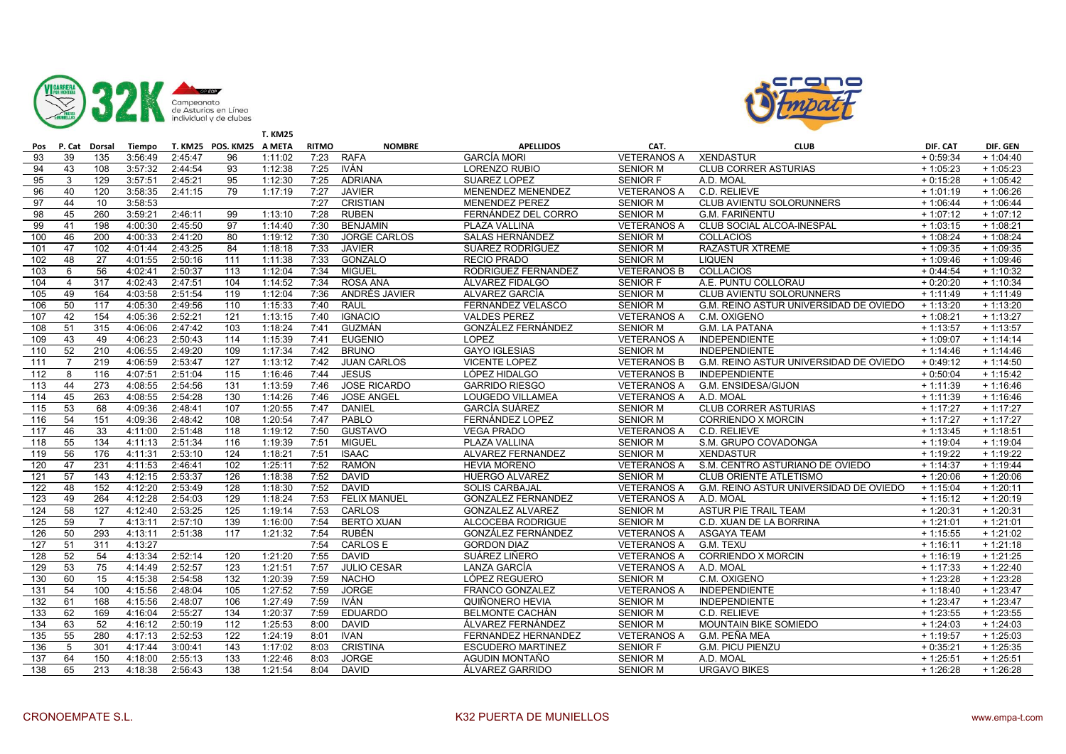



|     |                |                  |         |         |                          | <b>T. KM25</b> |              |                     |                           |                    |                                        |            |             |
|-----|----------------|------------------|---------|---------|--------------------------|----------------|--------------|---------------------|---------------------------|--------------------|----------------------------------------|------------|-------------|
| Pos |                | P. Cat Dorsal    | Tiempo  |         | T. KM25 POS. KM25 A META |                | <b>RITMO</b> | <b>NOMBRE</b>       | <b>APELLIDOS</b>          | CAT.               | <b>CLUB</b>                            | DIF. CAT   | DIF. GEN    |
| 93  | 39             | 135              | 3:56:49 | 2:45:47 | 96                       | 1:11:02        | 7:23         | <b>RAFA</b>         | <b>GARCÍA MORI</b>        | <b>VETERANOS A</b> | <b>XENDASTUR</b>                       | $+0:59:34$ | $+1:04:40$  |
| 94  | 43             | 108              | 3:57:32 | 2:44:54 | 93                       | 1:12:38        | 7:25         | <b>IVÁN</b>         | LORENZO RUBIO             | <b>SENIOR M</b>    | <b>CLUB CORRER ASTURIAS</b>            | $+1:05:23$ | $+1:05:23$  |
| 95  | 3              | 129              | 3:57:51 | 2:45:21 | 95                       | 1:12:30        | 7:25         | <b>ADRIANA</b>      | SUAREZ LOPEZ              | <b>SENIOR F</b>    | A.D. MOAL                              | $+0:15:28$ | $+1:05:42$  |
| 96  | 40             | 120              | 3:58:35 | 2:41:15 | 79                       | 1:17:19        | 7:27         | <b>JAVIER</b>       | MENENDEZ MENENDEZ         | <b>VETERANOS A</b> | C.D. RELIEVE                           | $+1:01:19$ | $+1:06:26$  |
| 97  | 44             | 10               | 3:58:53 |         |                          |                | 7:27         | <b>CRISTIAN</b>     | <b>MENENDEZ PEREZ</b>     | <b>SENIOR M</b>    | CLUB AVIENTU SOLORUNNERS               | $+1:06:44$ | $+1:06:44$  |
| 98  | 45             | 260              | 3:59:21 | 2:46:11 | 99                       | 1:13:10        | 7:28         | <b>RUBEN</b>        | FERNÁNDEZ DEL CORRO       | <b>SENIOR M</b>    | G.M. FARIÑENTU                         | $+1:07:12$ | $+1:07:12$  |
| 99  | 41             | 198              | 4:00:30 | 2:45:50 | 97                       | 1:14:40        | 7:30         | <b>BENJAMIN</b>     | PLAZA VALLINA             | <b>VETERANOS A</b> | CLUB SOCIAL ALCOA-INESPAL              | $+1:03:15$ | $+1:08:21$  |
| 100 | 46             | 200              | 4:00:33 | 2:41:20 | 80                       | 1:19:12        | 7:30         | <b>JORGE CARLOS</b> | SALAS HERNÁNDEZ           | <b>SENIOR M</b>    | <b>COLLACIOS</b>                       | $+1:08:24$ | $+1:08:24$  |
| 101 | 47             | 102              | 4:01:44 | 2:43:25 | 84                       | 1:18:18        | 7:33         | <b>JAVIER</b>       | SUÁREZ RODRÍGUEZ          | <b>SENIOR M</b>    | <b>RAZASTUR XTREME</b>                 | $+1:09:35$ | $+1:09:35$  |
| 102 | 48             | 27               | 4:01:55 | 2:50:16 | 111                      | 1:11:38        | 7:33         | <b>GONZALO</b>      | <b>RECIO PRADO</b>        | <b>SENIOR M</b>    | <b>LIQUEN</b>                          | $+1:09:46$ | $+1:09:46$  |
| 103 | 6              | 56               | 4:02:41 | 2:50:37 | $\overline{113}$         | 1:12:04        | 7:34         | <b>MIGUEL</b>       | RODRIGUEZ FERNANDEZ       | <b>VETERANOS B</b> | <b>COLLACIOS</b>                       | $+0:44:54$ | $+1:10:32$  |
| 104 | $\overline{4}$ | 317              | 4:02:43 | 2:47:51 | 104                      | 1:14:52        | 7:34         | <b>ROSA ANA</b>     | <b>ALVAREZ FIDALGO</b>    | <b>SENIOR F</b>    | A.E. PUNTU COLLORAU                    | $+0:20:20$ | $+1:10:34$  |
| 105 | 49             | 164              | 4:03:58 | 2:51:54 | 119                      | 1:12:04        | 7:36         | ANDRÉS JAVIER       | ALVAREZ GARCÍA            | <b>SENIOR M</b>    | <b>CLUB AVIENTU SOLORUNNERS</b>        | $+1:11:49$ | $+1:11:49$  |
| 106 | 50             | 117              | 4:05:30 | 2:49:56 | 110                      | 1:15:33        | 7:40         | <b>RAUL</b>         | FERNANDEZ VELASCO         | <b>SENIOR M</b>    | G.M. REINO ASTUR UNIVERSIDAD DE OVIEDO | $+1:13:20$ | $+1:13:20$  |
| 107 | 42             | 154              | 4:05:36 | 2:52:21 | 121                      | 1:13:15        | 7:40         | <b>IGNACIO</b>      | <b>VALDES PEREZ</b>       | <b>VETERANOS A</b> | C.M. OXIGENO                           | $+1:08:21$ | $+1:13:27$  |
| 108 | 51             | 315              | 4:06:06 | 2:47:42 | 103                      | 1:18:24        | 7:41         | <b>GUZMÁN</b>       | GONZÁLEZ FERNÁNDEZ        | <b>SENIOR M</b>    | <b>G.M. LA PATANA</b>                  | $+1:13:57$ | $+1:13:57$  |
| 109 | 43             | 49               | 4:06:23 | 2:50:43 | 114                      | 1:15:39        | 7:41         | <b>EUGENIO</b>      | LOPEZ                     | <b>VETERANOS A</b> | <b>INDEPENDIENTE</b>                   | $+1:09:07$ | $+ 1:14:14$ |
| 110 | 52             | $\overline{210}$ | 4:06:55 | 2:49:20 | 109                      | 1:17:34        | 7:42         | <b>BRUNO</b>        | <b>GAYO IGLESIAS</b>      | <b>SENIOR M</b>    | <b>INDEPENDIENTE</b>                   | $+1:14:46$ | $+1:14:46$  |
| 111 | $\overline{7}$ | 219              | 4:06:59 | 2:53:47 | 127                      | 1:13:12        | 7:42         | <b>JUAN CARLOS</b>  | <b>VICENTE LOPEZ</b>      | <b>VETERANOS B</b> | G.M. REINO ASTUR UNIVERSIDAD DE OVIEDO | $+0:49:12$ | $+1:14:50$  |
| 112 | 8              | 116              | 4:07:51 | 2:51:04 | 115                      | 1:16:46        | 7:44         | <b>JESUS</b>        | LÓPEZ HIDALGO             | <b>VETERANOS B</b> | <b>INDEPENDIENTE</b>                   | $+0:50:04$ | $+1:15:42$  |
| 113 | 44             | 273              | 4:08:55 | 2:54:56 | 131                      | 1:13:59        | 7:46         | <b>JOSE RICARDO</b> | <b>GARRIDO RIESGO</b>     | <b>VETERANOS A</b> | G.M. ENSIDESA/GIJON                    | $+1:11:39$ | $+1:16:46$  |
| 114 | 45             | 263              | 4:08:55 | 2:54:28 | 130                      | 1:14:26        | 7:46         | <b>JOSE ANGEL</b>   | LOUGEDO VILLAMEA          | <b>VETERANOS A</b> | A.D. MOAL                              | $+1:11:39$ | $+1:16:46$  |
| 115 | 53             | 68               | 4:09:36 | 2:48:41 | 107                      | 1:20:55        | 7:47         | <b>DANIEL</b>       | <b>GARCÍA SUÁREZ</b>      | <b>SENIOR M</b>    | <b>CLUB CORRER ASTURIAS</b>            | $+1:17:27$ | $+1:17:27$  |
| 116 | 54             | 151              | 4:09:36 | 2:48:42 | 108                      | 1:20:54        | 7:47         | PABLO               | FERNÁNDEZ LOPEZ           | <b>SENIOR M</b>    | <b>CORRIENDO X MORCIN</b>              | $+1:17:27$ | $+1:17:27$  |
| 117 | 46             | 33               | 4:11:00 | 2:51:48 | 118                      | 1:19:12        | 7:50         | <b>GUSTAVO</b>      | <b>VEGA PRADO</b>         | <b>VETERANOS A</b> | C.D. RELIEVE                           | $+1:13:45$ | $+1:18:51$  |
| 118 | 55             | 134              | 4:11:13 | 2:51:34 | 116                      | 1:19:39        | 7:51         | <b>MIGUEL</b>       | PLAZA VALLINA             | <b>SENIOR M</b>    | S.M. GRUPO COVADONGA                   | $+1:19:04$ | $+1:19:04$  |
| 119 | 56             | 176              | 4:11:31 | 2:53:10 | 124                      | 1:18:21        | 7:51         | <b>ISAAC</b>        | ALVAREZ FERNANDEZ         | <b>SENIOR M</b>    | <b>XENDASTUR</b>                       | $+1:19:22$ | $+1:19:22$  |
| 120 | 47             | 231              | 4:11:53 | 2:46:41 | 102                      | 1:25:11        | 7:52         | <b>RAMON</b>        | <b>HEVIA MORENO</b>       | <b>VETERANOS A</b> | S.M. CENTRO ASTURIANO DE OVIEDO        | $+1:14:37$ | $+1:19:44$  |
| 121 | 57             | 143              | 4:12:15 | 2:53:37 | 126                      | 1:18:38        | 7:52         | <b>DAVID</b>        | HUERGO ALVAREZ            | <b>SENIOR M</b>    | <b>CLUB ORIENTE ATLETISMO</b>          | $+1:20:06$ | $+1:20:06$  |
| 122 | 48             | 152              | 4:12:20 | 2:53:49 | 128                      | 1:18:30        | 7:52         | <b>DAVID</b>        | <b>SOLIS CARBAJAL</b>     | <b>VETERANOS A</b> | G.M. REINO ASTUR UNIVERSIDAD DE OVIEDO | $+1:15:04$ | $+1:20:11$  |
| 123 | 49             | 264              | 4:12:28 | 2:54:03 | 129                      | 1:18:24        | 7:53         | <b>FELIX MANUEL</b> | <b>GONZALEZ FERNANDEZ</b> | <b>VETERANOS A</b> | A.D. MOAL                              | $+1:15:12$ | $+1:20:19$  |
| 124 | 58             | 127              | 4:12:40 | 2:53:25 | 125                      | 1:19:14        | 7:53         | CARLOS              | <b>GONZALEZ ALVAREZ</b>   | <b>SENIOR M</b>    | ASTUR PIE TRAIL TEAM                   | $+1:20:31$ | $+1:20:31$  |
| 125 | 59             | $\overline{7}$   | 4:13:11 | 2:57:10 | 139                      | 1:16:00        | 7:54         | <b>BERTO XUAN</b>   | ALCOCEBA RODRIGUE         | <b>SENIOR M</b>    | C.D. XUAN DE LA BORRINA                | $+1:21:01$ | $+1:21:01$  |
| 126 | 50             | 293              | 4:13:11 | 2:51:38 | 117                      | 1:21:32        | 7:54         | <b>RUBÉN</b>        | GONZÁLEZ FERNÁNDEZ        | <b>VETERANOS A</b> | <b>ASGAYA TEAM</b>                     | $+1:15:55$ | $+1:21:02$  |
| 127 | 51             | 311              | 4:13:27 |         |                          |                | 7:54         | <b>CARLOS E</b>     | <b>GORDON DIAZ</b>        | <b>VETERANOS A</b> | G.M. TEXU                              | $+1:16:11$ | $+1:21:18$  |
| 128 | 52             | 54               | 4:13:34 | 2:52:14 | 120                      | 1:21:20        | 7:55         | <b>DAVID</b>        | SUÁREZ LIÑERO             | <b>VETERANOS A</b> | CORRIENDO X MORCIN                     | $+1:16:19$ | $+1:21:25$  |
| 129 | 53             | 75               | 4:14:49 | 2:52:57 | 123                      | 1:21:51        | 7:57         | <b>JULIO CESAR</b>  | LANZA GARCÍA              | <b>VETERANOS A</b> | A.D. MOAL                              | $+1:17:33$ | $+1:22:40$  |
| 130 | 60             | 15               | 4:15:38 | 2:54:58 | 132                      | 1:20:39        | 7:59         | <b>NACHO</b>        | LÓPEZ REGUERO             | <b>SENIOR M</b>    | C.M. OXIGENO                           | $+1:23:28$ | $+1:23:28$  |
| 131 | 54             | 100              | 4:15:56 | 2:48:04 | 105                      | 1:27:52        | 7:59         | <b>JORGE</b>        | FRANCO GONZALEZ           | <b>VETERANOS A</b> | <b>INDEPENDIENTE</b>                   | $+1:18:40$ | $+1:23:47$  |
| 132 | 61             | 168              | 4:15:56 | 2:48:07 | 106                      | 1:27:49        | 7:59         | <b>IVÁN</b>         | QUIÑONERO HEVIA           | <b>SENIOR M</b>    | <b>INDEPENDIENTE</b>                   | $+1:23:47$ | $+1:23:47$  |
| 133 | 62             | 169              | 4:16:04 | 2:55:27 | 134                      | 1:20:37        | 7:59         | <b>EDUARDO</b>      | <b>BELMONTE CACHÁN</b>    | <b>SENIOR M</b>    | C.D. RELIEVE                           | $+1:23:55$ | $+1:23:55$  |
| 134 | 63             | 52               | 4:16:12 | 2:50:19 | 112                      | 1:25:53        | 8:00         | <b>DAVID</b>        | ÁLVAREZ FERNÁNDEZ         | <b>SENIOR M</b>    | <b>MOUNTAIN BIKE SOMIEDO</b>           | $+1:24:03$ | $+1:24:03$  |
| 135 | 55             | 280              | 4:17:13 | 2:52:53 | 122                      | 1:24:19        | 8:01         | <b>IVAN</b>         | FERNANDEZ HERNANDEZ       | <b>VETERANOS A</b> | G.M. PEÑA MEA                          | $+1:19:57$ | $+1:25:03$  |
| 136 | 5              | 301              | 4:17:44 | 3:00:41 | 143                      | 1:17:02        | 8:03         | <b>CRISTINA</b>     | <b>ESCUDERO MARTINEZ</b>  | <b>SENIOR F</b>    | <b>G.M. PICU PIENZU</b>                | $+0:35:21$ | $+1:25:35$  |
| 137 | 64             | 150              | 4:18:00 | 2:55:13 | 133                      | 1:22:46        | 8:03         | <b>JORGE</b>        | AGUDIN MONTAÑO            | <b>SENIOR M</b>    | A.D. MOAL                              | $+1:25:51$ | $+1:25:51$  |
| 138 | 65             | 213              | 4:18:38 | 2:56:43 | 138                      | 1:21:54        | 8:04         | <b>DAVID</b>        | ÁLVAREZ GARRIDO           | <b>SENIOR M</b>    | <b>URGAVO BIKES</b>                    | $+1:26:28$ | $+1:26:28$  |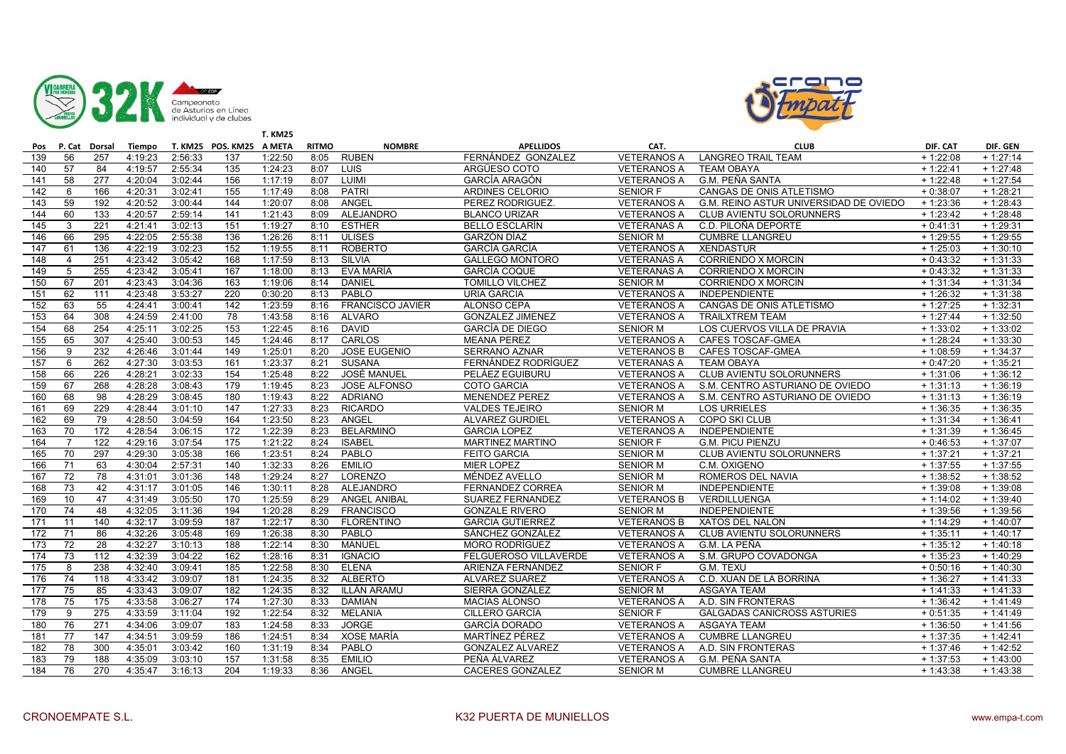



|     |                |                  |         |         |                          | <b>T. KM25</b> |              |                         |                         |                    |                                        |            |                       |
|-----|----------------|------------------|---------|---------|--------------------------|----------------|--------------|-------------------------|-------------------------|--------------------|----------------------------------------|------------|-----------------------|
| Pos | P. Cat         | Dorsal           | Tiempo  |         | T. KM25 POS. KM25 A META |                | <b>RITMO</b> | <b>NOMBRE</b>           | <b>APELLIDOS</b>        | CAT.               | <b>CLUB</b>                            | DIF. CAT   | DIF. GEN              |
| 139 | 56             | 257              | 4:19:23 | 2:56:33 | 137                      | 1:22:50        | 8:05         | <b>RUBEN</b>            | FERNÁNDEZ GONZALEZ      | <b>VETERANOS A</b> | <b>LANGREO TRAIL TEAM</b>              | $+1:22:08$ | $+1:27:14$            |
| 140 | 57             | 84               | 4:19:57 | 2:55:34 | 135                      | 1:24:23        | 8:07         | LUIS                    | ARGÜESO COTO            | <b>VETERANOS A</b> | <b>TEAM OBAYA</b>                      | $+1:22:41$ | $+1:27:48$            |
| 141 | 58             | 277              | 4:20:04 | 3:02:44 | 156                      | 1:17:19        | 8:07         | LUIMI                   | <b>GARCÍA ARAGÓN</b>    | <b>VETERANOS A</b> | G.M. PEÑA SANTA                        | $+1:22:48$ | $+1:27:54$            |
| 142 | 6              | 166              | 4:20:31 | 3:02:41 | 155                      | 1:17:49        | 8:08         | <b>PATRI</b>            | ARDINES CELORIO         | SENIOR F           | CANGAS DE ONIS ATLETISMO               | $+0:38:07$ | $+1:28:21$            |
| 143 | 59             | 192              | 4:20:52 | 3:00:44 | 144                      | 1:20:07        | 8:08         | ANGEL                   | PEREZ RODRIGUEZ         | <b>VETERANOS A</b> | G.M. REINO ASTUR UNIVERSIDAD DE OVIEDO | $+1:23:36$ | $+1:28:43$            |
| 144 | 60             | 133              | 4:20:57 | 2:59:14 | 141                      | 1:21:43        | 8:09         | <b>ALEJANDRO</b>        | <b>BLANCO URIZAR</b>    | <b>VETERANOS A</b> | <b>CLUB AVIENTU SOLORUNNERS</b>        | $+1:23:42$ | $+1:28:48$            |
| 145 | 3              | 221              | 4:21:41 | 3:02:13 | 151                      | 1:19:27        | 8:10         | <b>ESTHER</b>           | <b>BELLO ESCLARÍN</b>   | <b>VETERANAS A</b> | C.D. PILOÑA DEPORTE                    | $+0:41:31$ | $+1:29:31$            |
| 146 | 66             | 295              | 4:22:05 | 2:55:38 | 136                      | 1:26:26        | 8:11         | <b>ULISES</b>           | GARZÓN DÍAZ             | <b>SENIOR M</b>    | <b>CUMBRE LLANGREU</b>                 | $+1:29:55$ | $+1:29:55$            |
| 147 | 61             | 136              | 4:22:19 | 3:02:23 | 152                      | 1:19:55        | 8:11         | <b>ROBERTO</b>          | <b>GARCÍA GARCÍA</b>    | <b>VETERANOS A</b> | <b>XENDASTUR</b>                       | $+1:25:03$ | $+1:30:10$            |
| 148 | $\overline{4}$ | $\overline{251}$ | 4:23:42 | 3:05:42 | 168                      | 1:17:59        | 8:13         | <b>SILVIA</b>           | <b>GALLEGO MONTORO</b>  | <b>VETERANAS A</b> | <b>CORRIENDO X MORCIN</b>              | $+0:43:32$ | $+1:31:33$            |
| 149 | 5              | 255              | 4:23:42 | 3:05:41 | 167                      | 1:18:00        | 8:13         | EVA MARÍA               | <b>GARCÍA COQUE</b>     | <b>VETERANAS A</b> | <b>CORRIENDO X MORCIN</b>              | $+0.43:32$ | $+1:31:33$            |
| 150 | 67             | 201              | 4:23:43 | 3:04:36 | 163                      | 1:19:06        | 8:14         | <b>DANIEL</b>           | TOMILLO VÍLCHEZ         | <b>SENIOR M</b>    | <b>CORRIENDO X MORCIN</b>              | $+1:31:34$ | $+1:31:34$            |
| 151 | 62             | 111              | 4:23:48 | 3:53:27 | 220                      | 0:30:20        | 8:13         | PABLO                   | <b>URIA GARCIA</b>      | <b>VETERANOS A</b> | <b>INDEPENDIENTE</b>                   | $+1:26:32$ | $+1:31:38$            |
| 152 | 63             | 55               | 4:24:41 | 3:00:41 | 142                      | 1:23:59        | 8:16         | <b>FRANCISCO JAVIER</b> | ALONSO CEPA             | <b>VETERANOS A</b> | CANGAS DE ONIS ATLETISMO               | $+1:27:25$ | $+1:32:31$            |
| 153 | 64             | 308              | 4:24:59 | 2:41:00 | 78                       | 1:43:58        | 8:16         | <b>ALVARO</b>           | <b>GONZALEZ JIMENEZ</b> | <b>VETERANOS A</b> | <b>TRAILXTREM TEAM</b>                 | $+1:27:44$ | $+1:32:50$            |
| 154 | 68             | 254              | 4:25:11 | 3:02:25 | 153                      | 1:22:45        | 8:16         | <b>DAVID</b>            | <b>GARCÍA DE DIEGO</b>  | <b>SENIOR M</b>    | LOS CUERVOS VILLA DE PRAVIA            | $+1:33:02$ | $+1:33:02$            |
| 155 | 65             | 307              | 4:25:40 | 3:00:53 | 145                      | 1:24:46        | 8:17         | CARLOS                  | <b>MEANA PEREZ</b>      | <b>VETERANOS A</b> | CAFES TOSCAF-GMEA                      | $+1:28:24$ | $+1:33:30$            |
| 156 | 9              | 232              | 4:26:46 | 3:01:44 | 149                      | 1:25:01        | 8:20         | <b>JOSE EUGENIO</b>     | <b>SERRANO AZNAR</b>    | <b>VETERANOS B</b> | <b>CAFES TOSCAF-GMEA</b>               | $+1:08:59$ | $+1:34:37$            |
| 157 | 6              | 262              | 4:27:30 | 3:03:53 | 161                      | 1:23:37        | 8:21         | <b>SUSANA</b>           | FERNÁNDEZ RODRÍGUEZ     | <b>VETERANAS A</b> | <b>TEAM OBAYA</b>                      | $+0.47:20$ | $+1:35:21$            |
| 158 | 66             | 226              | 4:28:21 | 3:02:33 | 154                      | 1:25:48        | 8:22         | <b>JOSÉ MANUEL</b>      | PELÁEZ EGUIBURU         | <b>VETERANOS A</b> | <b>CLUB AVIENTU SOLORUNNERS</b>        | $+1:31:06$ | $+1:36:12$            |
| 159 | 67             | 268              | 4:28:28 | 3:08:43 | 179                      | 1:19:45        | 8:23         | <b>JOSE ALFONSO</b>     | <b>COTO GARCIA</b>      | <b>VETERANOS A</b> | S.M. CENTRO ASTURIANO DE OVIEDO        | $+1:31:13$ | $\frac{1}{1}$ 1:36:19 |
| 160 | 68             | 98               | 4:28:29 | 3:08:45 | 180                      | 1:19:43        | 8:22         | <b>ADRIANO</b>          | <b>MENENDEZ PEREZ</b>   | <b>VETERANOS A</b> | S.M. CENTRO ASTURIANO DE OVIEDO        | $+1:31:13$ | $+1:36:19$            |
| 161 | 69             | 229              | 4:28:44 | 3:01:10 | 147                      | 1:27:33        | 8:23         | <b>RICARDO</b>          | <b>VALDES TEJEIRO</b>   | <b>SENIOR M</b>    | <b>LOS URRIELES</b>                    | $+1:36:35$ | $+1:36:35$            |
| 162 | 69             | 79               | 4:28:50 | 3:04:59 | 164                      | 1:23:50        | 8:23         | ANGEL                   | <b>ALVAREZ GURDIEL</b>  | <b>VETERANOS A</b> | <b>COPO SKI CLUB</b>                   | $+1:31:34$ | $+1:36:41$            |
| 163 | 70             | 172              | 4:28:54 | 3:06:15 | 172                      | 1:22:39        | 8:23         | <b>BELARMINO</b>        | <b>GARCIA LOPEZ</b>     | <b>VETERANOS A</b> | INDEPENDIENTE                          | $+1:31:39$ | $+1:36:45$            |
| 164 | 7              | 122              | 4:29:16 | 3:07:54 | 175                      | 1:21:22        | 8:24         | <b>ISABEL</b>           | <b>MARTINEZ MARTINO</b> | <b>SENIOR F</b>    | <b>G.M. PICU PIENZU</b>                | $+0:46:53$ | $+1:37:07$            |
| 165 | 70             | 297              | 4:29:30 | 3:05:38 | 166                      | 1:23:51        | 8:24         | PABLO                   | FEITO GARCIA            | <b>SENIOR M</b>    | <b>CLUB AVIENTU SOLORUNNERS</b>        | $+1:37:21$ | $+1:37:21$            |
| 166 | 71             | 63               | 4:30:04 | 2:57:31 | 140                      | 1:32:33        | 8:26         | <b>EMILIO</b>           | <b>MIER LOPEZ</b>       | <b>SENIOR M</b>    | C.M. OXIGENO                           | $+1:37:55$ | $+1:37:55$            |
| 167 | 72             | 78               | 4:31:01 | 3:01:36 | 148                      | 1:29:24        | 8:27         | <b>LORENZO</b>          | MÉNDEZ AVELLO           | <b>SENIOR M</b>    | ROMEROS DEL NAVIA                      | $+1:38:52$ | $+1:38:52$            |
| 168 | 73             | 42               | 4:31:17 | 3:01:05 | 146                      | 1:30:11        | 8:28         | ALEJANDRO               | <b>FERNANDEZ CORREA</b> | <b>SENIOR M</b>    | <b>INDEPENDIENTE</b>                   | $+1:39:08$ | $+1:39:08$            |
| 169 | 10             | 47               | 4:31:49 | 3:05:50 | 170                      | 1:25:59        | 8:29         | <b>ANGEL ANIBAL</b>     | <b>SUAREZ FERNANDEZ</b> | <b>VETERANOS B</b> | VERDILLUENGA                           | $+1:14:02$ | $+1:39:40$            |
| 170 | 74             | 48               | 4:32:05 | 3:11:36 | 194                      | 1:20:28        | 8:29         | <b>FRANCISCO</b>        | <b>GONZALE RIVERO</b>   | <b>SENIOR M</b>    | <b>INDEPENDIENTE</b>                   | $+1:39:56$ | $+1:39:56$            |
| 171 | 11             | 140              | 4:32:17 | 3:09:59 | 187                      | 1:22:17        | 8:30         | <b>FLORENTINO</b>       | <b>GARCIA GUTIERREZ</b> | <b>VETERANOS B</b> | XATOS DEL NALON                        | $+1:14:29$ | $+1:40:07$            |
| 172 | 71             | 86               | 4:32:26 | 3:05:48 | 169                      | 1:26:38        | 8:30         | PABLO                   | SÁNCHEZ GONZÁLEZ        | <b>VETERANOS A</b> | CLUB AVIENTU SOLORUNNERS               | $+1:35:11$ | $+1:40:17$            |
| 173 | 72             | 28               | 4:32:27 | 3:10:13 | 188                      | 1:22:14        | 8:30         | <b>MANUEL</b>           | <b>MORO RODRÍGUEZ</b>   | <b>VETERANOS A</b> | G.M. LA PEÑA                           | $+1:35:12$ | $+1:40:18$            |
| 174 | 73             | 112              | 4:32:39 | 3:04:22 | 162                      | 1:28:16        | 8:31         | <b>IGNACIO</b>          | FELGUEROSO VILLAVERDE   | <b>VETERANOS A</b> | S.M. GRUPO COVADONGA                   | $+1:35:23$ | $+1:40:29$            |
| 175 | 8              | 238              | 4:32:40 | 3:09:41 | 185                      | 1:22:58        | 8:30         | <b>ELENA</b>            | ARIENZA FERNÁNDEZ       | <b>SENIOR F</b>    | G.M. TEXU                              | $+0:50:16$ | $+1:40:30$            |
| 176 | 74             | 118              | 4:33:42 | 3:09:07 | 181                      | 1:24:35        | 8:32         | <b>ALBERTO</b>          | <b>ALVAREZ SUAREZ</b>   | <b>VETERANOS A</b> | C.D. XUAN DE LA BORRINA                | $+1:36:27$ | $+1:41:33$            |
| 177 | 75             | 85               | 4:33:43 | 3:09:07 | 182                      | 1:24:35        | 8:32         | ILLÁN ARAMU             | SIERRA GONZALEZ         | <b>SENIOR M</b>    | <b>ASGAYA TEAM</b>                     | $+1:41:33$ | $+1:41:33$            |
| 178 | 75             | 175              | 4:33:58 | 3:06:27 | 174                      | 1:27:30        | 8:33         | <b>DAMIAN</b>           | <b>MACIAS ALONSO</b>    | <b>VETERANOS A</b> | A.D. SIN FRONTERAS                     | $+1:36:42$ | $+1:41:49$            |
| 179 | 9              | 275              | 4:33:59 | 3:11:04 | 192                      | 1:22:54        | 8:32         | <b>MELANIA</b>          | CILLERO GARCÍA          | <b>SENIOR F</b>    | <b>GALGADAS CANICROSS ASTURIES</b>     | $+0:51:35$ | $+1:41:49$            |
| 180 | 76             | 271              | 4:34:06 | 3:09:07 | 183                      | 1:24:58        | 8:33         | <b>JORGE</b>            | <b>GARCÍA DORADO</b>    | <b>VETERANOS A</b> | <b>ASGAYA TEAM</b>                     | $+1:36:50$ | $+1:41:56$            |
| 181 | 77             | 147              | 4:34:51 | 3:09:59 | 186                      | 1:24:51        | 8:34         | <b>XOSE MARÍA</b>       | <b>MARTINEZ PEREZ</b>   | <b>VETERANOS A</b> | <b>CUMBRE LLANGREU</b>                 | $+1:37:35$ | $+1:42:41$            |
| 182 | 78             | 300              | 4:35:01 | 3:03:42 | 160                      | 1:31:19        | 8:34         | PABLO                   | <b>GONZALEZ ALVAREZ</b> | <b>VETERANOS A</b> | A.D. SIN FRONTERAS                     | $+1:37:46$ | $+1:42:52$            |
| 183 | 79             | 188              | 4:35:09 | 3:03:10 | 157                      | 1:31:58        | 8:35         | <b>EMILIO</b>           | PEÑA ÁLVAREZ            | <b>VETERANOS A</b> | <b>G.M. PEÑA SANTA</b>                 | $+1:37:53$ | $+1:43:00$            |
| 184 | 76             | 270              | 4:35:47 | 3:16:13 | 204                      | 1:19:33        | 8:36         | ANGEL                   | CACERES GONZALEZ        | <b>SENIOR M</b>    | <b>CUMBRE LLANGREU</b>                 | $+1:43:38$ | $+1:43:38$            |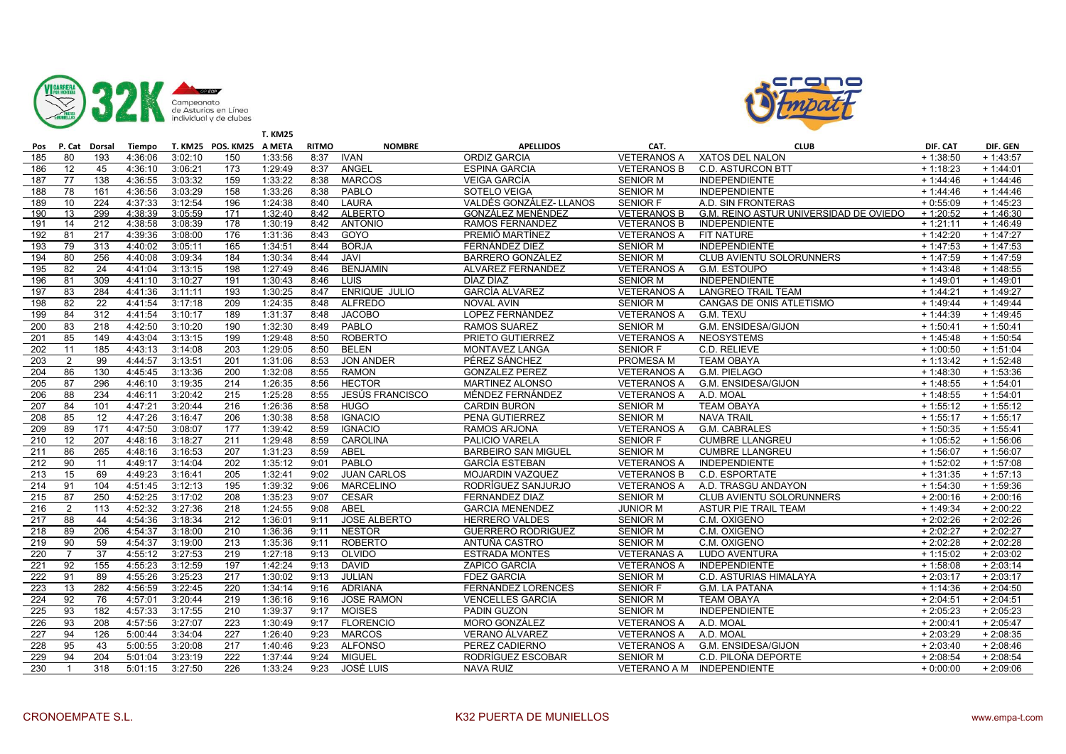



|                  |                |        |         |         |                          | <b>T. KM25</b> |              |                        |                            |                     |                                        |             |             |
|------------------|----------------|--------|---------|---------|--------------------------|----------------|--------------|------------------------|----------------------------|---------------------|----------------------------------------|-------------|-------------|
| Pos              | P. Cat         | Dorsal | Tiempo  |         | T. KM25 POS. KM25 A META |                | <b>RITMO</b> | <b>NOMBRE</b>          | <b>APELLIDOS</b>           | CAT.                | <b>CLUB</b>                            | DIF. CAT    | DIF. GEN    |
| 185              | 80             | 193    | 4:36:06 | 3:02:10 | 150                      | 1:33:56        | 8:37         | <b>IVAN</b>            | <b>ORDIZ GARCIA</b>        | <b>VETERANOS A</b>  | XATOS DEL NALON                        | $+1:38:50$  | $+1:43:57$  |
| 186              | 12             | 45     | 4:36:10 | 3:06:21 | 173                      | 1:29:49        | 8:37         | ANGEL                  | <b>ESPINA GARCIA</b>       | <b>VETERANOS B</b>  | <b>C.D. ASTURCON BTT</b>               | $+1:18:23$  | $+1:44:01$  |
| 187              | 77             | 138    | 4:36:55 | 3:03:32 | 159                      | 1:33:22        | 8:38         | <b>MARCOS</b>          | <b>VEIGA GARCIA</b>        | <b>SENIOR M</b>     | <b>INDEPENDIENTE</b>                   | $+1:44:46$  | $+1:44:46$  |
| 188              | 78             | 161    | 4:36:56 | 3:03:29 | 158                      | 1:33:26        | 8:38         | PABLO                  | SOTELO VEIGA               | <b>SENIOR M</b>     | <b>INDEPENDIENTE</b>                   | $+ 1:44:46$ | $+ 1:44:46$ |
| 189              | 10             | 224    | 4:37:33 | 3:12:54 | 196                      | 1:24:38        | 8:40         | LAURA                  | VALDÉS GONZÁLEZ- LLANOS    | <b>SENIOR F</b>     | A.D. SIN FRONTERAS                     | $+0:55:09$  | $+1:45:23$  |
| 190              | 13             | 299    | 4:38:39 | 3:05:59 | 171                      | 1:32:40        | 8:42         | <b>ALBERTO</b>         | <b>GONZALEZ MENÉNDEZ</b>   | <b>VETERANOS B</b>  | G.M. REINO ASTUR UNIVERSIDAD DE OVIEDO | $+1:20:52$  | $+1:46:30$  |
| 191              | 14             | 212    | 4:38:58 | 3:08:39 | 178                      | 1:30:19        | 8:42         | <b>ANTONIO</b>         | RAMOS FERNANDEZ            | <b>VETERANOS B</b>  | <b>INDEPENDIENTE</b>                   | $+1:21:11$  | $+1:46:49$  |
| 192              | 81             | 217    | 4:39:36 | 3:08:00 | 176                      | 1:31:36        | 8:43         | GOYO                   | PREMIÓ MARTÍNEZ            | <b>VETERANOS A</b>  | FIT NATURE                             | $+1:42:20$  | $+1:47:27$  |
| 193              | 79             | 313    | 4:40:02 | 3:05:11 | 165                      | 1:34:51        | 8:44         | <b>BORJA</b>           | FERNÁNDEZ DIEZ             | <b>SENIOR M</b>     | <b>INDEPENDIENTE</b>                   | $+1:47:53$  | $+1:47:53$  |
| 194              | 80             | 256    | 4:40:08 | 3:09:34 | 184                      | 1:30:34        | 8:44         | <b>JAVI</b>            | <b>BARRERO GONZÁLEZ</b>    | <b>SENIOR M</b>     | CLUB AVIENTU SOLORUNNERS               | $+1:47:59$  | $+1:47:59$  |
| 195              | 82             | 24     | 4:41:04 | 3:13:15 | 198                      | 1:27:49        | 8:46         | <b>BENJAMIN</b>        | ALVAREZ FERNANDEZ          | <b>VETERANOS A</b>  | G.M. ESTOUPO                           | $+1:43:48$  | $+1:48:55$  |
| 196              | 81             | 309    | 4:41:10 | 3:10:27 | 191                      | 1:30:43        | 8:46         | <b>LUIS</b>            | DÍAZ DÍAZ                  | <b>SENIOR M</b>     | <b>INDEPENDIENTE</b>                   | $+1:49:01$  | $+1:49:01$  |
| 197              | 83             | 284    | 4:41:36 | 3:11:11 | 193                      | 1:30:25        | 8:47         | <b>ENRIQUE JULIO</b>   | <b>GARCÍA ALVAREZ</b>      | <b>VETERANOS A</b>  | <b>LANGREO TRAIL TEAM</b>              | $+1:44:21$  | $+1:49:27$  |
| 198              | 82             | 22     | 4:41:54 | 3:17:18 | 209                      | 1:24:35        | 8:48         | <b>ALFREDO</b>         | <b>NOVAL AVIN</b>          | <b>SENIOR M</b>     | CANGAS DE ONIS ATLETISMO               | $+ 1:49:44$ | $+1:49:44$  |
| 199              | 84             | 312    | 4:41:54 | 3:10:17 | 189                      | 1:31:37        | 8:48         | <b>JACOBO</b>          | LOPEZ FERNÁNDEZ            | <b>VETERANOS A</b>  | G.M. TEXU                              | $+1:44:39$  | $+1:49:45$  |
| 200              | 83             | 218    | 4:42:50 | 3:10:20 | 190                      | 1:32:30        | 8:49         | PABLO                  | <b>RAMOS SUAREZ</b>        | <b>SENIOR M</b>     | G.M. ENSIDESA/GIJON                    | $+1:50:41$  | $+1:50:41$  |
| 201              | 85             | 149    | 4:43:04 | 3:13:15 | 199                      | 1:29:48        | 8:50         | <b>ROBERTO</b>         | PRIETO GUTIERREZ           | <b>VETERANOS A</b>  | <b>NEOSYSTEMS</b>                      | $+1:45:48$  | $+1:50:54$  |
| 202              | 11             | 185    | 4:43:13 | 3:14:08 | $\overline{203}$         | 1:29:05        | 8:50         | <b>BELEN</b>           | MONTAVEZ LANGA             | <b>SENIOR F</b>     | C.D. RELIEVE                           | $+1:00:50$  | $+1:51:04$  |
| $\overline{203}$ | $\overline{2}$ | 99     | 4:44:57 | 3:13:51 | 201                      | 1:31:06        | 8:53         | <b>JON ANDER</b>       | PÉREZ SÁNCHEZ              | <b>PROMESA M</b>    | <b>TEAM OBAYA</b>                      | $+1:13:42$  | $+1:52:48$  |
| 204              | 86             | 130    | 4:45:45 | 3:13:36 | 200                      | 1:32:08        | 8:55         | <b>RAMON</b>           | <b>GONZALEZ PEREZ</b>      | <b>VETERANOS A</b>  | G.M. PIELAGO                           | $+1:48:30$  | $+1:53:36$  |
| 205              | 87             | 296    | 4:46:10 | 3:19:35 | 214                      | 1:26:35        | 8:56         | <b>HECTOR</b>          | MARTINEZ ALONSO            | <b>VETERANOS A</b>  | G.M. ENSIDESA/GIJON                    | $+ 1:48:55$ | $+1:54:01$  |
| 206              | 88             | 234    | 4:46:11 | 3:20:42 | 215                      | 1:25:28        | 8:55         | <b>JESÚS FRANCISCO</b> | MÉNDEZ FERNÁNDEZ           | <b>VETERANOS A</b>  | A.D. MOAL                              | $+1:48:55$  | $+1:54:01$  |
| 207              | 84             | 101    | 4:47:21 | 3:20:44 | $\overline{216}$         | 1:26:36        | 8:58         | <b>HUGO</b>            | <b>CARDIN BURON</b>        | <b>SENIOR M</b>     | <b>TEAM OBAYA</b>                      | $+1:55:12$  | $+1:55:12$  |
| 208              | 85             | 12     | 4:47:26 | 3:16:47 | 206                      | 1:30:38        | 8:58         | <b>IGNACIO</b>         | PENA GUTIERREZ             | <b>SENIOR M</b>     | <b>NAVA TRAIL</b>                      | $+1:55:17$  | $+1:55:17$  |
| 209              | 89             | 171    | 4:47:50 | 3:08:07 | 177                      | 1:39:42        | 8:59         | <b>IGNACIO</b>         | RAMOS ARJONA               | <b>VETERANOS A</b>  | <b>G.M. CABRALES</b>                   | $+1:50:35$  | $+1:55:41$  |
| 210              | 12             | 207    | 4:48:16 | 3:18:27 | $\overline{211}$         | 1:29:48        | 8:59         | CAROLINA               | PALICIO VARELA             | <b>SENIOR F</b>     | <b>CUMBRE LLANGREU</b>                 | $+1:05:52$  | $+1:56:06$  |
| $\overline{211}$ | 86             | 265    | 4:48:16 | 3:16:53 | 207                      | 1:31:23        | 8:59         | ABEL                   | <b>BARBEIRO SAN MIGUEL</b> | <b>SENIOR M</b>     | <b>CUMBRE LLANGREU</b>                 | $+1:56:07$  | $+1:56:07$  |
| 212              | 90             | 11     | 4:49:17 | 3:14:04 | 202                      | 1:35:12        | 9:01         | PABLO                  | <b>GARCÍA ESTEBAN</b>      | <b>VETERANOS A</b>  | <b>INDEPENDIENTE</b>                   | $+1:52:02$  | $+1:57:08$  |
| 213              | 15             | 69     | 4:49:23 | 3:16:41 | 205                      | 1:32:41        | 9:02         | <b>JUAN CARLOS</b>     | <b>MOJARDIN VAZQUEZ</b>    | <b>VETERANOS B</b>  | C.D. ESPORTATE                         | $+1:31:35$  | $+1:57:13$  |
| 214              | 91             | 104    | 4:51:45 | 3:12:13 | 195                      | 1:39:32        | 9:06         | <b>MARCELINO</b>       | RODRÍGUEZ SANJURJO         | <b>VETERANOS A</b>  | A.D. TRASGU ANDAYON                    | $+1:54:30$  | $+1:59:36$  |
| 215              | 87             | 250    | 4:52:25 | 3:17:02 | 208                      | 1:35:23        | 9:07         | <b>CESAR</b>           | <b>FERNANDEZ DIAZ</b>      | <b>SENIOR M</b>     | CLUB AVIENTU SOLORUNNERS               | $+2:00:16$  | $+2:00:16$  |
| 216              | $\overline{2}$ | 113    | 4:52:32 | 3:27:36 | 218                      | 1:24:55        | 9:08         | ABEL                   | <b>GARCIA MENENDEZ</b>     | <b>JUNIOR M</b>     | ASTUR PIE TRAIL TEAM                   | $+1:49:34$  | $+2:00:22$  |
| 217              | 88             | 44     | 4:54:36 | 3:18:34 | 212                      | 1:36:01        | 9:11         | <b>JOSE ALBERTO</b>    | <b>HERRERO VALDES</b>      | <b>SENIOR M</b>     | C.M. OXIGENO                           | $+2:02:26$  | $+2:02:26$  |
| 218              | 89             | 206    | 4:54:37 | 3:18:00 | 210                      | 1:36:36        | 9:11         | <b>NESTOR</b>          | <b>GUERRERO RODRIGUEZ</b>  | <b>SENIOR M</b>     | C.M. OXIGENO                           | $+2:02:27$  | $+2:02:27$  |
| 219              | 90             | 59     | 4:54:37 | 3:19:00 | $\overline{213}$         | 1:35:36        | 9:11         | <b>ROBERTO</b>         | ANTUÑA CASTRO              | <b>SENIOR M</b>     | C.M. OXIGENO                           | $+2:02:28$  | $+2:02:28$  |
| 220              | $\overline{7}$ | 37     | 4:55:12 | 3:27:53 | 219                      | 1:27:18        | 9:13         | <b>OLVIDO</b>          | <b>ESTRADA MONTES</b>      | <b>VETERANAS A</b>  | <b>LUDO AVENTURA</b>                   | $+1:15:02$  | $+2:03:02$  |
| 221              | 92             | 155    | 4:55:23 | 3:12:59 | 197                      | 1:42:24        | 9:13         | <b>DAVID</b>           | ZAPICO GARCÍA              | <b>VETERANOS A</b>  | <b>INDEPENDIENTE</b>                   | $+1:58:08$  | $+2:03:14$  |
| 222              | 91             | 89     | 4:55:26 | 3:25:23 | 217                      | 1:30:02        | 9:13         | <b>JULIAN</b>          | <b>FDEZ GARCIA</b>         | <b>SENIOR M</b>     | C.D. ASTURIAS HIMALAYA                 | $+2:03:17$  | $+2:03:17$  |
| 223              | 13             | 282    | 4:56:59 | 3:22:45 | 220                      | 1:34:14        | 9:16         | <b>ADRIANA</b>         | <b>FERNÁNDEZ LORENCES</b>  | <b>SENIOR F</b>     | <b>G.M. LA PATANA</b>                  | $+1:14:36$  | $+2:04:50$  |
| 224              | 92             | 76     | 4:57:01 | 3:20:44 | 219                      | 1:36:16        | 9:16         | <b>JOSE RAMON</b>      | <b>VENCELLES GARCIA</b>    | <b>SENIOR M</b>     | <b>TEAM OBAYA</b>                      | $+2:04:51$  | $+2:04:51$  |
| 225              | 93             | 182    | 4:57:33 | 3:17:55 | 210                      | 1:39:37        | 9:17         | <b>MOISES</b>          | <b>PADIN GUZON</b>         | <b>SENIOR M</b>     | <b>INDEPENDIENTE</b>                   | $+2:05:23$  | $+2:05:23$  |
| 226              | 93             | 208    | 4:57:56 | 3:27:07 | 223                      | 1:30:49        | 9:17         | <b>FLORENCIO</b>       | <b>MORO GONZÁLEZ</b>       | <b>VETERANOS A</b>  | A.D. MOAL                              | $+2:00:41$  | $+2:05:47$  |
| 227              | 94             | 126    | 5:00:44 | 3:34:04 | $\overline{227}$         | 1:26:40        | 9:23         | <b>MARCOS</b>          | <b>VERANO ÁLVAREZ</b>      | <b>VETERANOS A</b>  | A.D. MOAL                              | $+2:03:29$  | $+2:08:35$  |
| 228              | 95             | 43     | 5:00:55 | 3:20:08 | 217                      | 1:40:46        | 9:23         | <b>ALFONSO</b>         | PEREZ CADIERNO             | <b>VETERANOS A</b>  | <b>G.M. ENSIDESA/GIJON</b>             | $+2:03:40$  | $+2:08:46$  |
| 229              | 94             | 204    | 5:01:04 | 3:23:19 | $\overline{222}$         | 1:37:44        | 9:24         | <b>MIGUEL</b>          | RODRÍGUEZ ESCOBAR          | <b>SENIOR M</b>     | C.D. PILOÑA DEPORTE                    | $+2:08:54$  | $+2:08:54$  |
| 230              | $\mathbf{1}$   | 318    | 5:01:15 | 3:27:50 | 226                      | 1:33:24        | 9:23         | <b>JOSÉ LUIS</b>       | <b>NAVA RUIZ</b>           | <b>VETERANO A M</b> | INDEPENDIENTE                          | $+0:00:00$  | $+2:09:06$  |
|                  |                |        |         |         |                          |                |              |                        |                            |                     |                                        |             |             |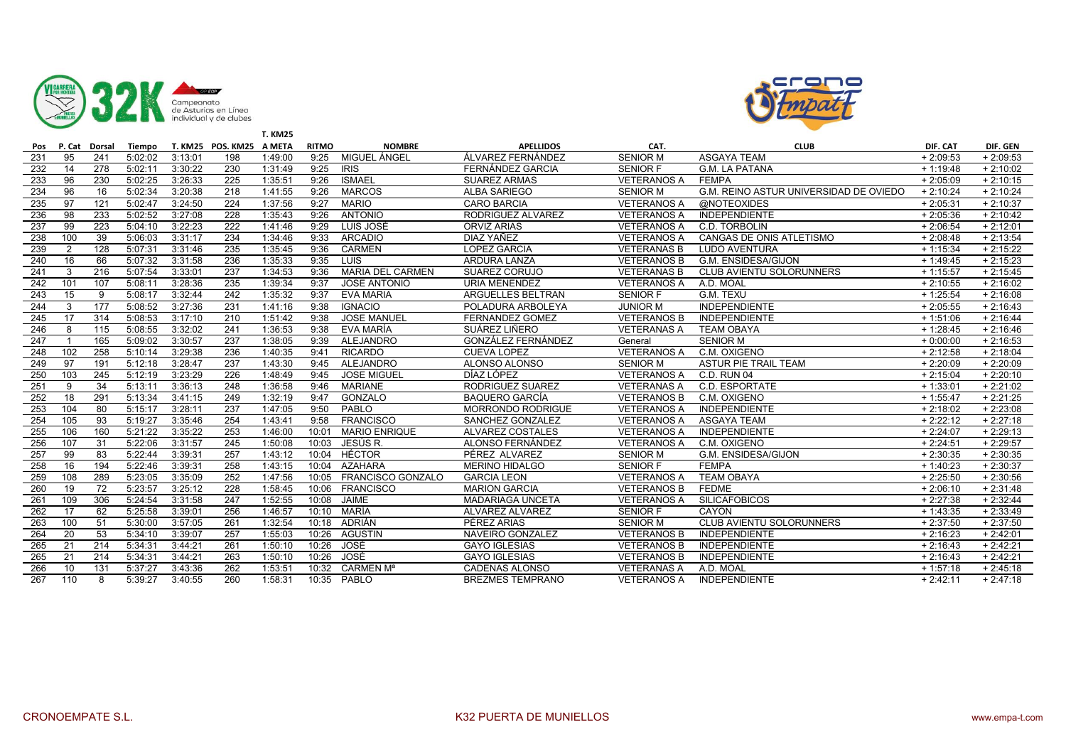



|     |                |        |         |         |                          | <b>T. KM25</b> |              |                          |                          |                    |                                        |            |            |
|-----|----------------|--------|---------|---------|--------------------------|----------------|--------------|--------------------------|--------------------------|--------------------|----------------------------------------|------------|------------|
| Pos | P. Cat         | Dorsal | Tiempo  |         | T. KM25 POS. KM25 A META |                | <b>RITMO</b> | <b>NOMBRE</b>            | <b>APELLIDOS</b>         | CAT.               | <b>CLUB</b>                            | DIF. CAT   | DIF. GEN   |
| 231 | 95             | 241    | 5:02:02 | 3:13:01 | 198                      | 1:49:00        | 9:25         | MIGUEL ÁNGEL             | ÁLVAREZ FERNÁNDEZ        | <b>SENIOR M</b>    | <b>ASGAYA TEAM</b>                     | $+2:09:53$ | $+2:09:53$ |
| 232 | 14             | 278    | 5:02:11 | 3:30:22 | 230                      | 1:31:49        | 9:25         | <b>IRIS</b>              | FERNÁNDEZ GARCIA         | <b>SENIOR F</b>    | <b>G.M. LA PATANA</b>                  | $+1:19:48$ | $+2:10:02$ |
| 233 | 96             | 230    | 5:02:25 | 3:26:33 | 225                      | 1:35:51        | 9:26         | <b>ISMAEL</b>            | <b>SUAREZ ARMAS</b>      | <b>VETERANOS A</b> | <b>FEMPA</b>                           | $+2:05:09$ | $+2:10:15$ |
| 234 | 96             | 16     | 5:02:34 | 3:20:38 | 218                      | 1:41:55        | 9:26         | <b>MARCOS</b>            | <b>ALBA SARIEGO</b>      | <b>SENIOR M</b>    | G.M. REINO ASTUR UNIVERSIDAD DE OVIEDO | $+2:10:24$ | $+2:10:24$ |
| 235 | 97             | 121    | 5:02:47 | 3:24:50 | 224                      | 1:37:56        | 9:27         | <b>MARIO</b>             | <b>CARO BARCIA</b>       | <b>VETERANOS A</b> | <b>@NOTEOXIDES</b>                     | $+2:05:31$ | $+2:10:37$ |
| 236 | 98             | 233    | 5:02:52 | 3:27:08 | 228                      | 1:35:43        | 9:26         | <b>ANTONIO</b>           | RODRIGUEZ ALVAREZ        | <b>VETERANOS A</b> | <b>INDEPENDIENTE</b>                   | $+2:05:36$ | $+2:10:42$ |
| 237 | 99             | 223    | 5:04:10 | 3:22:23 | 222                      | 1:41:46        | 9:29         | LUIS JOSÉ                | <b>ORVIZ ARIAS</b>       | <b>VETERANOS A</b> | C.D. TORBOLIN                          | $+2:06:54$ | $+2:12:01$ |
| 238 | 100            | 39     | 5:06:03 | 3:31:17 | 234                      | 1:34:46        | 9:33         | <b>ARCADIO</b>           | DIAZ YAÑEZ               | <b>VETERANOS A</b> | CANGAS DE ONIS ATLETISMO               | $+2:08:48$ | $+2:13:54$ |
| 239 | $\overline{2}$ | 128    | 5:07:31 | 3:31:46 | 235                      | 1:35:45        | 9:36         | <b>CARMEN</b>            | <b>LOPEZ GARCIA</b>      | <b>VETERANAS B</b> | <b>LUDO AVENTURA</b>                   | $+1:15:34$ | $+2:15:22$ |
| 240 | 16             | 66     | 5:07:32 | 3:31:58 | 236                      | 1:35:33        | 9:35         | LUIS                     | ARDURA LANZA             | <b>VETERANOS B</b> | G.M. ENSIDESA/GIJON                    | $+1:49:45$ | $+2:15:23$ |
| 241 | 3              | 216    | 5:07:54 | 3:33:01 | 237                      | 1:34:53        | 9:36         | <b>MARIA DEL CARMEN</b>  | <b>SUAREZ CORUJO</b>     | <b>VETERANAS B</b> | <b>CLUB AVIENTU SOLORUNNERS</b>        | $+1:15:57$ | $+2:15:45$ |
| 242 | 101            | 107    | 5:08:11 | 3:28:36 | 235                      | 1:39:34        | 9:37         | JOSE ANTONIO             | <b>URIA MENENDEZ</b>     | <b>VETERANOS A</b> | A.D. MOAL                              | $+2:10:55$ | $+2:16:02$ |
| 243 | 15             | 9      | 5:08:17 | 3:32:44 | 242                      | 1:35:32        | 9:37         | <b>EVA MARIA</b>         | <b>ARGUELLES BELTRAN</b> | <b>SENIOR F</b>    | G.M. TEXU                              | $+1:25:54$ | $+2:16:08$ |
| 244 | 3              | 177    | 5:08:52 | 3:27:36 | 231                      | 1:41:16        | 9:38         | <b>IGNACIO</b>           | POLADURA ARBOLEYA        | <b>JUNIOR M</b>    | <b>INDEPENDIENTE</b>                   | $+2:05:55$ | $+2:16:43$ |
| 245 | 17             | 314    | 5:08:53 | 3:17:10 | 210                      | 1:51:42        | 9:38         | <b>JOSE MANUEL</b>       | <b>FERNANDEZ GOMEZ</b>   | <b>VETERANOS B</b> | <b>INDEPENDIENTE</b>                   | $+1:51:06$ | $+2:16:44$ |
| 246 | 8              | 115    | 5:08:55 | 3:32:02 | 241                      | 1:36:53        | 9:38         | EVA MARÍA                | SUÁREZ LIÑERO            | <b>VETERANAS A</b> | <b>TEAM OBAYA</b>                      | $+1:28:45$ | $+2:16:46$ |
| 247 | $\overline{1}$ | 165    | 5:09:02 | 3:30:57 | 237                      | 1:38:05        | 9:39         | <b>ALEJANDRO</b>         | GONZÁLEZ FERNÁNDEZ       | General            | <b>SENIOR M</b>                        | $+0:00:00$ | $+2:16:53$ |
| 248 | 102            | 258    | 5:10:14 | 3:29:38 | 236                      | 1:40:35        | 9:41         | <b>RICARDO</b>           | <b>CUEVA LOPEZ</b>       | <b>VETERANOS A</b> | C.M. OXIGENO                           | $+2:12:58$ | $+2:18:04$ |
| 249 | 97             | 191    | 5:12:18 | 3:28:47 | 237                      | 1:43:30        | 9:45         | ALEJANDRO                | ALONSO ALONSO            | <b>SENIOR M</b>    | ASTUR PIE TRAIL TEAM                   | $+2:20:09$ | $+2:20:09$ |
| 250 | 103            | 245    | 5:12:19 | 3:23:29 | 226                      | 1:48:49        | 9:45         | <b>JOSE MIGUEL</b>       | DÍAZ LÓPEZ               | <b>VETERANOS A</b> | <b>C.D. RUN 04</b>                     | $+2:15:04$ | $+2:20:10$ |
| 251 | 9              | 34     | 5:13:11 | 3:36:13 | 248                      | 1:36:58        | 9:46         | <b>MARIANE</b>           | RODRIGUEZ SUAREZ         | <b>VETERANAS A</b> | C.D. ESPORTATE                         | $+1:33:01$ | $+2:21:02$ |
| 252 | 18             | 291    | 5:13:34 | 3:41:15 | 249                      | 1:32:19        | 9:47         | GONZALO                  | <b>BAQUERO GARCÍA</b>    | <b>VETERANOS B</b> | C.M. OXIGENO                           | $+1:55:47$ | $+2:21:25$ |
| 253 | 104            | 80     | 5:15:17 | 3:28:11 | 237                      | 1:47:05        | 9:50         | PABLO                    | <b>MORRONDO RODRIGUE</b> | <b>VETERANOS A</b> | <b>INDEPENDIENTE</b>                   | $+2:18:02$ | $+2:23:08$ |
| 254 | 105            | 93     | 5:19:27 | 3:35:46 | 254                      | 1:43:41        | 9:58         | <b>FRANCISCO</b>         | SANCHEZ GONZALEZ         | <b>VETERANOS A</b> | <b>ASGAYA TEAM</b>                     | $+2:22:12$ | $+2:27:18$ |
| 255 | 106            | 160    | 5:21:22 | 3:35:22 | 253                      | 1:46:00        | 10:01        | <b>MARIO ENRIQUE</b>     | <b>ALVAREZ COSTALES</b>  | <b>VETERANOS A</b> | <b>INDEPENDIENTE</b>                   | $+2:24:07$ | $+2:29:13$ |
| 256 | 107            | 31     | 5:22:06 | 3:31:57 | 245                      | 1:50:08        | 10:03        | JESÚS R.                 | ALONSO FERNÁNDEZ         | <b>VETERANOS A</b> | C.M. OXIGENO                           | $+2:24:51$ | $+2:29:57$ |
| 257 | 99             | 83     | 5:22:44 | 3:39:31 | 257                      | 1:43:12        | 10:04        | <b>HÉCTOR</b>            | PÉREZ ALVAREZ            | <b>SENIOR M</b>    | <b>G.M. ENSIDESA/GIJON</b>             | $+2:30:35$ | $+2:30:35$ |
| 258 | 16             | 194    | 5:22:46 | 3:39:31 | 258                      | 1:43:15        | 10:04        | <b>AZAHARA</b>           | <b>MERINO HIDALGO</b>    | <b>SENIOR F</b>    | <b>FEMPA</b>                           | $+1:40:23$ | $+2:30:37$ |
| 259 | 108            | 289    | 5:23:05 | 3:35:09 | 252                      | 1:47:56        | 10:05        | <b>FRANCISCO GONZALO</b> | <b>GARCIA LEON</b>       | <b>VETERANOS A</b> | <b>TEAM OBAYA</b>                      | $+2:25:50$ | $+2:30:56$ |
| 260 | 19             | 72     | 5:23:57 | 3:25:12 | 228                      | 1:58:45        | 10:06        | <b>FRANCISCO</b>         | <b>MARION GARCIA</b>     | <b>VETERANOS B</b> | <b>FEDME</b>                           | $+2:06:10$ | $+2:31:48$ |
| 261 | 109            | 306    | 5:24:54 | 3:31:58 | 247                      | 1:52:55        | 10:08        | <b>JAIME</b>             | <b>MADARIAGA UNCETA</b>  | <b>VETERANOS A</b> | <b>SILICAFOBICOS</b>                   | $+2:27:38$ | $+2:32:44$ |
| 262 | 17             | 62     | 5:25:58 | 3:39:01 | 256                      | 1:46:57        | 10:10        | MARÍA                    | <b>ALVAREZ ALVAREZ</b>   | <b>SENIOR F</b>    | CAYON                                  | $+1:43:35$ | $+2:33:49$ |
| 263 | 100            | 51     | 5:30:00 | 3:57:05 | 261                      | 1:32:54        | 10:18        | ADRIÁN                   | PÉREZ ARIAS              | <b>SENIOR M</b>    | <b>CLUB AVIENTU SOLORUNNERS</b>        | $+2:37:50$ | $+2:37:50$ |
| 264 | 20             | 53     | 5:34:10 | 3:39:07 | 257                      | 1:55:03        | 10:26        | <b>AGUSTIN</b>           | NAVEIRO GONZALEZ         | <b>VETERANOS B</b> | <b>INDEPENDIENTE</b>                   | $+2:16:23$ | $+2:42:01$ |
| 265 | 21             | 214    | 5:34:31 | 3:44:21 | 261                      | 1:50:10        | 10:26        | JOSÉ                     | <b>GAYO IGLESIAS</b>     | <b>VETERANOS B</b> | <b>INDEPENDIENTE</b>                   | $+2:16:43$ | $+2:42:21$ |
| 265 | 21             | 214    | 5:34:31 | 3:44:21 | 263                      | 1:50:10        | 10:26        | JOSÉ                     | <b>GAYO IGLESIAS</b>     | <b>VETERANOS B</b> | <b>INDEPENDIENTE</b>                   | $+2:16:43$ | $+2:42:21$ |
| 266 | 10             | 131    | 5:37:27 | 3:43:36 | 262                      | 1:53:51        | 10:32        | <b>CARMEN Ma</b>         | <b>CADENAS ALONSO</b>    | <b>VETERANAS A</b> | A.D. MOAL                              | $+1:57:18$ | $+2:45:18$ |
| 267 | 110            | 8      | 5:39:27 | 3:40:55 | 260                      | 1:58:31        | 10:35        | PABLO                    | <b>BREZMES TEMPRANO</b>  | <b>VETERANOS A</b> | <b>INDEPENDIENTE</b>                   | $+2:42:11$ | $+2:47:18$ |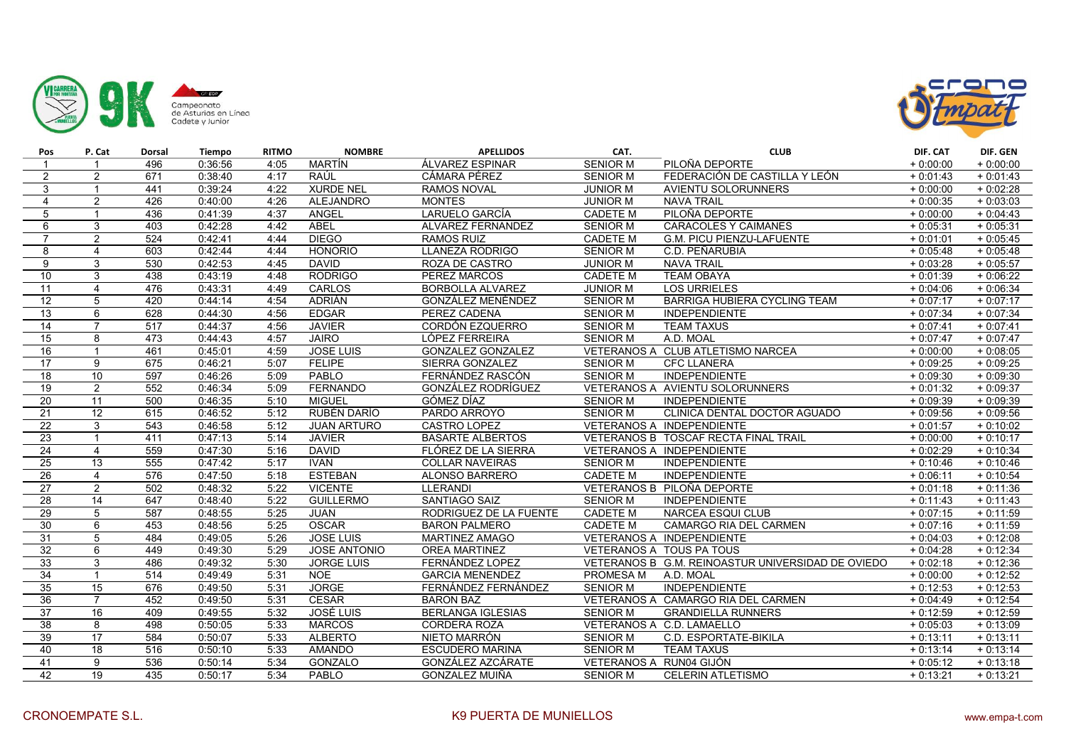



| Pos             | P. Cat          | <b>Dorsal</b>    | <b>Tiempo</b> | <b>RITMO</b> | <b>NOMBRE</b>       | <b>APELLIDOS</b>          | CAT.                    | <b>CLUB</b>                                       | DIF. CAT   | DIF. GEN   |
|-----------------|-----------------|------------------|---------------|--------------|---------------------|---------------------------|-------------------------|---------------------------------------------------|------------|------------|
|                 | $\mathbf{1}$    | 496              | 0:36:56       | 4:05         | MARTÍN              | ÁLVAREZ ESPINAR           | <b>SENIOR M</b>         | PILOÑA DEPORTE                                    | $+0:00:00$ | $+0:00:00$ |
| $\overline{2}$  | 2               | 671              | 0:38:40       | 4:17         | RAÚL                | CÁMARA PÉREZ              | <b>SENIOR M</b>         | FEDERACIÓN DE CASTILLA Y LEÓN                     | $+0:01:43$ | $+0:01:43$ |
| 3               | $\overline{1}$  | 441              | 0:39:24       | 4:22         | <b>XURDE NEL</b>    | <b>RAMOS NOVAL</b>        | <b>JUNIOR M</b>         | AVIENTU SOLORUNNERS                               | $+0:00:00$ | $+0:02:28$ |
| $\overline{4}$  | $\overline{2}$  | 426              | 0:40:00       | 4:26         | <b>ALEJANDRO</b>    | <b>MONTES</b>             | <b>JUNIOR M</b>         | <b>NAVA TRAIL</b>                                 | $+0:00:35$ | $+0.03:03$ |
| 5               | $\overline{1}$  | 436              | 0:41:39       | 4:37         | ANGEL               | LARUELO GARCÍA            | <b>CADETE M</b>         | PILOÑA DEPORTE                                    | $+0:00:00$ | $+0:04:43$ |
| 6               | 3               | 403              | 0:42:28       | 4:42         | <b>ABEL</b>         | ALVAREZ FERNANDEZ         | <b>SENIOR M</b>         | <b>CARACOLES Y CAIMANES</b>                       | $+0:05:31$ | $+0:05:31$ |
| $\overline{7}$  | 2               | 524              | 0:42:41       | 4:44         | <b>DIEGO</b>        | <b>RAMOS RUIZ</b>         | <b>CADETE M</b>         | <b>G.M. PICU PIENZU-LAFUENTE</b>                  | $+0:01:01$ | $+0:05:45$ |
| 8               | $\overline{4}$  | 603              | 0:42:44       | 4:44         | <b>HONORIO</b>      | <b>LLANEZA RODRIGO</b>    | <b>SENIOR M</b>         | C.D. PEÑARUBIA                                    | $+0:05:48$ | $+0:05:48$ |
| 9               | 3               | 530              | 0:42:53       | 4:45         | <b>DAVID</b>        | ROZA DE CASTRO            | <b>JUNIOR M</b>         | <b>NAVA TRAIL</b>                                 | $+0:03:28$ | $+0:05:57$ |
| 10              | 3               | 438              | 0:43:19       | 4:48         | <b>RODRIGO</b>      | PEREZ MARCOS              | <b>CADETE M</b>         | <b>TEAM OBAYA</b>                                 | $+0:01:39$ | $+0:06:22$ |
| 11              | $\overline{4}$  | 476              | 0:43:31       | 4:49         | <b>CARLOS</b>       | <b>BORBOLLA ALVAREZ</b>   | <b>JUNIOR M</b>         | <b>LOS URRIELES</b>                               | $+0:04:06$ | $+0:06:34$ |
| 12              | 5               | 420              | 0:44:14       | 4:54         | ADRIÁN              | <b>GONZÁLEZ MENÉNDEZ</b>  | <b>SENIOR M</b>         | BARRIGA HUBIERA CYCLING TEAM                      | $+0:07:17$ | $+0:07:17$ |
| 13              | 6               | 628              | 0:44:30       | 4:56         | <b>EDGAR</b>        | PEREZ CADENA              | <b>SENIOR M</b>         | <b>INDEPENDIENTE</b>                              | $+0:07:34$ | $+0:07:34$ |
| 14              | $\overline{7}$  | $\overline{517}$ | 0:44:37       | 4:56         | <b>JAVIER</b>       | CORDÓN EZQUERRO           | <b>SENIOR M</b>         | <b>TEAM TAXUS</b>                                 | $+0:07:41$ | $+0.07:41$ |
| 15              | 8               | 473              | 0:44:43       | 4:57         | <b>JAIRO</b>        | LÓPEZ FERREIRA            | <b>SENIOR M</b>         | A.D. MOAL                                         | $+0:07:47$ | $+0:07:47$ |
| 16              | $\overline{1}$  | 461              | 0:45:01       | 4:59         | <b>JOSE LUIS</b>    | <b>GONZALEZ GONZALEZ</b>  |                         | VETERANOS A CLUB ATLETISMO NARCEA                 | $+0:00:00$ | $+0.08:05$ |
| 17              | 9               | 675              | 0:46:21       | 5:07         | <b>FELIPE</b>       | SIERRA GONZALEZ           | <b>SENIOR M</b>         | <b>CFC LLANERA</b>                                | $+0:09:25$ | $+0:09:25$ |
| 18              | 10              | 597              | 0:46:26       | 5:09         | PABLO               | FERNÁNDEZ RASCÓN          | <b>SENIOR M</b>         | <b>INDEPENDIENTE</b>                              | $+0:09:30$ | $+0:09:30$ |
| $\overline{19}$ | 2               | 552              | 0:46:34       | 5:09         | <b>FERNANDO</b>     | <b>GONZÁLEZ RODRÍGUEZ</b> |                         | VETERANOS A AVIENTU SOLORUNNERS                   | $+0:01:32$ | $+0:09:37$ |
| 20              | 11              | 500              | 0:46:35       | 5:10         | <b>MIGUEL</b>       | GÓMEZ DÍAZ                | <b>SENIOR M</b>         | <b>INDEPENDIENTE</b>                              | $+0:09:39$ | $+0.09339$ |
| 21              | 12              | 615              | 0:46:52       | 5:12         | RUBÉN DARÍO         | PARDO ARROYO              | <b>SENIOR M</b>         | CLINICA DENTAL DOCTOR AGUADO                      | $+0:09:56$ | $+0:09:56$ |
| 22              | 3               | 543              | 0:46:58       | 5:12         | <b>JUAN ARTURO</b>  | CASTRO LOPEZ              |                         | VETERANOS A INDEPENDIENTE                         | $+0:01:57$ | $+0:10:02$ |
| 23              | $\overline{1}$  | 411              | 0:47:13       | 5:14         | <b>JAVIER</b>       | <b>BASARTE ALBERTOS</b>   |                         | VETERANOS B TOSCAF RECTA FINAL TRAIL              | $+0:00:00$ | $+0:10:17$ |
| 24              | $\overline{4}$  | 559              | 0:47:30       | 5:16         | <b>DAVID</b>        | FLÓREZ DE LA SIERRA       |                         | <b>VETERANOS A INDEPENDIENTE</b>                  | $+0:02:29$ | $+0:10:34$ |
| 25              | 13              | 555              | 0:47:42       | 5:17         | <b>IVAN</b>         | <b>COLLAR NAVEIRAS</b>    | <b>SENIOR M</b>         | <b>INDEPENDIENTE</b>                              | $+0:10:46$ | $+0:10:46$ |
| 26              | $\overline{4}$  | 576              | 0:47:50       | 5:18         | <b>ESTEBAN</b>      | ALONSO BARRERO            | <b>CADETE M</b>         | <b>INDEPENDIENTE</b>                              | $+0:06:11$ | $+0:10:54$ |
| $\overline{27}$ | 2               | 502              | 0:48:32       | 5:22         | <b>VICENTE</b>      | <b>LLERANDI</b>           |                         | VETERANOS B PILOÑA DEPORTE                        | $+0:01:18$ | $+0:11:36$ |
| 28              | 14              | 647              | 0:48:40       | 5:22         | <b>GUILLERMO</b>    | <b>SANTIAGO SAIZ</b>      | <b>SENIOR M</b>         | <b>INDEPENDIENTE</b>                              | $+0:11:43$ | $+0:11:43$ |
| 29              | 5               | 587              | 0:48:55       | 5:25         | <b>JUAN</b>         | RODRIGUEZ DE LA FUENTE    | <b>CADETE M</b>         | NARCEA ESQUI CLUB                                 | $+0:07:15$ | $+0:11:59$ |
| 30              | 6               | 453              | 0:48:56       | 5:25         | <b>OSCAR</b>        | <b>BARON PALMERO</b>      | <b>CADETE M</b>         | CAMARGO RIA DEL CARMEN                            | $+0:07:16$ | $+0:11:59$ |
| 31              | 5               | 484              | 0:49:05       | 5:26         | <b>JOSE LUIS</b>    | <b>MARTINEZ AMAGO</b>     |                         | <b>VETERANOS A INDEPENDIENTE</b>                  | $+0:04:03$ | $+0:12:08$ |
| 32              | 6               | 449              | 0:49:30       | 5:29         | <b>JOSE ANTONIO</b> | <b>OREA MARTINEZ</b>      |                         | VETERANOS A TOUS PA TOUS                          | $+0:04:28$ | $+0:12:34$ |
| 33              | 3               | 486              | 0:49:32       | 5:30         | <b>JORGE LUIS</b>   | FERNÁNDEZ LOPEZ           |                         | VETERANOS B G.M. REINOASTUR UNIVERSIDAD DE OVIEDO | $+0:02:18$ | $+0:12:36$ |
| 34              | $\overline{1}$  | 514              | 0:49:49       | 5:31         | <b>NOE</b>          | <b>GARCIA MENENDEZ</b>    | PROMESA M               | A.D. MOAL                                         | $+0:00:00$ | $+0:12:52$ |
| 35              | 15              | 676              | 0:49:50       | 5:31         | <b>JORGE</b>        | FERNÁNDEZ FERNÁNDEZ       | <b>SENIOR M</b>         | <b>INDEPENDIENTE</b>                              | $+0:12:53$ | $+0:12:53$ |
| 36              | $\overline{7}$  | 452              | 0:49:50       | 5:31         | <b>CESAR</b>        | <b>BARON BAZ</b>          |                         | VETERANOS A CAMARGO RIA DEL CARMEN                | $+0:04:49$ | $+0:12:54$ |
| 37              | 16              | 409              | 0:49:55       | 5:32         | <b>JOSÉ LUIS</b>    | <b>BERLANGA IGLESIAS</b>  | <b>SENIOR M</b>         | <b>GRANDIELLA RUNNERS</b>                         | $+0:12:59$ | $+0:12:59$ |
| 38              | 8               | 498              | 0:50:05       | 5:33         | <b>MARCOS</b>       | <b>CORDERA ROZA</b>       |                         | VETERANOS A C.D. LAMAELLO                         | $+0.05:03$ | $+0:13:09$ |
| 39              | 17              | 584              | 0:50:07       | 5:33         | <b>ALBERTO</b>      | NIETO MARRÓN              | <b>SENIOR M</b>         | C.D. ESPORTATE-BIKILA                             | $+0:13:11$ | $+0:13:11$ |
| 40              | 18              | 516              | 0:50:10       | 5:33         | <b>AMANDO</b>       | <b>ESCUDERO MARINA</b>    | <b>SENIOR M</b>         | <b>TEAM TAXUS</b>                                 | $+0:13:14$ | $+0:13:14$ |
| 41              | 9               | 536              | 0:50:14       | 5:34         | <b>GONZALO</b>      | GONZÁLEZ AZCÁRATE         | VETERANOS A RUN04 GIJÓN |                                                   | $+0:05:12$ | $+0:13:18$ |
| 42              | $\overline{19}$ | 435              | 0:50:17       | 5:34         | <b>PABLO</b>        | <b>GONZALEZ MUIÑA</b>     | <b>SENIOR M</b>         | <b>CELERIN ATLETISMO</b>                          | $+0:13:21$ | $+0:13:21$ |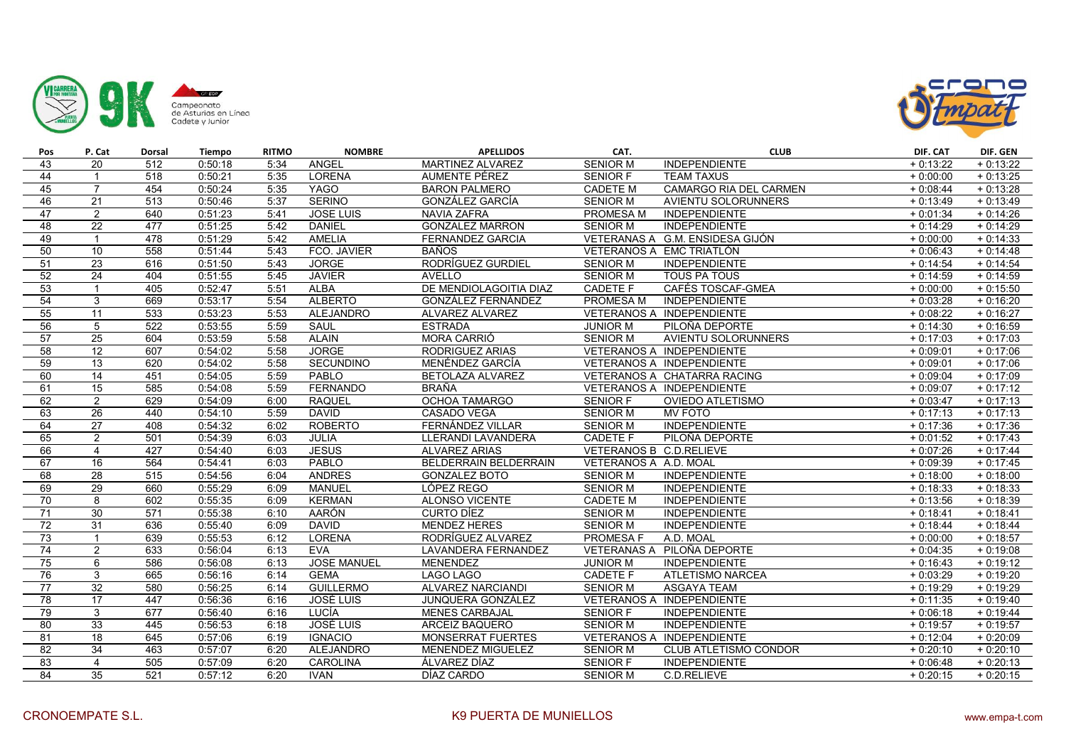



| Pos             | P. Cat          | <b>Dorsal</b> | <b>Tiempo</b> | <b>RITMO</b> | <b>NOMBRE</b>      | <b>APELLIDOS</b>          | CAT.                    | <b>CLUB</b>                      | DIF. CAT   | DIF. GEN   |
|-----------------|-----------------|---------------|---------------|--------------|--------------------|---------------------------|-------------------------|----------------------------------|------------|------------|
| 43              | 20              | 512           | 0:50:18       | 5:34         | ANGEL              | MARTINEZ ALVAREZ          | <b>SENIOR M</b>         | <b>INDEPENDIENTE</b>             | $+0:13:22$ | $+0:13:22$ |
| 44              | $\mathbf{1}$    | 518           | 0:50:21       | 5:35         | LORENA             | AUMENTE PÉREZ             | SENIOR F                | <b>TEAM TAXUS</b>                | $+0:00:00$ | $+0:13:25$ |
| 45              | $\overline{7}$  | 454           | 0:50:24       | 5:35         | <b>YAGO</b>        | <b>BARON PALMERO</b>      | <b>CADETE M</b>         | CAMARGO RIA DEL CARMEN           | $+0:08:44$ | $+0:13:28$ |
| 46              | 21              | 513           | 0:50:46       | 5:37         | <b>SERINO</b>      | <b>GONZÁLEZ GARCÍA</b>    | <b>SENIOR M</b>         | <b>AVIENTU SOLORUNNERS</b>       | $+0:13:49$ | $+0:13:49$ |
| 47              | $\overline{2}$  | 640           | 0:51:23       | 5:41         | JOSE LUIS          | NAVIA ZAFRA               | PROMESA M               | INDEPENDIENTE                    | $+0:01:34$ | $+0:14:26$ |
| 48              | 22              | 477           | 0:51:25       | 5:42         | <b>DANIEL</b>      | <b>GONZALEZ MARRON</b>    | <b>SENIOR M</b>         | <b>INDEPENDIENTE</b>             | $+0:14:29$ | $+0:14:29$ |
| 49              | $\overline{1}$  | 478           | 0:51:29       | 5:42         | <b>AMELIA</b>      | <b>FERNANDEZ GARCIA</b>   |                         | VETERANAS A G.M. ENSIDESA GIJÓN  | $+0:00:00$ | $+0:14:33$ |
| 50              | 10              | 558           | 0:51:44       | 5:43         | FCO. JAVIER        | <b>BAÑOS</b>              |                         | VETERANOS A EMC TRIATLÓN         | $+0.06:43$ | $+0:14:48$ |
| 51              | 23              | 616           | 0:51:50       | 5:43         | <b>JORGE</b>       | RODRÍGUEZ GURDIEL         | <b>SENIOR M</b>         | <b>INDEPENDIENTE</b>             | $+0:14:54$ | $+0:14:54$ |
| 52              | 24              | 404           | 0:51:55       | 5:45         | <b>JAVIER</b>      | <b>AVELLO</b>             | <b>SENIOR M</b>         | <b>TOUS PA TOUS</b>              | $+0:14:59$ | $+0:14:59$ |
| 53              | $\overline{1}$  | 405           | 0:52:47       | 5:51         | <b>ALBA</b>        | DE MENDIOLAGOITIA DIAZ    | <b>CADETE F</b>         | CAFÉS TOSCAF-GMEA                | $+0:00:00$ | $+0:15:50$ |
| 54              | 3               | 669           | 0:53:17       | 5:54         | <b>ALBERTO</b>     | <b>GONZÁLEZ FERNÁNDEZ</b> | <b>PROMESA M</b>        | <b>INDEPENDIENTE</b>             | $+0:03:28$ | $+0:16:20$ |
| 55              | 11              | 533           | 0:53:23       | 5:53         | <b>ALEJANDRO</b>   | ALVAREZ ALVAREZ           |                         | VETERANOS A INDEPENDIENTE        | $+0:08:22$ | $+0:16:27$ |
| 56              | 5               | 522           | 0:53:55       | 5:59         | SAUL               | <b>ESTRADA</b>            | <b>JUNIOR M</b>         | PILOÑA DEPORTE                   | $+0:14:30$ | $+0:16:59$ |
| 57              | $\overline{25}$ | 604           | 0:53:59       | 5:58         | <b>ALAIN</b>       | <b>MORA CARRIÓ</b>        | <b>SENIOR M</b>         | <b>AVIENTU SOLORUNNERS</b>       | $+0:17:03$ | $+0:17:03$ |
| 58              | 12              | 607           | 0:54:02       | 5:58         | <b>JORGE</b>       | RODRIGUEZ ARIAS           |                         | VETERANOS A INDEPENDIENTE        | $+0:09:01$ | $+0:17:06$ |
| 59              | 13              | 620           | 0:54:02       | 5:58         | SECUNDINO          | MENÉNDEZ GARCÍA           |                         | VETERANOS A INDEPENDIENTE        | $+0:09:01$ | $+0:17:06$ |
| 60              | 14              | 451           | 0:54:05       | 5:59         | <b>PABLO</b>       | BETOLAZA ALVAREZ          |                         | VETERANOS A CHATARRA RACING      | $+0.09:04$ | $+0:17:09$ |
| 61              | $\overline{15}$ | 585           | 0:54:08       | 5:59         | <b>FERNANDO</b>    | BRAÑA                     |                         | <b>VETERANOS A INDEPENDIENTE</b> | $+0:09:07$ | $+0:17:12$ |
| 62              | 2               | 629           | 0:54:09       | 6:00         | <b>RAQUEL</b>      | <b>OCHOA TAMARGO</b>      | <b>SENIOR F</b>         | <b>OVIEDO ATLETISMO</b>          | $+0:03:47$ | $+0:17:13$ |
| 63              | 26              | 440           | 0:54:10       | 5:59         | <b>DAVID</b>       | CASADO VEGA               | <b>SENIOR M</b>         | <b>MV FOTO</b>                   | $+0:17:13$ | $+0:17:13$ |
| 64              | 27              | 408           | 0:54:32       | 6:02         | <b>ROBERTO</b>     | FERNÁNDEZ VILLAR          | <b>SENIOR M</b>         | <b>INDEPENDIENTE</b>             | $+0:17:36$ | $+0:17:36$ |
| 65              | 2               | 501           | 0:54:39       | 6:03         | <b>JULIA</b>       | LLERANDI LAVANDERA        | <b>CADETE F</b>         | PILOÑA DEPORTE                   | $+0:01:52$ | $+0:17:43$ |
| 66              | $\overline{4}$  | 427           | 0:54:40       | 6:03         | <b>JESUS</b>       | <b>ALVAREZ ARIAS</b>      | VETERANOS B C.D.RELIEVE |                                  | $+0:07:26$ | $+0:17:44$ |
| 67              | 16              | 564           | 0:54:41       | 6:03         | <b>PABLO</b>       | BELDERRAIN BELDERRAIN     | VETERANOS A A.D. MOAL   |                                  | $+0:09:39$ | $+0:17:45$ |
| 68              | 28              | 515           | 0:54:56       | 6:04         | <b>ANDRES</b>      | <b>GONZALEZ BOTO</b>      | <b>SENIOR M</b>         | <b>INDEPENDIENTE</b>             | $+0:18:00$ | $+0:18:00$ |
| 69              | 29              | 660           | 0:55:29       | 6:09         | <b>MANUEL</b>      | LÓPEZ REGO                | <b>SENIOR M</b>         | <b>INDEPENDIENTE</b>             | $+0:18:33$ | $+0:18:33$ |
| $\overline{70}$ | 8               | 602           | 0:55:35       | 6:09         | <b>KERMAN</b>      | <b>ALONSO VICENTE</b>     | <b>CADETE M</b>         | <b>INDEPENDIENTE</b>             | $+0:13:56$ | $+0:18:39$ |
| 71              | 30              | 571           | 0:55:38       | 6:10         | AARÓN              | CURTO DÍEZ                | <b>SENIOR M</b>         | <b>INDEPENDIENTE</b>             | $+0:18:41$ | $+0:18:41$ |
| 72              | 31              | 636           | 0:55:40       | 6:09         | <b>DAVID</b>       | <b>MENDEZ HERES</b>       | <b>SENIOR M</b>         | <b>INDEPENDIENTE</b>             | $+0:18:44$ | $+0:18:44$ |
| $\overline{73}$ | $\mathbf{1}$    | 639           | 0:55:53       | 6:12         | <b>LORENA</b>      | RODRÍGUEZ ALVAREZ         | <b>PROMESA F</b>        | A.D. MOAL                        | $+0:00:00$ | $+0:18:57$ |
| $\overline{74}$ | $\overline{2}$  | 633           | 0:56:04       | 6:13         | <b>EVA</b>         | LAVANDERA FERNANDEZ       |                         | VETERANAS A PILOÑA DEPORTE       | $+0:04:35$ | $+0:19:08$ |
| 75              | 6               | 586           | 0:56:08       | 6:13         | <b>JOSE MANUEL</b> | <b>MENENDEZ</b>           | <b>JUNIOR M</b>         | <b>INDEPENDIENTE</b>             | $+0:16:43$ | $+0:19:12$ |
| 76              | 3               | 665           | 0:56:16       | 6:14         | <b>GEMA</b>        | LAGO LAGO                 | <b>CADETE F</b>         | <b>ATLETISMO NARCEA</b>          | $+0:03:29$ | $+0:19:20$ |
| 77              | 32              | 580           | 0:56:25       | 6:14         | <b>GUILLERMO</b>   | ALVAREZ NARCIANDI         | <b>SENIOR M</b>         | <b>ASGAYA TEAM</b>               | $+0:19:29$ | $+0:19:29$ |
| $\overline{78}$ | $\overline{17}$ | 447           | 0:56:36       | 6:16         | <b>JOSÉ LUIS</b>   | JUNQUERA GONZÁLEZ         |                         | VETERANOS A INDEPENDIENTE        | $+0:11:35$ | $+0:19:40$ |
| 79              | 3               | 677           | 0:56:40       | 6:16         | LUCÍA              | <b>MENES CARBAJAL</b>     | <b>SENIOR F</b>         | <b>INDEPENDIENTE</b>             | $+0:06:18$ | $+0:19:44$ |
| 80              | $\overline{33}$ | 445           | 0:56:53       | 6:18         | JOSÉ LUIS          | <b>ARCEIZ BAQUERO</b>     | <b>SENIOR M</b>         | <b>INDEPENDIENTE</b>             | $+0:19:57$ | $+0:19:57$ |
| 81              | 18              | 645           | 0:57:06       | 6:19         | <b>IGNACIO</b>     | MONSERRAT FUERTES         |                         | VETERANOS A INDEPENDIENTE        | $+0:12:04$ | $+0:20:09$ |
| 82              | 34              | 463           | 0:57:07       | 6:20         | <b>ALEJANDRO</b>   | MENENDEZ MIGUELEZ         | <b>SENIOR M</b>         | <b>CLUB ATLETISMO CONDOR</b>     | $+0:20:10$ | $+0:20:10$ |
| 83              | 4               | 505           | 0:57:09       | 6:20         | <b>CAROLINA</b>    | ÁLVAREZ DÍAZ              | <b>SENIOR F</b>         | <b>INDEPENDIENTE</b>             | $+0:06:48$ | $+0:20:13$ |
| 84              | $\overline{35}$ | 521           | 0:57:12       | 6:20         | <b>IVAN</b>        | DÍAZ CARDO                | <b>SENIOR M</b>         | C.D.RELIEVE                      | $+0:20:15$ | $+0:20:15$ |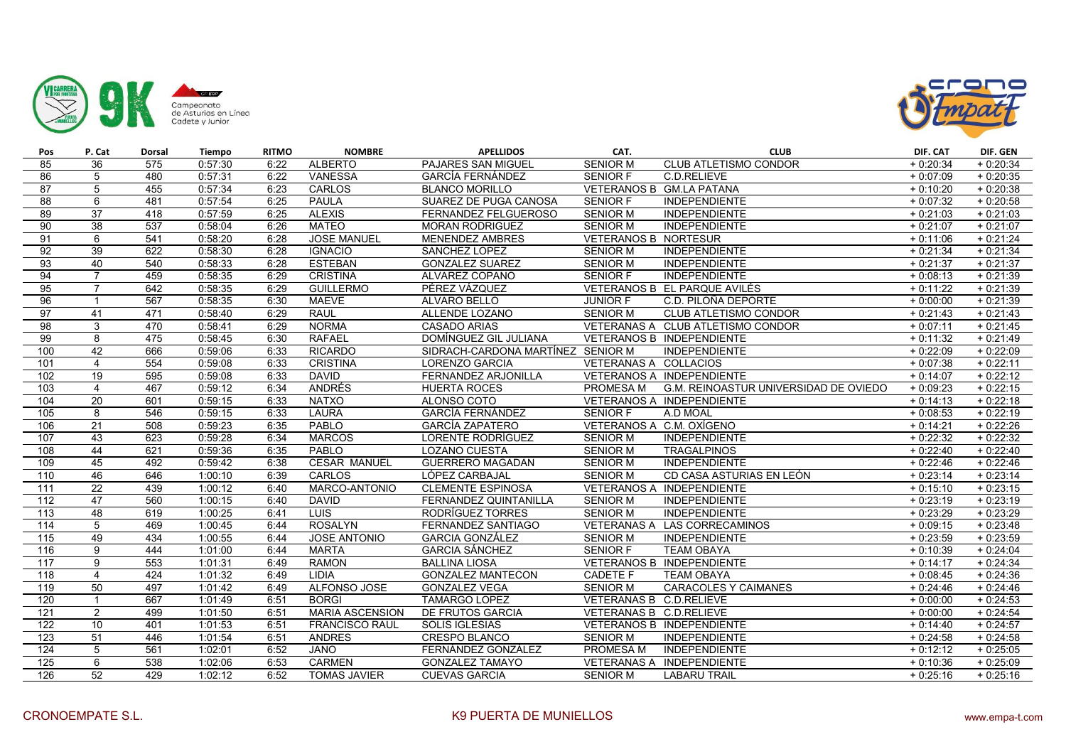



| Pos             | P. Cat          | <b>Dorsal</b> | Tiempo  | <b>RITMO</b> | <b>NOMBRE</b>          | <b>APELLIDOS</b>                  | CAT.                        | <b>CLUB</b>                           | DIF. CAT   | DIF. GEN   |
|-----------------|-----------------|---------------|---------|--------------|------------------------|-----------------------------------|-----------------------------|---------------------------------------|------------|------------|
| 85              | 36              | 575           | 0:57:30 | 6:22         | <b>ALBERTO</b>         | PAJARES SAN MIGUEL                | <b>SENIOR M</b>             | <b>CLUB ATLETISMO CONDOR</b>          | $+0:20:34$ | $+0:20:34$ |
| 86              | 5               | 480           | 0:57:31 | 6:22         | <b>VANESSA</b>         | GARCÍA FERNÁNDEZ                  | <b>SENIOR F</b>             | C.D.RELIEVE                           | $+0:07:09$ | $+0:20:35$ |
| $\overline{87}$ | 5               | 455           | 0:57:34 | 6:23         | <b>CARLOS</b>          | <b>BLANCO MORILLO</b>             |                             | VETERANOS B GM.LA PATANA              | $+0:10:20$ | $+0:20:38$ |
| 88              | 6               | 481           | 0:57:54 | 6:25         | <b>PAULA</b>           | SUAREZ DE PUGA CANOSA             | <b>SENIOR F</b>             | <b>INDEPENDIENTE</b>                  | $+0:07:32$ | $+0:20:58$ |
| 89              | 37              | 418           | 0:57:59 | 6:25         | <b>ALEXIS</b>          | FERNANDEZ FELGUEROSO              | <b>SENIOR M</b>             | <b>INDEPENDIENTE</b>                  | $+0:21:03$ | $+0:21:03$ |
| 90              | $\overline{38}$ | 537           | 0:58:04 | 6:26         | <b>MATEO</b>           | <b>MORAN RODRIGUEZ</b>            | <b>SENIOR M</b>             | <b>INDEPENDIENTE</b>                  | $+0:21:07$ | $+0:21:07$ |
| 91              | 6               | 541           | 0:58:20 | 6:28         | <b>JOSE MANUEL</b>     | <b>MENENDEZ AMBRES</b>            | <b>VETERANOS B NORTESUR</b> |                                       | $+0:11:06$ | $+0:21:24$ |
| 92              | 39              | 622           | 0:58:30 | 6:28         | <b>IGNACIO</b>         | SANCHEZ LOPEZ                     | <b>SENIOR M</b>             | <b>INDEPENDIENTE</b>                  | $+0:21:34$ | $+0:21:34$ |
| 93              | 40              | 540           | 0:58:33 | 6:28         | <b>ESTEBAN</b>         | <b>GONZALEZ SUAREZ</b>            | <b>SENIOR M</b>             | <b>INDEPENDIENTE</b>                  | $+0:21:37$ | $+0:21:37$ |
| 94              | $\overline{7}$  | 459           | 0:58:35 | 6:29         | <b>CRISTINA</b>        | ALVAREZ COPANO                    | <b>SENIOR F</b>             | <b>INDEPENDIENTE</b>                  | $+0:08:13$ | $+0:21:39$ |
| 95              | $\overline{7}$  | 642           | 0:58:35 | 6:29         | <b>GUILLERMO</b>       | PÉREZ VÁZQUEZ                     |                             | VETERANOS B EL PARQUE AVILÉS          | $+0:11:22$ | $+0:21:39$ |
| 96              | $\overline{1}$  | 567           | 0:58:35 | 6:30         | <b>MAEVE</b>           | ALVARO BELLO                      | <b>JUNIOR F</b>             | C.D. PILOÑA DEPORTE                   | $+0:00:00$ | $+0:21:39$ |
| 97              | 41              | 471           | 0:58:40 | 6:29         | <b>RAUL</b>            | ALLENDE LOZANO                    | <b>SENIOR M</b>             | <b>CLUB ATLETISMO CONDOR</b>          | $+0:21:43$ | $+0:21:43$ |
| 98              | 3               | 470           | 0:58:41 | 6:29         | <b>NORMA</b>           | <b>CASADO ARIAS</b>               |                             | VETERANAS A CLUB ATLETISMO CONDOR     | $+0:07:11$ | $+0:21:45$ |
| 99              | 8               | 475           | 0:58:45 | 6:30         | <b>RAFAEL</b>          | DOMÍNGUEZ GIL JULIANA             |                             | VETERANOS B INDEPENDIENTE             | $+0:11:32$ | $+0:21:49$ |
| 100             | 42              | 666           | 0:59:06 | 6:33         | <b>RICARDO</b>         | SIDRACH-CARDONA MARTÍNEZ SENIOR M |                             | <b>INDEPENDIENTE</b>                  | $+0:22:09$ | $+0:22:09$ |
| 101             | $\overline{4}$  | 554           | 0:59:08 | 6:33         | <b>CRISTINA</b>        | LORENZO GARCIA                    | VETERANAS A COLLACIOS       |                                       | $+0:07:38$ | $+0:22:11$ |
| 102             | 19              | 595           | 0:59:08 | 6:33         | <b>DAVID</b>           | FERNANDEZ ARJONILLA               |                             | VETERANOS A INDEPENDIENTE             | $+0:14:07$ | $+0:22:12$ |
| 103             | $\overline{4}$  | 467           | 0:59:12 | 6:34         | ANDRÉS                 | <b>HUERTA ROCES</b>               | <b>PROMESA M</b>            | G.M. REINOASTUR UNIVERSIDAD DE OVIEDO | $+0:09:23$ | $+0:22:15$ |
| 104             | 20              | 601           | 0:59:15 | 6:33         | <b>NATXO</b>           | ALONSO COTO                       |                             | VETERANOS A INDEPENDIENTE             | $+0:14:13$ | $+0:22:18$ |
| 105             | 8               | 546           | 0:59:15 | 6:33         | <b>LAURA</b>           | <b>GARCÍA FERNÁNDEZ</b>           | <b>SENIOR F</b>             | A.D MOAL                              | $+0:08:53$ | $+0:22:19$ |
| 106             | 21              | 508           | 0:59:23 | 6:35         | PABLO                  | GARCÍA ZAPATERO                   | VETERANOS A C.M. OXÍGENO    |                                       | $+0:14:21$ | $+0:22:26$ |
| 107             | 43              | 623           | 0:59:28 | 6:34         | <b>MARCOS</b>          | LORENTE RODRÍGUEZ                 | <b>SENIOR M</b>             | <b>INDEPENDIENTE</b>                  | $+0:22:32$ | $+0:22:32$ |
| 108             | 44              | 621           | 0:59:36 | 6:35         | PABLO                  | <b>LOZANO CUESTA</b>              | <b>SENIOR M</b>             | <b>TRAGALPINOS</b>                    | $+0:22:40$ | $+0:22:40$ |
| 109             | 45              | 492           | 0:59:42 | 6:38         | <b>CESAR MANUEL</b>    | <b>GUERRERO MAGADAN</b>           | <b>SENIOR M</b>             | <b>INDEPENDIENTE</b>                  | $+0:22:46$ | $+0:22:46$ |
| 110             | 46              | 646           | 1:00:10 | 6:39         | CARLOS                 | LÓPEZ CARBAJAL                    | <b>SENIOR M</b>             | CD CASA ASTURIAS EN LEÓN              | $+0:23:14$ | $+0:23:14$ |
| 111             | 22              | 439           | 1:00:12 | 6:40         | MARCO-ANTONIO          | <b>CLEMENTE ESPINOSA</b>          |                             | VETERANOS A INDEPENDIENTE             | $+0:15:10$ | $+0:23:15$ |
| 112             | 47              | 560           | 1:00:15 | 6:40         | <b>DAVID</b>           | FERNANDEZ QUINTANILLA             | <b>SENIOR M</b>             | <b>INDEPENDIENTE</b>                  | $+0:23:19$ | $+0:23:19$ |
| 113             | 48              | 619           | 1:00:25 | 6:41         | <b>LUIS</b>            | RODRÍGUEZ TORRES                  | <b>SENIOR M</b>             | <b>INDEPENDIENTE</b>                  | $+0:23:29$ | $+0:23:29$ |
| 114             | 5               | 469           | 1:00:45 | 6:44         | <b>ROSALYN</b>         | FERNANDEZ SANTIAGO                |                             | VETERANAS A LAS CORRECAMINOS          | $+0:09:15$ | $+0:23:48$ |
| 115             | 49              | 434           | 1:00:55 | 6:44         | <b>JOSE ANTONIO</b>    | <b>GARCIA GONZÁLEZ</b>            | <b>SENIOR M</b>             | <b>INDEPENDIENTE</b>                  | $+0:23:59$ | $+0:23:59$ |
| 116             | $\overline{9}$  | 444           | 1:01:00 | 6:44         | <b>MARTA</b>           | <b>GARCIA SÁNCHEZ</b>             | <b>SENIOR F</b>             | <b>TEAM OBAYA</b>                     | $+0:10:39$ | $+0:24:04$ |
| 117             | 9               | 553           | 1:01:31 | 6:49         | <b>RAMON</b>           | <b>BALLINA LIOSA</b>              |                             | VETERANOS B INDEPENDIENTE             | $+0:14:17$ | $+0:24:34$ |
| 118             | $\overline{4}$  | 424           | 1:01:32 | 6:49         | <b>LIDIA</b>           | <b>GONZALEZ MANTECON</b>          | <b>CADETE F</b>             | <b>TEAM OBAYA</b>                     | $+0:08:45$ | $+0:24:36$ |
| 119             | 50              | 497           | 1:01:42 | 6:49         | ALFONSO JOSE           | <b>GONZALEZ VEGA</b>              | <b>SENIOR M</b>             | CARACOLES Y CAIMANES                  | $+0:24:46$ | $+0:24:46$ |
| 120             | $\overline{1}$  | 667           | 1:01:49 | 6:51         | <b>BORGI</b>           | <b>TAMARGO LOPEZ</b>              | VETERANAS B C.D.RELIEVE     |                                       | $+0:00:00$ | $+0:24:53$ |
| 121             | 2               | 499           | 1:01:50 | 6:51         | <b>MARIA ASCENSION</b> | DE FRUTOS GARCIA                  | VETERANAS B C.D.RELIEVE     |                                       | $+0:00:00$ | $+0:24:54$ |
| 122             | 10              | 401           | 1:01:53 | 6:51         | <b>FRANCISCO RAUL</b>  | <b>SOLIS IGLESIAS</b>             |                             | VETERANOS B INDEPENDIENTE             | $+0:14:40$ | $+0:24:57$ |
| 123             | 51              | 446           | 1:01:54 | 6:51         | <b>ANDRES</b>          | CRESPO BLANCO                     | <b>SENIOR M</b>             | <b>INDEPENDIENTE</b>                  | $+0:24:58$ | $+0:24:58$ |
| 124             | $\overline{5}$  | 561           | 1:02:01 | 6:52         | <b>JANO</b>            | FERNÁNDEZ GONZÁLEZ                | <b>PROMESA M</b>            | <b>INDEPENDIENTE</b>                  | $+0:12:12$ | $+0:25:05$ |
| 125             | 6               | 538           | 1:02:06 | 6:53         | <b>CARMEN</b>          | <b>GONZALEZ TAMAYO</b>            |                             | VETERANAS A INDEPENDIENTE             | $+0:10:36$ | $+0:25:09$ |
| 126             | $\overline{52}$ | 429           | 1:02:12 | 6:52         | <b>TOMAS JAVIER</b>    | <b>CUEVAS GARCIA</b>              | <b>SENIOR M</b>             | <b>LABARU TRAIL</b>                   | $+0:25:16$ | $+0:25:16$ |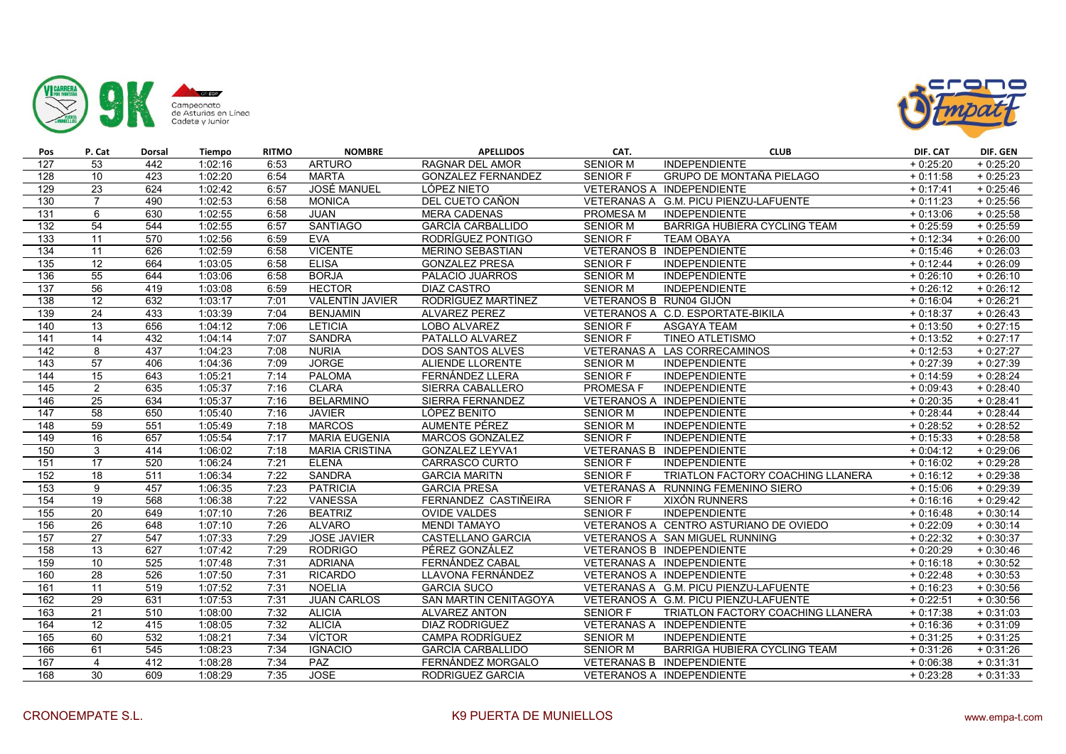



| Pos              | P. Cat          | Dorsal | Tiempo  | <b>RITMO</b> | <b>NOMBRE</b>          | <b>APELLIDOS</b>             | CAT.                    | <b>CLUB</b>                            | DIF. CAT   | DIF. GEN   |
|------------------|-----------------|--------|---------|--------------|------------------------|------------------------------|-------------------------|----------------------------------------|------------|------------|
| 127              | 53              | 442    | 1:02:16 | 6:53         | <b>ARTURO</b>          | <b>RAGNAR DEL AMOR</b>       | <b>SENIOR M</b>         | <b>INDEPENDIENTE</b>                   | $+0:25:20$ | $+0:25:20$ |
| 128              | 10              | 423    | 1:02:20 | 6:54         | <b>MARTA</b>           | <b>GONZALEZ FERNANDEZ</b>    | <b>SENIOR F</b>         | GRUPO DE MONTAÑA PIELAGO               | $+0:11:58$ | $+0:25:23$ |
| 129              | $\overline{23}$ | 624    | 1:02:42 | 6:57         | <b>JOSÉ MANUEL</b>     | LÓPEZ NIETO                  |                         | VETERANOS A INDEPENDIENTE              | $+0:17:41$ | $+0:25:46$ |
| 130              | $\overline{7}$  | 490    | 1:02:53 | 6:58         | <b>MONICA</b>          | DEL CUETO CAÑON              |                         | VETERANAS A G.M. PICU PIENZU-LAFUENTE  | $+0:11:23$ | $+0:25:56$ |
| $\overline{131}$ | 6               | 630    | 1:02:55 | 6:58         | <b>JUAN</b>            | <b>MERA CADENAS</b>          | PROMESA M               | <b>INDEPENDIENTE</b>                   | $+0:13:06$ | $+0:25:58$ |
| 132              | 54              | 544    | 1:02:55 | 6:57         | SANTIAGO               | <b>GARCÍA CARBALLIDO</b>     | <b>SENIOR M</b>         | BARRIGA HUBIERA CYCLING TEAM           | $+0:25:59$ | $+0:25:59$ |
| 133              | 11              | 570    | 1:02:56 | 6:59         | <b>EVA</b>             | RODRÍGUEZ PONTIGO            | <b>SENIOR F</b>         | <b>TEAM OBAYA</b>                      | $+0:12:34$ | $+0:26:00$ |
| 134              | 11              | 626    | 1:02:59 | 6:58         | <b>VICENTE</b>         | <b>MERINO SEBASTIAN</b>      |                         | <b>VETERANOS B INDEPENDIENTE</b>       | $+0:15:46$ | $+0:26:03$ |
| $\frac{135}{2}$  | 12              | 664    | 1:03:05 | 6:58         | <b>ELISA</b>           | <b>GONZALEZ PRESA</b>        | SENIOR F                | <b>INDEPENDIENTE</b>                   | $+0:12:44$ | $+0:26:09$ |
| 136              | $\overline{55}$ | 644    | 1:03:06 | 6:58         | <b>BORJA</b>           | PALACIO JUARROS              | <b>SENIOR M</b>         | <b>INDEPENDIENTE</b>                   | $+0:26:10$ | $+0:26:10$ |
| 137              | 56              | 419    | 1:03:08 | 6:59         | <b>HECTOR</b>          | <b>DIAZ CASTRO</b>           | <b>SENIOR M</b>         | <b>INDEPENDIENTE</b>                   | $+0:26:12$ | $+0:26:12$ |
| 138              | 12              | 632    | 1:03:17 | 7:01         | <b>VALENTÍN JAVIER</b> | RODRÍGUEZ MARTÍNEZ           | VETERANOS B RUN04 GIJÓN |                                        | $+0:16:04$ | $+0:26:21$ |
| 139              | 24              | 433    | 1:03:39 | 7:04         | <b>BENJAMIN</b>        | <b>ALVAREZ PEREZ</b>         |                         | VETERANOS A C.D. ESPORTATE-BIKILA      | $+0:18:37$ | $+0:26:43$ |
| 140              | $\overline{13}$ | 656    | 1:04:12 | 7:06         | <b>LETICIA</b>         | LOBO ALVAREZ                 | <b>SENIOR F</b>         | <b>ASGAYA TEAM</b>                     | $+0:13:50$ | $+0:27:15$ |
| 141              | $\overline{14}$ | 432    | 1:04:14 | 7:07         | <b>SANDRA</b>          | PATALLO ALVAREZ              | <b>SENIOR F</b>         | <b>TINEO ATLETISMO</b>                 | $+0:13:52$ | $+0:27:17$ |
| 142              | 8               | 437    | 1:04:23 | 7:08         | <b>NURIA</b>           | <b>DOS SANTOS ALVES</b>      |                         | VETERANAS A LAS CORRECAMINOS           | $+0:12:53$ | $+0:27:27$ |
| 143              | 57              | 406    | 1:04:36 | 7:09         | <b>JORGE</b>           | ALIENDE LLORENTE             | <b>SENIOR M</b>         | <b>INDEPENDIENTE</b>                   | $+0:27:39$ | $+0:27:39$ |
| 144              | 15              | 643    | 1:05:21 | 7:14         | <b>PALOMA</b>          | FERNÁNDEZ LLERA              | <b>SENIOR F</b>         | <b>INDEPENDIENTE</b>                   | $+0:14:59$ | $+0:28:24$ |
| 145              | 2               | 635    | 1:05:37 | 7:16         | <b>CLARA</b>           | SIERRA CABALLERO             | <b>PROMESA F</b>        | <b>INDEPENDIENTE</b>                   | $+0:09:43$ | $+0:28:40$ |
| 146              | $\overline{25}$ | 634    | 1:05:37 | 7:16         | <b>BELARMINO</b>       | SIERRA FERNANDEZ             |                         | VETERANOS A INDEPENDIENTE              | $+0:20:35$ | $+0:28:41$ |
| 147              | $\overline{58}$ | 650    | 1:05:40 | 7:16         | <b>JAVIER</b>          | LÓPEZ BENITO                 | <b>SENIOR M</b>         | <b>INDEPENDIENTE</b>                   | $+0:28:44$ | $+0:28:44$ |
| 148              | 59              | 551    | 1:05:49 | 7:18         | <b>MARCOS</b>          | AUMENTE PÉREZ                | <b>SENIOR M</b>         | INDEPENDIENTE                          | $+0:28:52$ | $+0:28:52$ |
| 149              | $\overline{16}$ | 657    | 1:05:54 | 7:17         | <b>MARIA EUGENIA</b>   | MARCOS GONZALEZ              | <b>SENIOR F</b>         | <b>INDEPENDIENTE</b>                   | $+0:15:33$ | $+0:28:58$ |
| 150              | 3               | 414    | 1:06:02 | 7:18         | <b>MARIA CRISTINA</b>  | <b>GONZALEZ LEYVA1</b>       |                         | VETERANAS B INDEPENDIENTE              | $+0:04:12$ | $+0.29:06$ |
| 151              | 17              | 520    | 1:06:24 | 7:21         | <b>ELENA</b>           | CARRASCO CURTO               | SENIOR F                | <b>INDEPENDIENTE</b>                   | $+0:16:02$ | $+0:29:28$ |
| 152              | 18              | 511    | 1:06:34 | 7:22         | <b>SANDRA</b>          | <b>GARCIA MARITN</b>         | <b>SENIOR F</b>         | TRIATLON FACTORY COACHING LLANERA      | $+0.16:12$ | $+0:29:38$ |
| 153              | 9               | 457    | 1:06:35 | 7:23         | <b>PATRICIA</b>        | <b>GARCIA PRESA</b>          |                         | VETERANAS A RUNNING FEMENINO SIERO     | $+0:15:06$ | $+0:29:39$ |
| 154              | 19              | 568    | 1:06:38 | 7:22         | <b>VANESSA</b>         | FERNANDEZ CASTIÑEIRA         | <b>SENIOR F</b>         | <b>XIXÓN RUNNERS</b>                   | $+0:16:16$ | $+0:29:42$ |
| 155              | 20              | 649    | 1:07:10 | 7:26         | <b>BEATRIZ</b>         | <b>OVIDE VALDES</b>          | SENIOR F                | <b>INDEPENDIENTE</b>                   | $+0:16:48$ | $+0:30:14$ |
| 156              | $\overline{26}$ | 648    | 1:07:10 | 7:26         | <b>ALVARO</b>          | <b>MENDI TAMAYO</b>          |                         | VETERANOS A CENTRO ASTURIANO DE OVIEDO | $+0:22:09$ | $+0:30:14$ |
| 157              | 27              | 547    | 1:07:33 | 7:29         | <b>JOSE JAVIER</b>     | CASTELLANO GARCIA            |                         | VETERANOS A SAN MIGUEL RUNNING         | $+0:22:32$ | $+0:30:37$ |
| 158              | $\overline{13}$ | 627    | 1:07:42 | 7:29         | <b>RODRIGO</b>         | PÉREZ GONZÁLEZ               |                         | <b>VETERANOS B INDEPENDIENTE</b>       | $+0:20:29$ | $+0:30:46$ |
| 159              | 10              | 525    | 1:07:48 | 7:31         | <b>ADRIANA</b>         | FERNÁNDEZ CABAL              |                         | VETERANAS A INDEPENDIENTE              | $+0:16:18$ | $+0:30:52$ |
| 160              | 28              | 526    | 1:07:50 | 7:31         | <b>RICARDO</b>         | LLAVONA FERNÁNDEZ            |                         | VETERANOS A INDEPENDIENTE              | $+0:22:48$ | $+0:30:53$ |
| 161              | 11              | 519    | 1:07:52 | 7:31         | <b>NOELIA</b>          | <b>GARCIA SUCO</b>           |                         | VETERANAS A G.M. PICU PIENZU-LAFUENTE  | $+0:16:23$ | $+0:30:56$ |
| 162              | 29              | 631    | 1:07:53 | 7:31         | <b>JUAN CARLOS</b>     | <b>SAN MARTIN CENITAGOYA</b> |                         | VETERANOS A G.M. PICU PIENZU-LAFUENTE  | $+0:22:51$ | $+0:30:56$ |
| 163              | 21              | 510    | 1:08:00 | 7:32         | <b>ALICIA</b>          | ALVAREZ ANTON                | <b>SENIOR F</b>         | TRIATLON FACTORY COACHING LLANERA      | $+0:17:38$ | $+0:31:03$ |
| 164              | 12              | 415    | 1:08:05 | 7:32         | <b>ALICIA</b>          | <b>DIAZ RODRIGUEZ</b>        |                         | VETERANAS A INDEPENDIENTE              | $+0:16:36$ | $+0:31:09$ |
| 165              | 60              | 532    | 1:08:21 | 7:34         | <b>VÍCTOR</b>          | <b>CAMPA RODRÍGUEZ</b>       | <b>SENIOR M</b>         | <b>INDEPENDIENTE</b>                   | $+0:31:25$ | $+0:31:25$ |
| 166              | 61              | 545    | 1:08:23 | 7:34         | <b>IGNACIO</b>         | <b>GARCÍA CARBALLIDO</b>     | <b>SENIOR M</b>         | <b>BARRIGA HUBIERA CYCLING TEAM</b>    | $+0:31:26$ | $+0:31:26$ |
| 167              | 4               | 412    | 1:08:28 | 7:34         | <b>PAZ</b>             | FERNÁNDEZ MORGALO            |                         | VETERANAS B INDEPENDIENTE              | $+0:06:38$ | $+0:31:31$ |
| 168              | $\overline{30}$ | 609    | 1:08:29 | 7:35         | <b>JOSE</b>            | RODRIGUEZ GARCIA             |                         | VETERANOS A INDEPENDIENTE              | $+0:23:28$ | $+0:31:33$ |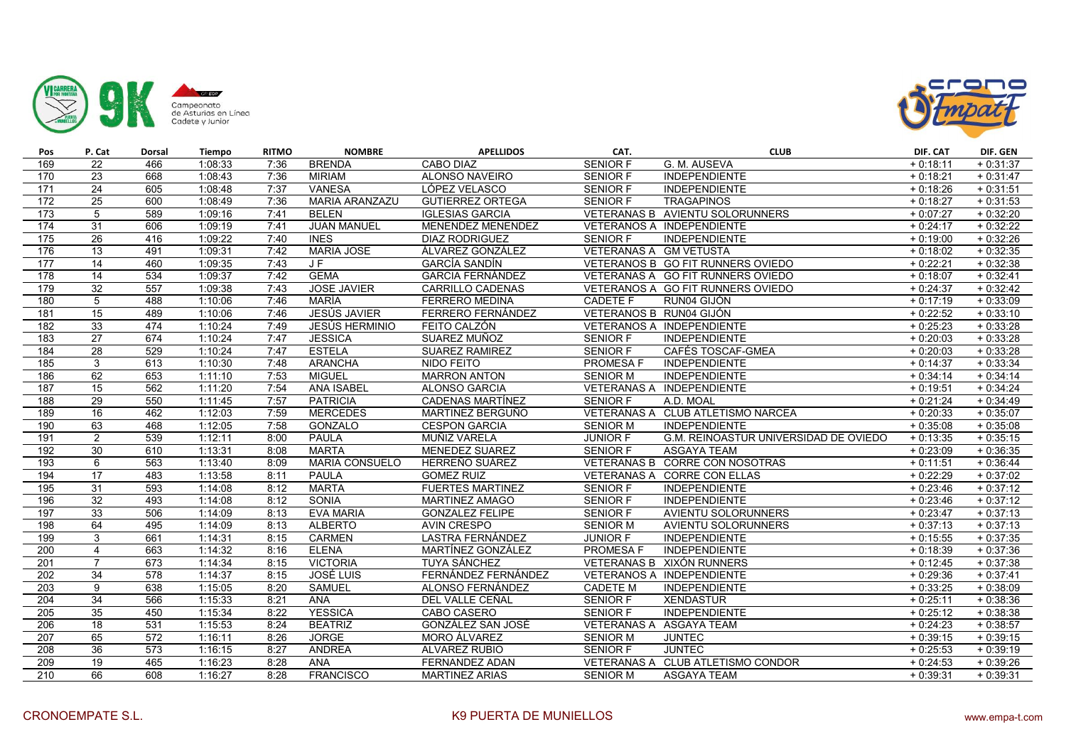



| Pos              | P. Cat          | Dorsal           | Tiempo  | <b>RITMO</b> | <b>NOMBRE</b>         | <b>APELLIDOS</b>         | CAT.                    | <b>CLUB</b>                           | DIF. CAT   | DIF. GEN   |
|------------------|-----------------|------------------|---------|--------------|-----------------------|--------------------------|-------------------------|---------------------------------------|------------|------------|
| 169              | $\overline{22}$ | 466              | 1:08:33 | 7:36         | <b>BRENDA</b>         | CABO DIAZ                | <b>SENIOR F</b>         | G. M. AUSEVA                          | $+0:18:11$ | $+0:31:37$ |
| 170              | 23              | 668              | 1:08:43 | 7:36         | <b>MIRIAM</b>         | ALONSO NAVEIRO           | <b>SENIOR F</b>         | <b>INDEPENDIENTE</b>                  | $+0:18:21$ | $+0:31:47$ |
| 171              | 24              | 605              | 1:08:48 | 7:37         | <b>VANESA</b>         | LÓPEZ VELASCO            | <b>SENIOR F</b>         | <b>INDEPENDIENTE</b>                  | $+0:18:26$ | $+0:31:51$ |
| 172              | 25              | 600              | 1:08:49 | 7:36         | <b>MARIA ARANZAZU</b> | <b>GUTIERREZ ORTEGA</b>  | SENIOR F                | <b>TRAGAPINOS</b>                     | $+0:18:27$ | $+0:31:53$ |
| 173              | $\sqrt{5}$      | 589              | 1:09:16 | 7:41         | <b>BELEN</b>          | <b>IGLESIAS GARCIA</b>   |                         | VETERANAS B AVIENTU SOLORUNNERS       | $+0:07:27$ | $+0:32:20$ |
| 174              | 31              | 606              | 1:09:19 | 7:41         | <b>JUAN MANUEL</b>    | MENENDEZ MENENDEZ        |                         | VETERANOS A INDEPENDIENTE             | $+0:24:17$ | $+0:32:22$ |
| 175              | 26              | 416              | 1:09:22 | 7:40         | <b>INES</b>           | <b>DIAZ RODRIGUEZ</b>    | <b>SENIOR F</b>         | <b>INDEPENDIENTE</b>                  | $+0:19:00$ | $+0:32:26$ |
| 176              | 13              | 491              | 1:09:31 | 7:42         | <b>MARIA JOSE</b>     | ÁLVAREZ GONZÁLEZ         | VETERANAS A GM VETUSTA  |                                       | $+0:18:02$ | $+0:32:35$ |
| 177              | 14              | 460              | 1:09:35 | 7:43         | JF                    | <b>GARCÍA SANDÍN</b>     |                         | VETERANOS B GO FIT RUNNERS OVIEDO     | $+0:22:21$ | $+0:32:38$ |
| 178              | 14              | 534              | 1:09:37 | 7:42         | <b>GEMA</b>           | <b>GARCIA FERNÁNDEZ</b>  |                         | VETERANAS A GO FIT RUNNERS OVIEDO     | $+0:18:07$ | $+0:32:41$ |
| 179              | 32              | 557              | 1:09:38 | 7:43         | <b>JOSE JAVIER</b>    | <b>CARRILLO CADENAS</b>  |                         | VETERANOS A GO FIT RUNNERS OVIEDO     | $+0:24:37$ | $+0:32:42$ |
| 180              | 5               | 488              | 1:10:06 | 7:46         | MARÍA                 | <b>FERRERO MEDINA</b>    | <b>CADETE F</b>         | RUN04 GIJÓN                           | $+0:17:19$ | $+0:33:09$ |
| 181              | 15              | 489              | 1:10:06 | 7:46         | <b>JESÚS JAVIER</b>   | FERRERO FERNÁNDEZ        | VETERANOS B RUN04 GIJÓN |                                       | $+0:22:52$ | $+0:33:10$ |
| 182              | 33              | 474              | 1:10:24 | 7:49         | <b>JESÚS HERMINIO</b> | FEITO CALZÓN             |                         | VETERANOS A INDEPENDIENTE             | $+0:25:23$ | $+0:33:28$ |
| 183              | 27              | 674              | 1:10:24 | 7:47         | <b>JESSICA</b>        | SUAREZ MUÑOZ             | <b>SENIOR F</b>         | <b>INDEPENDIENTE</b>                  | $+0:20:03$ | $+0:33:28$ |
| 184              | 28              | 529              | 1:10:24 | 7:47         | <b>ESTELA</b>         | SUAREZ RAMIREZ           | <b>SENIOR F</b>         | CAFÉS TOSCAF-GMEA                     | $+0:20:03$ | $+0:33:28$ |
| 185              | 3               | 613              | 1:10:30 | 7:48         | <b>ARANCHA</b>        | NIDO FEITO               | PROMESA F               | <b>INDEPENDIENTE</b>                  | $+0:14:37$ | $+0:33:34$ |
| 186              | 62              | 653              | 1:11:10 | 7:53         | <b>MIGUEL</b>         | <b>MARRON ANTON</b>      | <b>SENIOR M</b>         | <b>INDEPENDIENTE</b>                  | $+0:34:14$ | $+0:34:14$ |
| 187              | 15              | 562              | 1:11:20 | 7:54         | <b>ANA ISABEL</b>     | <b>ALONSO GARCIA</b>     |                         | VETERANAS A INDEPENDIENTE             | $+0:19:51$ | $+0:34:24$ |
| 188              | 29              | 550              | 1:11:45 | 7:57         | <b>PATRICIA</b>       | CADENAS MARTÍNEZ         | SENIOR F                | A.D. MOAL                             | $+0:21:24$ | $+0:34:49$ |
| 189              | 16              | 462              | 1:12:03 | 7:59         | <b>MERCEDES</b>       | MARTINEZ BERGUÑO         |                         | VETERANAS A CLUB ATLETISMO NARCEA     | $+0:20:33$ | $+0:35:07$ |
| 190              | 63              | 468              | 1:12:05 | 7:58         | <b>GONZALO</b>        | <b>CESPON GARCIA</b>     | <b>SENIOR M</b>         | <b>INDEPENDIENTE</b>                  | $+0:35:08$ | $+0:35:08$ |
| 191              | $\overline{2}$  | 539              | 1:12:11 | 8:00         | PAULA                 | MUÑIZ VARELA             | <b>JUNIOR F</b>         | G.M. REINOASTUR UNIVERSIDAD DE OVIEDO | $+0:13:35$ | $+0:35:15$ |
| 192              | $\overline{30}$ | 610              | 1:13:31 | 8:08         | <b>MARTA</b>          | MENEDEZ SUAREZ           | <b>SENIOR F</b>         | <b>ASGAYA TEAM</b>                    | $+0:23:09$ | $+0:36:35$ |
| 193              | 6               | 563              | 1:13:40 | 8:09         | <b>MARIA CONSUELO</b> | HERREÑO SUÁREZ           |                         | VETERANAS B CORRE CON NOSOTRAS        | $+0:11:51$ | $+0:36:44$ |
| 194              | 17              | 483              | 1:13:58 | 8:11         | <b>PAULA</b>          | <b>GOMEZ RUIZ</b>        |                         | VETERANAS A CORRE CON ELLAS           | $+0:22:29$ | $+0:37:02$ |
| 195              | 31              | 593              | 1:14:08 | 8:12         | <b>MARTA</b>          | <b>FUERTES MARTINEZ</b>  | SENIOR F                | <b>INDEPENDIENTE</b>                  | $+0:23:46$ | $+0:37:12$ |
| 196              | 32              | 493              | 1:14:08 | 8:12         | <b>SONIA</b>          | <b>MARTINEZ AMAGO</b>    | <b>SENIOR F</b>         | <b>INDEPENDIENTE</b>                  | $+0:23:46$ | $+0:37:12$ |
| 197              | 33              | 506              | 1:14:09 | 8:13         | <b>EVA MARIA</b>      | <b>GONZALEZ FELIPE</b>   | <b>SENIOR F</b>         | <b>AVIENTU SOLORUNNERS</b>            | $+0:23:47$ | $+0:37:13$ |
| 198              | 64              | 495              | 1:14:09 | 8:13         | <b>ALBERTO</b>        | <b>AVIN CRESPO</b>       | <b>SENIOR M</b>         | AVIENTU SOLORUNNERS                   | $+0:37:13$ | $+0:37:13$ |
| 199              | 3               | 661              | 1:14:31 | 8:15         | <b>CARMEN</b>         | LASTRA FERNÁNDEZ         | <b>JUNIOR F</b>         | <b>INDEPENDIENTE</b>                  | $+0:15:55$ | $+0:37:35$ |
| 200              | $\overline{4}$  | 663              | 1:14:32 | 8:16         | <b>ELENA</b>          | <b>MARTÍNEZ GONZÁLEZ</b> | <b>PROMESA F</b>        | <b>INDEPENDIENTE</b>                  | $+0:18:39$ | $+0:37:36$ |
| 201              | $\overline{7}$  | 673              | 1:14:34 | 8:15         | <b>VICTORIA</b>       | <b>TUYA SÁNCHEZ</b>      |                         | VETERANAS B XIXÓN RUNNERS             | $+0:12:45$ | $+0:37:38$ |
| 202              | 34              | 578              | 1:14:37 | 8:15         | JOSÉ LUIS             | FERNÁNDEZ FERNÁNDEZ      |                         | VETERANOS A INDEPENDIENTE             | $+0:29:36$ | $+0:37:41$ |
| 203              | 9               | 638              | 1:15:05 | 8:20         | <b>SAMUEL</b>         | ALONSO FERNÁNDEZ         | <b>CADETE M</b>         | <b>INDEPENDIENTE</b>                  | $+0:33:25$ | $+0:38:09$ |
| 204              | $\overline{34}$ | 566              | 1:15:33 | 8:21         | <b>ANA</b>            | DEL VALLE CEÑAL          | <b>SENIOR F</b>         | <b>XENDASTUR</b>                      | $+0:25:11$ | $+0:38:36$ |
| 205              | 35              | 450              | 1:15:34 | 8:22         | <b>YESSICA</b>        | CABO CASERO              | <b>SENIOR F</b>         | <b>INDEPENDIENTE</b>                  | $+0:25:12$ | $+0:38:38$ |
| 206              | 18              | 531              | 1:15:53 | 8:24         | <b>BEATRIZ</b>        | GONZÁLEZ SAN JOSÉ        |                         | VETERANAS A ASGAYA TEAM               | $+0:24:23$ | $+0:38:57$ |
| 207              | 65              | $\overline{572}$ | 1:16:11 | 8:26         | <b>JORGE</b>          | MORO ÁLVAREZ             | <b>SENIOR M</b>         | <b>JUNTEC</b>                         | $+0:39:15$ | $+0:39:15$ |
| 208              | $\overline{36}$ | 573              | 1:16:15 | 8:27         | <b>ANDREA</b>         | <b>ALVAREZ RUBIO</b>     | <b>SENIOR F</b>         | <b>JUNTEC</b>                         | $+0:25:53$ | $+0:39:19$ |
| 209              | 19              | 465              | 1:16:23 | 8:28         | <b>ANA</b>            | FERNANDEZ ADAN           |                         | VETERANAS A CLUB ATLETISMO CONDOR     | $+0:24:53$ | $+0:39:26$ |
| $\overline{210}$ | 66              | 608              | 1:16:27 | 8:28         | <b>FRANCISCO</b>      | <b>MARTINEZ ARIAS</b>    | <b>SENIOR M</b>         | <b>ASGAYA TEAM</b>                    | $+0:39:31$ | $+0:39:31$ |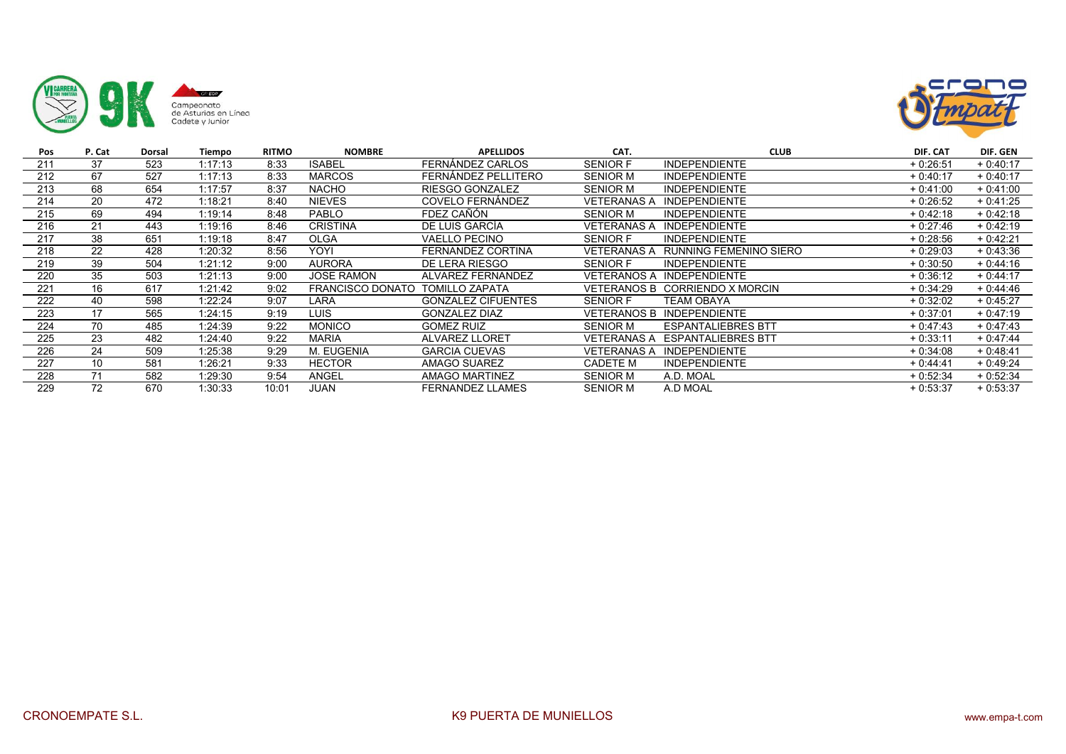



| Pos | P. Cat | Dorsal | Tiempo  | <b>RITMO</b> | <b>NOMBRE</b>     | <b>APELLIDOS</b>          | CAT.               | <b>CLUB</b>                           | DIF. CAT   | DIF. GEN   |
|-----|--------|--------|---------|--------------|-------------------|---------------------------|--------------------|---------------------------------------|------------|------------|
| 211 | 37     | 523    | 1:17:13 | 8:33         | <b>ISABEL</b>     | FERNÁNDEZ CARLOS          | <b>SENIOR F</b>    | <b>INDEPENDIENTE</b>                  | $+0.26:51$ | $+0:40:17$ |
| 212 | 67     | 527    | 1:17:13 | 8:33         | <b>MARCOS</b>     | FERNÁNDEZ PELLITERO       | <b>SENIOR M</b>    | <b>INDEPENDIENTE</b>                  | $+0:40:17$ | $+0:40:17$ |
| 213 | 68     | 654    | 1:17:57 | 8:37         | <b>NACHO</b>      | RIESGO GONZALEZ           | <b>SENIOR M</b>    | <b>INDEPENDIENTE</b>                  | $+0:41:00$ | $+0:41:00$ |
| 214 | 20     | 472    | 1:18:21 | 8:40         | <b>NIEVES</b>     | COVELO FERNÁNDEZ          | <b>VETERANAS A</b> | <b>INDEPENDIENTE</b>                  | $+0.26:52$ | $+0:41:25$ |
| 215 | 69     | 494    | 1:19:14 | 8:48         | <b>PABLO</b>      | FDEZ CAÑÓN                | <b>SENIOR M</b>    | <b>INDEPENDIENTE</b>                  | $+0:42:18$ | $+0:42:18$ |
| 216 | 21     | 443    | 1:19:16 | 8:46         | <b>CRISTINA</b>   | DE LUIS GARCÍA            | <b>VETERANAS A</b> | <b>INDEPENDIENTE</b>                  | $+0:27:46$ | $+0:42:19$ |
| 217 | 38     | 651    | 1:19:18 | 8:47         | <b>OLGA</b>       | <b>VAELLO PECINO</b>      | <b>SENIOR F</b>    | <b>INDEPENDIENTE</b>                  | $+0.28:56$ | $+0.42:21$ |
| 218 | 22     | 428    | 1:20:32 | 8:56         | YOYI              | FERNANDEZ CORTINA         | VETERANAS A        | RUNNING FEMENINO SIERO                | $+0.29:03$ | $+0.43.36$ |
| 219 | 39     | 504    | 1:21:12 | 9:00         | <b>AURORA</b>     | DE LERA RIESGO            | <b>SENIOR F</b>    | <b>INDEPENDIENTE</b>                  | $+0:30:50$ | $+0:44:16$ |
| 220 | 35     | 503    | 1:21:13 | 9:00         | <b>JOSE RAMON</b> | ALVAREZ FERNANDEZ         | VETERANOS A        | <b>INDEPENDIENTE</b>                  | $+0:36:12$ | $+0:44:17$ |
| 221 | 16     | 617    | 1:21:42 | 9:02         | FRANCISCO DONATO  | <b>TOMILLO ZAPATA</b>     | VETERANOS B        | CORRIENDO X MORCIN                    | $+0:34:29$ | $+0:44:46$ |
| 222 | 40     | 598    | 1:22:24 | 9:07         | LARA              | <b>GONZALEZ CIFUENTES</b> | <b>SENIOR F</b>    | TEAM OBAYA                            | $+0:32:02$ | $+0.45:27$ |
| 223 | 17     | 565    | 1:24:15 | 9:19         | <b>LUIS</b>       | <b>GONZALEZ DIAZ</b>      | <b>VETERANOS B</b> | <b>INDEPENDIENTE</b>                  | $+0:37:01$ | $+0:47:19$ |
| 224 | 70     | 485    | 1:24:39 | 9:22         | <b>MONICO</b>     | <b>GOMEZ RUIZ</b>         | <b>SENIOR M</b>    | <b>ESPANTALIEBRES BTT</b>             | $+0.47:43$ | $+0.47.43$ |
| 225 | 23     | 482    | 1:24:40 | 9:22         | <b>MARIA</b>      | <b>ALVAREZ LLORET</b>     |                    | <b>VETERANAS A ESPANTALIEBRES BTT</b> | $+0:33:11$ | $+0.47:44$ |
| 226 | 24     | 509    | 1:25:38 | 9:29         | M. EUGENIA        | <b>GARCIA CUEVAS</b>      | <b>VETERANAS A</b> | <b>INDEPENDIENTE</b>                  | $+0.34:08$ | $+0.48:41$ |
| 227 | 10     | 581    | 1:26:21 | 9:33         | <b>HECTOR</b>     | AMAGO SUAREZ              | CADETE M           | <b>INDEPENDIENTE</b>                  | $+0:44:41$ | $+0:49:24$ |
| 228 | 71     | 582    | 1:29:30 | 9:54         | ANGEL             | <b>AMAGO MARTINEZ</b>     | <b>SENIOR M</b>    | A.D. MOAL                             | $+0.52.34$ | $+0:52:34$ |
| 229 | 72     | 670    | 1:30:33 | 10:01        | <b>JUAN</b>       | <b>FERNANDEZ LLAMES</b>   | <b>SENIOR M</b>    | A.D MOAL                              | $+0.53.37$ | $+0:53:37$ |
|     |        |        |         |              |                   |                           |                    |                                       |            |            |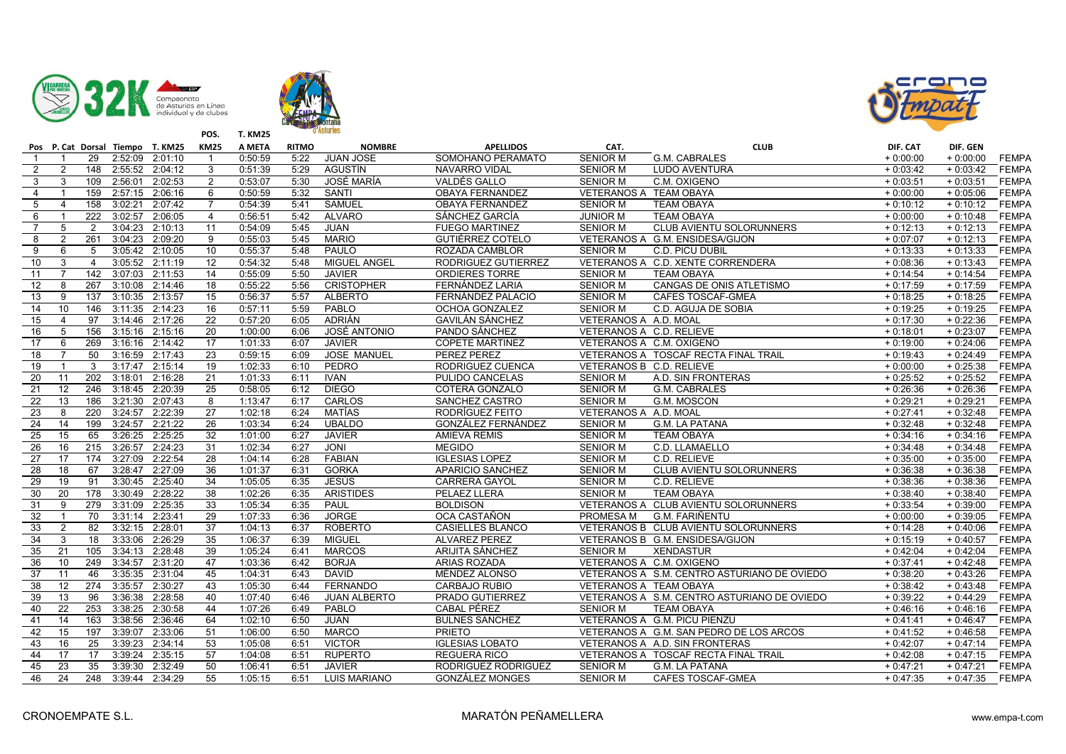





|                         |                 |                  |                 | Pos P. Cat Dorsal Tiempo T. KM25 | <b>KM25</b>     | A META  | <b>RITMO</b> | <b>NOMBRE</b>       | <b>APELLIDOS</b>        | CAT.                     | <b>CLUB</b>                                 | DIF. CAT   | DIF. GEN   |              |
|-------------------------|-----------------|------------------|-----------------|----------------------------------|-----------------|---------|--------------|---------------------|-------------------------|--------------------------|---------------------------------------------|------------|------------|--------------|
| $\overline{1}$          | -1              | 29               | 2:52:09 2:01:10 |                                  | $\mathbf{1}$    | 0:50:59 | 5:22         | <b>JUAN JOSE</b>    | SOMOHANO PERAMATO       | <b>SENIOR M</b>          | G.M. CABRALES                               | $+0:00:00$ | $+0:00:00$ | <b>FEMPA</b> |
| $\overline{2}$          | $\overline{2}$  | 148              | 2:55:52 2:04:12 |                                  | 3               | 0:51:39 | 5:29         | AGUSTÍN             | NAVARRO VIDAL           | <b>SENIOR M</b>          | <b>LUDO AVENTURA</b>                        | $+0:03:42$ | $+0:03:42$ | <b>FEMPA</b> |
| $\mathbf{3}$            | 3               | 109              | 2:56:01 2:02:53 |                                  | $\overline{2}$  | 0:53:07 | 5:30         | JOSÉ MARÍA          | VALDÉS GALLO            | <b>SENIOR M</b>          | C.M. OXIGENO                                | $+0:03:51$ | $+0:03:51$ | <b>FEMPA</b> |
| $\overline{4}$          |                 | 159              | 2:57:15 2:06:16 |                                  | 6               | 0:50:59 | 5:32         | <b>SANTI</b>        | <b>OBAYA FERNANDEZ</b>  | VETERANOS A TEAM OBAYA   |                                             | $+0:00:00$ | $+0:05:06$ | <b>FEMPA</b> |
| $\overline{5}$          | $\overline{4}$  | 158              | 3:02:21         | 2:07:42                          | $\overline{7}$  | 0:54:39 | 5:41         | <b>SAMUEL</b>       | <b>OBAYA FERNANDEZ</b>  | <b>SENIOR M</b>          | <b>TEAM OBAYA</b>                           | $+0:10:12$ | $+0:10:12$ | <b>FEMPA</b> |
| 6                       | $\mathbf{1}$    | 222              | 3:02:57 2:06:05 |                                  | $\overline{4}$  | 0:56:51 | 5:42         | <b>ALVARO</b>       | SÁNCHEZ GARCÍA          | <b>JUNIOR M</b>          | <b>TEAM OBAYA</b>                           | $+0:00:00$ | $+0:10:48$ | <b>FEMPA</b> |
| $\overline{7}$          | 5               | 2                | 3:04:23 2:10:13 |                                  | 11              | 0:54:09 | 5:45         | <b>JUAN</b>         | <b>FUEGO MARTINEZ</b>   | <b>SENIOR M</b>          | CLUB AVIENTU SOLORUNNERS                    | $+0:12:13$ | $+0:12:13$ | <b>FEMPA</b> |
| $\overline{\mathbf{8}}$ | $\overline{2}$  | 261              | 3:04:23 2:09:20 |                                  | 9               | 0:55:03 | 5:45         | <b>MARIO</b>        | <b>GUTIÉRREZ COTELO</b> |                          | VETERANOS A G.M. ENSIDESA/GIJON             | $+0:07:07$ | $+0:12:13$ | <b>FEMPA</b> |
| 9                       | 6               | 5                | 3:05:42 2:10:05 |                                  | 10              | 0:55:37 | 5:48         | PAULO               | ROZADA CAMBLOR          | <b>SENIOR M</b>          | C.D. PICU DUBIL                             | $+0:13:33$ | $+0:13:33$ | <b>FEMPA</b> |
| 10                      | 3               | $\overline{4}$   | 3:05:52 2:11:19 |                                  | $\overline{12}$ | 0:54:32 | 5:48         | <b>MIGUEL ANGEL</b> | RODRIGUEZ GUTIERREZ     |                          | VETERANOS A C.D. XENTE CORRENDERA           | $+0:08:36$ | $+0:13:43$ | <b>FEMPA</b> |
| 11                      | 7               | 142              | 3:07:03         | 2:11:53                          | 14              | 0:55:09 | 5:50         | <b>JAVIER</b>       | <b>ORDIERES TORRE</b>   | <b>SENIOR M</b>          | <b>TEAM OBAYA</b>                           | $+0:14:54$ | $+0:14:54$ | <b>FEMPA</b> |
| 12                      | 8               | 267              | 3:10:08         | 2:14:46                          | 18              | 0:55:22 | 5:56         | <b>CRISTOPHER</b>   | FERNÁNDEZ LARIA         | <b>SENIOR M</b>          | CANGAS DE ONIS ATLETISMO                    | $+0:17:59$ | $+0:17:59$ | <b>FEMPA</b> |
| 13                      | 9               | 137              | 3:10:35         | 2:13:57                          | 15              | 0:56:37 | 5:57         | <b>ALBERTO</b>      | FERNÁNDEZ PALACIO       | <b>SENIOR M</b>          | <b>CAFES TOSCAF-GMEA</b>                    | $+0:18:25$ | $+0:18:25$ | <b>FEMPA</b> |
| $\overline{14}$         | 10              | 146              | 3:11:35 2:14:23 |                                  | 16              | 0:57:11 | 5:59         | PABLO               | OCHOA GONZALEZ          | <b>SENIOR M</b>          | C.D. AGUJA DE SOBIA                         | $+0:19:25$ | $+0:19:25$ | <b>FEMPA</b> |
| 15                      | 4               | 97               | 3:14:46 2:17:26 |                                  | 22              | 0:57:20 | 6:05         | ADRIÁN              | <b>GAVILÁN SÁNCHEZ</b>  | VETERANOS A A.D. MOAL    |                                             | $+0:17:30$ | $+0:22:36$ | <b>FEMPA</b> |
| 16                      | 5               | 156              | 3:15:16         | 2:15:16                          | $\overline{20}$ | 1:00:00 | 6:06         | JOSÉ ANTONIO        | PANDO SÁNCHEZ           | VETERANOS A C.D. RELIEVE |                                             | $+0:18:01$ | $+0:23:07$ | <b>FEMPA</b> |
| $\overline{17}$         | 6               | 269              | 3:16:16 2:14:42 |                                  | $\overline{17}$ | 1:01:33 | 6:07         | <b>JAVIER</b>       | <b>COPETE MARTINEZ</b>  | VETERANOS A C.M. OXIGENO |                                             | $+0:19:00$ | $+0:24:06$ | <b>FEMPA</b> |
| 18                      | $\overline{7}$  | 50               | 3:16:59 2:17:43 |                                  | 23              | 0:59:15 | 6:09         | <b>JOSE MANUEL</b>  | PEREZ PEREZ             |                          | VETERANOS A TOSCAF RECTA FINAL TRAIL        | $+0:19:43$ | $+0:24:49$ | <b>FEMPA</b> |
| 19                      |                 | 3                | 3:17:47         | 2:15:14                          | 19              | 1:02:33 | 6:10         | PEDRO               | RODRIGUEZ CUENCA        | VETERANOS B C.D. RELIEVE |                                             | $+0:00:00$ | $+0:25:38$ | <b>FEMPA</b> |
| $\overline{20}$         | 11              | $\overline{202}$ | 3:18:01         | 2:16:28                          | 21              | 1:01:33 | 6:11         | <b>IVAN</b>         | <b>PULIDO CANCELAS</b>  | <b>SENIOR M</b>          | A.D. SIN FRONTERAS                          | $+0:25:52$ | $+0:25:52$ | <b>FEMPA</b> |
| 21                      | 12              | 246              | 3:18:45 2:20:39 |                                  | 25              | 0:58:05 | 6:12         | <b>DIEGO</b>        | COTERA GONZALO          | SENIOR M                 | G.M. CABRALES                               | $+0:26:36$ | $+0:26:36$ | <b>FEMPA</b> |
| 22                      | 13              | 186              | 3:21:30 2:07:43 |                                  | 8               | 1:13:47 | 6:17         | <b>CARLOS</b>       | SANCHEZ CASTRO          | <b>SENIOR M</b>          | G.M. MOSCON                                 | $+0:29:21$ | $+0.29:21$ | <b>FEMPA</b> |
| 23                      | 8               | $\overline{220}$ | 3:24:57 2:22:39 |                                  | 27              | 1:02:18 | 6:24         | MATÍAS              | RODRÍGUEZ FEITO         | VETERANOS A A.D. MOAL    |                                             | $+0:27:41$ | $+0:32:48$ | <b>FEMPA</b> |
| 24                      | 14              | 199              | 3:24:57         | 2:21:22                          | 26              | 1:03:34 | 6:24         | <b>UBALDO</b>       | GONZÁLEZ FERNÁNDEZ      | <b>SENIOR M</b>          | <b>G.M. LA PATANA</b>                       | $+0:32:48$ | $+0:32:48$ | <b>FEMPA</b> |
| 25                      | 15              | 65               | 3:26:25         | 2:25:25                          | $\overline{32}$ | 1:01:00 | 6:27         | <b>JAVIER</b>       | <b>AMIEVA REMIS</b>     | <b>SENIOR M</b>          | <b>TEAM OBAYA</b>                           | $+0:34:16$ | $+0:34:16$ | <b>FEMPA</b> |
| 26                      | 16              | 215              | 3:26:57         | 2:24:23                          | 31              | 1:02:34 | 6:27         | <b>JONI</b>         | <b>MEGIDO</b>           | <b>SENIOR M</b>          | C.D. LLAMAELLO                              | $+0:34:48$ | $+0:34:48$ | <b>FEMPA</b> |
| 27                      | 17              | 174              | 3:27:09 2:22:54 |                                  | 28              | 1:04:14 | 6:28         | <b>FABIAN</b>       | <b>IGLESIAS LOPEZ</b>   | <b>SENIOR M</b>          | C.D. RELIEVE                                | $+0:35:00$ | $+0:35:00$ | <b>FEMPA</b> |
| $\overline{28}$         | 18              | 67               | 3:28:47         | 2:27:09                          | 36              | 1:01:37 | 6:31         | <b>GORKA</b>        | APARICIO SANCHEZ        | <b>SENIOR M</b>          | CLUB AVIENTU SOLORUNNERS                    | $+0:36:38$ | $+0:36:38$ | <b>FEMPA</b> |
| 29                      | 19              | 91               | 3:30:45         | 2:25:40                          | $\overline{34}$ | 1:05:05 | 6:35         | <b>JESÚS</b>        | <b>CARRERA GAYOL</b>    | <b>SENIOR M</b>          | C.D. RELIEVE                                | $+0:38:36$ | $+0:38:36$ | <b>FEMPA</b> |
| 30                      | 20              | 178              | 3:30:49         | 2:28:22                          | 38              | 1:02:26 | 6:35         | <b>ARISTIDES</b>    | PELAEZ LLERA            | <b>SENIOR M</b>          | <b>TEAM OBAYA</b>                           | $+0:38:40$ | $+0:38:40$ | <b>FEMPA</b> |
| 31                      | 9               | 279              | 3:31:09         | 2:25:35                          | 33              | 1:05:34 | 6:35         | PAUL                | <b>BOLDISON</b>         |                          | VETERANOS A CLUB AVIENTU SOLORUNNERS        | $+0:33:54$ | $+0:39:00$ | <b>FEMPA</b> |
| 32                      | $\mathbf{1}$    | $\overline{70}$  | 3:31:14 2:23:41 |                                  | $\overline{29}$ | 1:07:33 | 6:36         | <b>JORGE</b>        | OCA CASTAÑON            | PROMESA M                | G.M. FARIÑENTU                              | $+0:00:00$ | $+0:39:05$ | <b>FEMPA</b> |
| 33                      | $\overline{2}$  | 82               | 3:32:15         | 2:28:01                          | 37              | 1:04:13 | 6:37         | <b>ROBERTO</b>      | CASIELLES BLANCO        |                          | VETERANOS B CLUB AVIENTU SOLORUNNERS        | $+0:14:28$ | $+0:40:06$ | <b>FEMPA</b> |
| 34                      | 3               | 18               | 3:33:06         | 2:26:29                          | 35              | 1:06:37 | 6:39         | <b>MIGUEL</b>       | <b>ALVAREZ PEREZ</b>    |                          | VETERANOS B G.M. ENSIDESA/GIJON             | $+0:15:19$ | $+0:40:57$ | <b>FEMPA</b> |
| 35                      | 21              | 105              | 3:34:13         | 2:28:48                          | 39              | 1:05:24 | 6:41         | <b>MARCOS</b>       | ARIJITA SÁNCHEZ         | <b>SENIOR M</b>          | <b>XENDASTUR</b>                            | $+0:42:04$ | $+0:42:04$ | <b>FEMPA</b> |
| 36                      | 10              | 249              | 3:34:57         | 2:31:20                          | 47              | 1:03:36 | 6:42         | <b>BORJA</b>        | <b>ARIAS ROZADA</b>     | VETERANOS A C.M. OXIGENO |                                             | $+0:37:41$ | $+0:42:48$ | <b>FEMPA</b> |
| 37                      | 11              | 46               | 3:35:35 2:31:04 |                                  | 45              | 1:04:31 | 6:43         | <b>DAVID</b>        | MÉNDEZ ALONSO           |                          | VETERANOS A S.M. CENTRO ASTURIANO DE OVIEDO | $+0:38:20$ | $+0:43:26$ | <b>FEMPA</b> |
| 38                      | 12              | $\overline{274}$ | 3:35:57         | 2:30:27                          | 43              | 1:05:30 | 6:44         | <b>FERNANDO</b>     | CARBAJO RUBIO           | VETERANOS A TEAM OBAYA   |                                             | $+0:38:42$ | $+0:43:48$ | <b>FEMPA</b> |
| 39                      | 13              | 96               | 3:36:38         | 2:28:58                          | 40              | 1:07:40 | 6:46         | JUAN ALBERTO        | PRADO GUTIERREZ         |                          | VETERANOS A S.M. CENTRO ASTURIANO DE OVIEDO | $+0:39:22$ | $+0:44:29$ | <b>FEMPA</b> |
| 40                      | 22              | 253              | 3:38:25         | 2:30:58                          | 44              | 1:07:26 | 6:49         | PABLO               | <b>CABAL PÉREZ</b>      | <b>SENIOR M</b>          | <b>TEAM OBAYA</b>                           | $+0:46:16$ | $+0:46:16$ | <b>FEMPA</b> |
| 41                      | 14              | 163              | 3:38:56         | 2:36:46                          | 64              | 1:02:10 | 6:50         | <b>JUAN</b>         | <b>BULNES SANCHEZ</b>   |                          | VETERANOS A G.M. PICU PIENZU                | $+0:41:41$ | $+0:46:47$ | <b>FEMPA</b> |
| 42                      | 15              | 197              | 3:39:07 2:33:06 |                                  | 51              | 1:06:00 | 6:50         | <b>MARCO</b>        | <b>PRIETO</b>           |                          | VETERANOS A G.M. SAN PEDRO DE LOS ARCOS     | $+0:41:52$ | $+0:46:58$ | <b>FEMPA</b> |
| 43                      | 16              | $\overline{25}$  | 3:39:23         | 2:34:14                          | $\overline{53}$ | 1:05:08 | 6:51         | <b>VICTOR</b>       | <b>IGLESIAS LOBATO</b>  |                          | VETERANOS A A.D. SIN FRONTERAS              | $+0:42:07$ | $+0:47:14$ | <b>FEMPA</b> |
| 44                      | 17              | 17               | 3:39:24         | 2:35:15                          | 57              | 1:04:08 | 6:51         | <b>RUPERTO</b>      | <b>REGUERA RICO</b>     |                          | VETERANOS A TOSCAF RECTA FINAL TRAIL        | $+0:42:08$ | $+0:47:15$ | <b>FEMPA</b> |
| 45                      | 23              | 35               | 3:39:30         | 2:32:49                          | 50              | 1:06:41 | 6:51         | <b>JAVIER</b>       | RODRIGUEZ RODRIGUEZ     | <b>SENIOR M</b>          | <b>G.M. LA PATANA</b>                       | $+0:47:21$ | $+0:47:21$ | <b>FEMPA</b> |
| 46                      | $\overline{24}$ | 248              | 3:39:44 2:34:29 |                                  | 55              | 1:05:15 | 6:51         | LUIS MARIANO        | <b>GONZÁLEZ MONGES</b>  | <b>SENIOR M</b>          | CAFES TOSCAF-GMEA                           | $+0:47:35$ | $+0:47:35$ | <b>FEMPA</b> |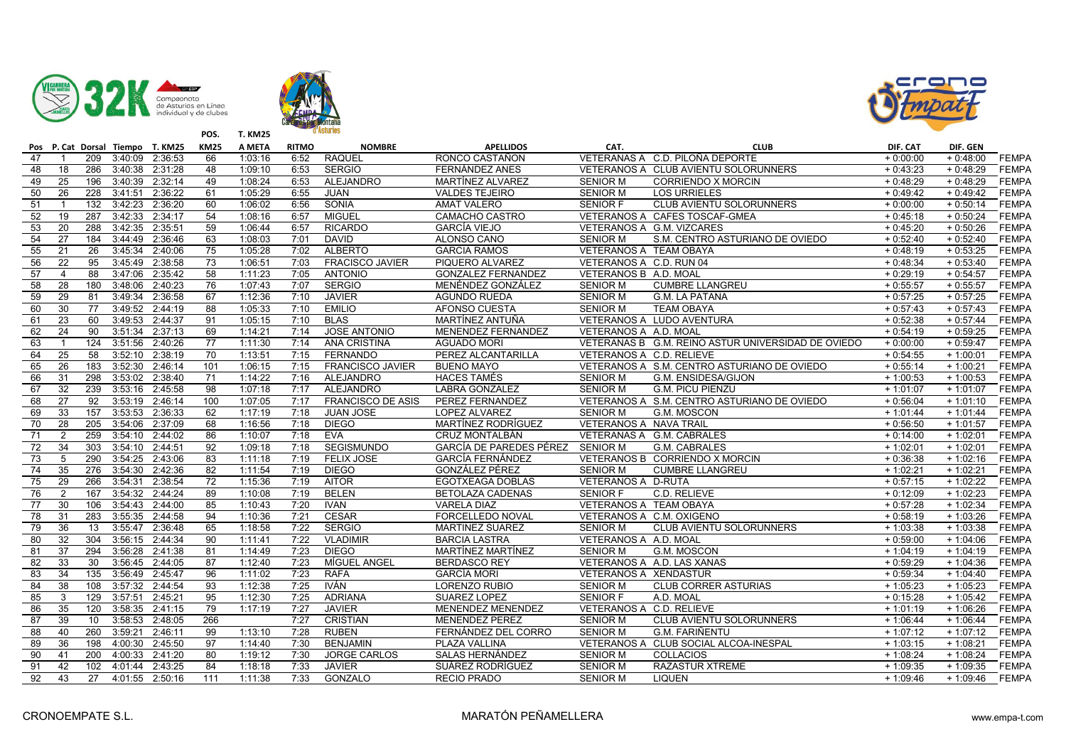





|                 |                 |                  |                 | Pos P. Cat Dorsal Tiempo T. KM25 | <b>KM25</b>     | A META  | <b>RITMO</b> | <b>NOMBRE</b>            | <b>APELLIDOS</b>                 | CAT.                      | <b>CLUB</b>                                        | DIF. CAT   | DIF. GEN   |              |
|-----------------|-----------------|------------------|-----------------|----------------------------------|-----------------|---------|--------------|--------------------------|----------------------------------|---------------------------|----------------------------------------------------|------------|------------|--------------|
| 47              |                 | 209              | 3:40:09         | 2:36:53                          | 66              | 1:03:16 | 6:52         | <b>RAQUEL</b>            | RONCO CASTAÑON                   |                           | VETERANAS A C.D. PILOÑA DEPORTE                    | $+0:00:00$ | $+0:48:00$ | <b>FEMPA</b> |
| 48              | 18              | 286              |                 | 3:40:38 2:31:28                  | 48              | 1:09:10 | 6:53         | <b>SERGIO</b>            | FERNÁNDEZ ANES                   |                           | VETERANOS A CLUB AVIENTU SOLORUNNERS               | $+0:43:23$ | $+0:48:29$ | <b>FEMPA</b> |
| 49              | 25              | 196              |                 | 3:40:39 2:32:14                  | 49              | 1:08:24 | 6:53         | ALEJANDRO                | MARTÍNEZ ALVAREZ                 | <b>SENIOR M</b>           | <b>CORRIENDO X MORCIN</b>                          | $+0:48:29$ | $+0:48:29$ | <b>FEMPA</b> |
| 50              | 26              | 228              | 3:41:51         | 2:36:22                          | 61              | 1:05:29 | 6:55         | <b>JUAN</b>              | <b>VALDES TEJEIRO</b>            | <b>SENIOR M</b>           | <b>LOS URRIELES</b>                                | $+0:49:42$ | $+0:49:42$ | <b>FEMPA</b> |
| 51              | $\mathbf{1}$    | 132              | 3:42:23         | 2:36:20                          | 60              | 1:06:02 | 6:56         | SONIA                    | <b>AMAT VALERO</b>               | <b>SENIOR F</b>           | CLUB AVIENTU SOLORUNNERS                           | $+0:00:00$ | $+0:50:14$ | <b>FEMPA</b> |
| 52              | 19              | 287              | 3:42:33         | 2:34:17                          | 54              | 1:08:16 | 6:57         | <b>MIGUEL</b>            | CAMACHO CASTRO                   |                           | VETERANOS A CAFES TOSCAF-GMEA                      | $+0:45:18$ | $+0:50:24$ | <b>FEMPA</b> |
| 53              | 20              | 288              | 3:42:35         | 2:35:51                          | 59              | 1:06:44 | 6:57         | <b>RICARDO</b>           | <b>GARCÍA VIEJO</b>              |                           | VETERANOS A G.M. VIZCARES                          | $+0:45:20$ | $+0:50:26$ | <b>FEMPA</b> |
| 54              | $\overline{27}$ | 184              | 3:44:49         | 2:36:46                          | 63              | 1:08:03 | 7:01         | <b>DAVID</b>             | ALONSO CANO                      | <b>SENIOR M</b>           | S.M. CENTRO ASTURIANO DE OVIEDO                    | $+0:52:40$ | $+0:52:40$ | <b>FEMPA</b> |
| 55              | 21              | 26               | 3:45:34         | 2:40:06                          | 75              | 1:05:28 | 7:02         | <b>ALBERTO</b>           | <b>GARCIA RAMOS</b>              | VETERANOS A TEAM OBAYA    |                                                    | $+0:48:19$ | $+0:53:25$ | <b>FEMPA</b> |
| 56              | 22              | 95               |                 | 3:45:49 2:38:58                  | 73              | 1:06:51 | 7:03         | <b>FRACISCO JAVIER</b>   | PIQUERO ALVAREZ                  | VETERANOS A C.D. RUN 04   |                                                    | $+0:48:34$ | $+0:53:40$ | <b>FEMPA</b> |
| 57              | $\overline{4}$  | 88               | 3:47:06         | 2:35:42                          | 58              | 1:11:23 | 7:05         | <b>ANTONIO</b>           | <b>GONZALEZ FERNANDEZ</b>        | VETERANOS B A.D. MOAL     |                                                    | $+0:29:19$ | $+0:54:57$ | <b>FEMPA</b> |
| 58              | 28              | 180              | 3:48:06         | 2:40:23                          | 76              | 1:07:43 | 7:07         | <b>SERGIO</b>            | MENÉNDEZ GONZÁLEZ                | <b>SENIOR M</b>           | <b>CUMBRE LLANGREU</b>                             | $+0:55:57$ | $+0:55:57$ | <b>FEMPA</b> |
| 59              | 29              | 81               | 3:49:34         | 2:36:58                          | 67              | 1:12:36 | 7:10         | <b>JAVIER</b>            | <b>AGUNDO RUEDA</b>              | <b>SENIOR M</b>           | <b>G.M. LA PATANA</b>                              | $+0:57:25$ | $+0:57:25$ | <b>FEMPA</b> |
| 60              | 30              | 77               | 3:49:52         | 2:44:19                          | 88              | 1:05:33 | 7:10         | <b>EMILIO</b>            | AFONSO CUESTA                    | <b>SENIOR M</b>           | <b>TEAM OBAYA</b>                                  | $+0:57:43$ | $+0:57:43$ | <b>FEMPA</b> |
| 61              | 23              | 60               |                 | 3:49:53 2:44:37                  | 91              | 1:05:15 | 7:10         | <b>BLAS</b>              | MARTÍNEZ ANTUÑA                  |                           | VETERANOS A LUDO AVENTURA                          | $+0:52:38$ | $+0:57:44$ | <b>FEMPA</b> |
| 62              | 24              | 90               | 3:51:34         | 2:37:13                          | 69              | 1:14:21 | 7:14         | <b>JOSE ANTONIO</b>      | MENENDEZ FERNANDEZ               | VETERANOS A A.D. MOAL     |                                                    | $+0:54:19$ | $+0:59:25$ | FEMPA        |
| 63              | $\overline{1}$  | 124              | 3:51:56         | 2:40:26                          | $\overline{77}$ | 1:11:30 | 7:14         | ANA CRISTINA             | <b>AGUADO MORI</b>               |                           | VETERANAS B G.M. REINO ASTUR UNIVERSIDAD DE OVIEDO | $+0:00:00$ | $+0:59:47$ | <b>FEMPA</b> |
| 64              | 25              | 58               | 3:52:10         | 2:38:19                          | 70              | 1:13:51 | 7:15         | <b>FERNANDO</b>          | PEREZ ALCANTARILLA               | VETERANOS A C.D. RELIEVE  |                                                    | $+0:54:55$ | $+1:00:01$ | <b>FEMPA</b> |
| 65              | 26              | 183              | 3:52:30         | 2:46:14                          | 101             | 1:06:15 | 7:15         | <b>FRANCISCO JAVIER</b>  | <b>BUENO MAYO</b>                |                           | VETERANOS A S.M. CENTRO ASTURIANO DE OVIEDO        | $+0:55:14$ | $+1:00:21$ | <b>FEMPA</b> |
| 66              | 31              | 298              | 3:53:02         | 2:38:40                          | 71              | 1:14:22 | 7:16         | ALEJANDRO                | <b>HACES TAMÉS</b>               | <b>SENIOR M</b>           | G.M. ENSIDESA/GIJON                                | $+1:00:53$ | $+1:00:53$ | <b>FEMPA</b> |
| 67              | 32              | 239              | 3:53:16         | 2:45:58                          | 98              | 1:07:18 | 7:17         | <b>ALEJANDRO</b>         | <b>LABRA GONZALEZ</b>            | <b>SENIOR M</b>           | <b>G.M. PICU PIENZU</b>                            | $+1:01:07$ | $+1:01:07$ | <b>FEMPA</b> |
| 68              | $\overline{27}$ | $\overline{92}$  | 3:53:19         | 2:46:14                          | 100             | 1:07:05 | 7:17         | <b>FRANCISCO DE ASIS</b> | PEREZ FERNANDEZ                  |                           | VETERANOS A S.M. CENTRO ASTURIANO DE OVIEDO        | $+0:56:04$ | $+1:01:10$ | <b>FEMPA</b> |
| 69              | 33              | 157              | 3:53:53         | 2:36:33                          | 62              | 1:17:19 | 7:18         | <b>JUAN JOSE</b>         | LOPEZ ALVAREZ                    | <b>SENIOR M</b>           | G.M. MOSCON                                        | $+1:01:44$ | $+1:01:44$ | <b>FEMPA</b> |
| $\overline{70}$ | 28              | 205              | 3:54:06         | 2:37:09                          | 68              | 1:16:56 | 7:18         | <b>DIEGO</b>             | MARTÍNEZ RODRÍGUEZ               | VETERANOS A NAVA TRAIL    |                                                    | $+0:56:50$ | $+1:01:57$ | <b>FEMPA</b> |
| $\overline{71}$ | $\overline{2}$  | 259              |                 | 3:54:10 2:44:02                  | 86              | 1:10:07 | 7:18         | <b>EVA</b>               | CRUZ MONTALBÁN                   |                           | VETERANAS A G.M. CABRALES                          | $+0:14:00$ | $+1:02:01$ | <b>FEMPA</b> |
| 72              | 34              | 303              |                 | 3:54:10 2:44:51                  | 92              | 1:09:18 | 7:18         | <b>SEGISMUNDO</b>        | GARCÍA DE PAREDES PÉREZ SENIOR M |                           | G.M. CABRALES                                      | $+1:02:01$ | $+1:02:01$ | <b>FEMPA</b> |
| 73              | 5               | 290              | 3:54:25         | 2:43:06                          | 83              | 1:11:18 | 7:19         | <b>FELIX JOSE</b>        | <b>GARCÍA FERNÁNDEZ</b>          |                           | VETERANOS B CORRIENDO X MORCIN                     | $+0:36:38$ | $+1:02:16$ | <b>FEMPA</b> |
| 74              | $\overline{35}$ | 276              | 3:54:30         | 2:42:36                          | 82              | 1:11:54 | 7:19         | <b>DIEGO</b>             | GONZÁLEZ PÉREZ                   | <b>SENIOR M</b>           | <b>CUMBRE LLANGREU</b>                             | $+1:02:21$ | $+1:02:21$ | <b>FEMPA</b> |
| 75              | $\overline{29}$ | 266              | 3:54:31         | 2:38:54                          | $\overline{72}$ | 1:15:36 | 7:19         | <b>AITOR</b>             | EGOTXEAGA DOBLAS                 | <b>VETERANOS A D-RUTA</b> |                                                    | $+0:57:15$ | $+1:02:22$ | <b>FEMPA</b> |
| $\overline{76}$ | $\overline{2}$  | 167              | 3:54:32         | 2:44:24                          | 89              | 1:10:08 | 7:19         | <b>BELEN</b>             | BETOLAZA CADENAS                 | <b>SENIOR F</b>           | C.D. RELIEVE                                       | $+0:12:09$ | $+1:02:23$ | <b>FEMPA</b> |
| 77              | 30              | 106              | 3:54:43         | 2:44:00                          | 85              | 1:10:43 | 7:20         | <b>IVAN</b>              | <b>VARELA DIAZ</b>               | VETERANOS A TEAM OBAYA    |                                                    | $+0:57:28$ | $+1:02:34$ | <b>FEMPA</b> |
| $\overline{78}$ | 31              | 283              |                 | 3:55:35 2:44:58                  | 94              | 1:10:36 | 7:21         | <b>CESAR</b>             | FORCELLEDO NOVAL                 | VETERANOS A C.M. OXIGENO  |                                                    | $+0:58:19$ | $+1:03:26$ | <b>FEMPA</b> |
| 79              | 36              | 13               | 3:55:47         | 2:36:48                          | 65              | 1:18:58 | 7:22         | <b>SERGIO</b>            | <b>MARTINEZ SUAREZ</b>           | <b>SENIOR M</b>           | CLUB AVIENTU SOLORUNNERS                           | $+1:03:38$ | $+1:03:38$ | <b>FEMPA</b> |
| 80              | 32              | 304              | 3:56:15 2:44:34 |                                  | 90              | 1:11:41 | 7:22         | <b>VLADIMIR</b>          | <b>BARCIA LASTRA</b>             | VETERANOS A A.D. MOAL     |                                                    | $+0:59:00$ | $+1:04:06$ | <b>FEMPA</b> |
| 81              | $\overline{37}$ | 294              |                 | 3:56:28 2:41:38                  | 81              | 1:14:49 | 7:23         | <b>DIEGO</b>             | MARTÍNEZ MARTÍNEZ                | <b>SENIOR M</b>           | G.M. MOSCON                                        | $+1:04:19$ | $+1:04:19$ | <b>FEMPA</b> |
| 82              | 33              | 30               |                 | 3:56:45 2:44:05                  | 87              | 1:12:40 | 7:23         | MÍGUEL ANGEL             | <b>BERDASCO REY</b>              |                           | VETERANOS A A.D. LAS XANAS                         | $+0:59:29$ | $+1:04:36$ | <b>FEMPA</b> |
| 83              | 34              | 135              |                 | 3:56:49 2:45:47                  | 96              | 1:11:02 | 7:23         | <b>RAFA</b>              | <b>GARCÍA MORI</b>               | VETERANOS A XENDASTUR     |                                                    | $+0:59:34$ | $+1:04:40$ | <b>FEMPA</b> |
| 84              | 38              | 108              |                 | 3:57:32 2:44:54                  | 93              | 1:12:38 | 7:25         | <b>IVÁN</b>              | LORENZO RUBIO                    | <b>SENIOR M</b>           | <b>CLUB CORRER ASTURIAS</b>                        | $+1:05:23$ | $+1:05:23$ | <b>FEMPA</b> |
| 85              | 3               | 129              | 3:57:51 2:45:21 |                                  | 95              | 1:12:30 | 7:25         | <b>ADRIANA</b>           | SUAREZ LOPEZ                     | <b>SENIOR F</b>           | A.D. MOAL                                          | $+0:15:28$ | $+1:05:42$ | <b>FEMPA</b> |
| 86              | 35              | 120              | 3:58:35         | 2:41:15                          | 79              | 1:17:19 | 7:27         | <b>JAVIER</b>            | MENENDEZ MENENDEZ                | VETERANOS A C.D. RELIEVE  |                                                    | $+1:01:19$ | $+1:06:26$ | <b>FEMPA</b> |
| 87              | 39              | 10               | 3:58:53         | 2:48:05                          | 266             |         | 7:27         | <b>CRISTIAN</b>          | MENENDEZ PEREZ                   | <b>SENIOR M</b>           | CLUB AVIENTU SOLORUNNERS                           | $+1:06:44$ | $+1:06:44$ | <b>FEMPA</b> |
| 88              | 40              | 260              | 3:59:21         | 2:46:11                          | 99              | 1:13:10 | 7:28         | <b>RUBEN</b>             | FERNÁNDEZ DEL CORRO              | <b>SENIOR M</b>           | <b>G.M. FARIÑENTU</b>                              | $+1:07:12$ | $+1:07:12$ | <b>FEMPA</b> |
| 89              | 36              | 198              | 4:00:30         | 2:45:50                          | 97              | 1:14:40 | 7:30         | <b>BENJAMIN</b>          | PLAZA VALLINA                    |                           | VETERANOS A CLUB SOCIAL ALCOA-INESPAL              | $+1:03:15$ | $+1:08:21$ | <b>FEMPA</b> |
| $\overline{90}$ | 41              | $\overline{200}$ | 4:00:33         | 2:41:20                          | 80              | 1:19:12 | 7:30         | <b>JORGE CARLOS</b>      | SALAS HERNÁNDEZ                  | <b>SENIOR M</b>           | <b>COLLACIOS</b>                                   | $+1:08:24$ | $+1:08:24$ | <b>FEMPA</b> |
| 91              | 42              | 102              | 4:01:44         | 2:43:25                          | 84              | 1:18:18 | 7:33         | <b>JAVIER</b>            | SUÁREZ RODRÍGUEZ                 | <b>SENIOR M</b>           | RAZASTUR XTREME                                    | $+1:09:35$ | $+1:09:35$ | <b>FEMPA</b> |
| 92              | 43              | $\overline{27}$  |                 | 4:01:55 2:50:16                  | 111             | 1:11:38 | 7:33         | <b>GONZALO</b>           | <b>RECIO PRADO</b>               | <b>SENIOR M</b>           | <b>LIQUEN</b>                                      | $+1:09:46$ | $+1:09:46$ | FEMPA        |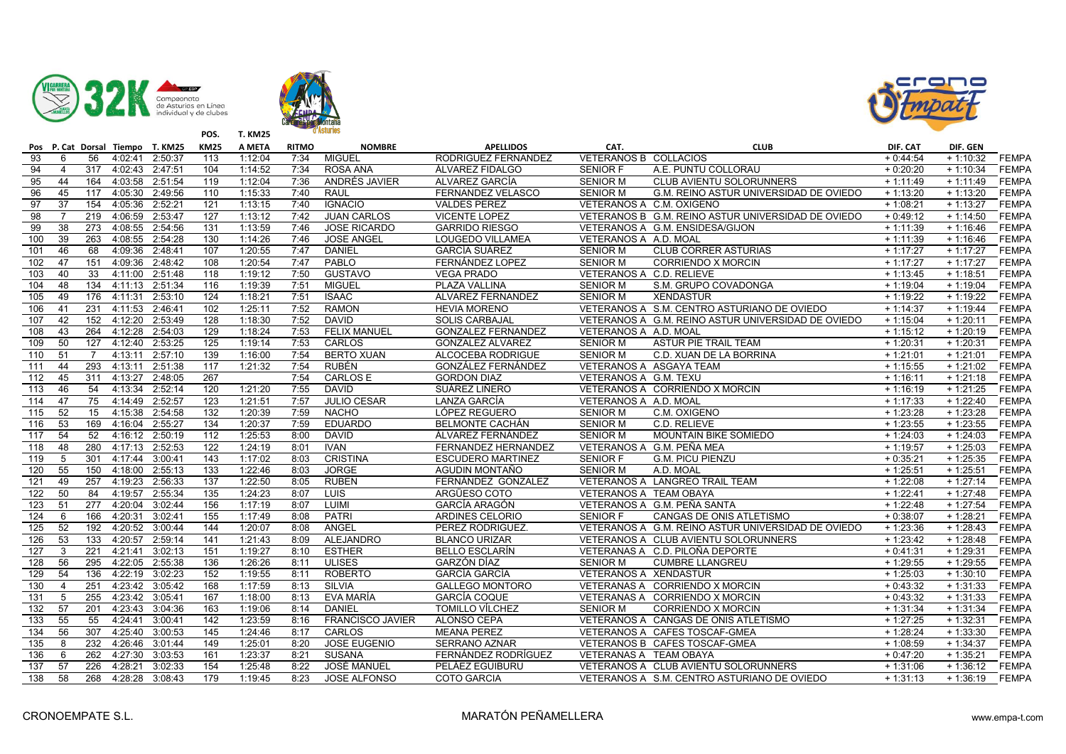





|                  |                 | Pos P. Cat Dorsal Tiempo T. KM25 |                 |                 | <b>KM25</b>      | A META  | <b>RITMO</b> | <b>NOMBRE</b>           | <b>APELLIDOS</b>          | CAT.                     | <b>CLUB</b>                                        | DIF. CAT   | DIF. GEN   |              |
|------------------|-----------------|----------------------------------|-----------------|-----------------|------------------|---------|--------------|-------------------------|---------------------------|--------------------------|----------------------------------------------------|------------|------------|--------------|
| $\overline{93}$  | 6               | 56                               | 4:02:41         | 2:50:37         | 113              | 1:12:04 | 7:34         | <b>MIGUEL</b>           | RODRIGUEZ FERNANDEZ       | VETERANOS B COLLACIOS    |                                                    | $+0:44:54$ | $+1:10:32$ | <b>FEMPA</b> |
| 94               | $\overline{4}$  | 317                              | 4:02:43         | 2:47:51         | 104              | 1:14:52 | 7:34         | ROSA ANA                | ÁLVAREZ FIDALGO           | <b>SENIOR F</b>          | A.E. PUNTU COLLORAU                                | $+0:20:20$ | $+1:10:34$ | <b>FEMPA</b> |
| 95               | 44              | 164                              | 4:03:58         | 2:51:54         | 119              | 1:12:04 | 7:36         | ANDRÉS JAVIER           | ALVAREZ GARCÍA            | <b>SENIOR M</b>          | CLUB AVIENTU SOLORUNNERS                           | $+1:11:49$ | $+1:11:49$ | <b>FEMPA</b> |
| 96               | 45              | 117                              | 4:05:30         | 2:49:56         | 110              | 1:15:33 | 7:40         | <b>RAUL</b>             | FERNANDEZ VELASCO         | <b>SENIOR M</b>          | G.M. REINO ASTUR UNIVERSIDAD DE OVIEDO             | $+1:13:20$ | $+1:13:20$ | <b>FEMPA</b> |
| 97               | 37              | 154                              | 4:05:36         | 2:52:21         | 121              | 1:13:15 | 7:40         | <b>IGNACIO</b>          | <b>VALDES PEREZ</b>       | VETERANOS A C.M. OXIGENO |                                                    | $+1:08:21$ | $+1:13:27$ | <b>FEMPA</b> |
| 98               | $\overline{7}$  | 219                              | 4:06:59         | 2:53:47         | 127              | 1:13:12 | 7:42         | <b>JUAN CARLOS</b>      | <b>VICENTE LOPEZ</b>      |                          | VETERANOS B G.M. REINO ASTUR UNIVERSIDAD DE OVIEDO | $+0:49:12$ | $+1:14:50$ | <b>FEMPA</b> |
| 99               | $\overline{38}$ | 273                              | 4:08:55         | 2:54:56         | 131              | 1:13:59 | 7:46         | <b>JOSE RICARDO</b>     | <b>GARRIDO RIESGO</b>     |                          | VETERANOS A G.M. ENSIDESA/GIJON                    | $+1:11:39$ | $+1:16:46$ | <b>FEMPA</b> |
| 100              | 39              | 263                              | 4:08:55         | 2:54:28         | 130              | 1:14:26 | 7:46         | <b>JOSE ANGEL</b>       | LOUGEDO VILLAMEA          | VETERANOS A A.D. MOAL    |                                                    | $+1:11:39$ | $+1:16:46$ | <b>FEMPA</b> |
| 101              | 46              | 68                               | 4:09:36         | 2:48:41         | 107              | 1:20:55 | 7:47         | <b>DANIEL</b>           | <b>GARCÍA SUÁREZ</b>      | <b>SENIOR M</b>          | <b>CLUB CORRER ASTURIAS</b>                        | $+1:17:27$ | $+1:17:27$ | <b>FEMPA</b> |
| 102              | 47              | 151                              | 4:09:36         | 2:48:42         | 108              | 1:20:54 | 7:47         | PABLO                   | FERNÁNDEZ LOPEZ           | <b>SENIOR M</b>          | <b>CORRIENDO X MORCIN</b>                          | $+1:17:27$ | $+1:17:27$ | <b>FEMPA</b> |
| 103              | 40              | 33                               | 4:11:00         | 2:51:48         | 118              | 1:19:12 | 7:50         | <b>GUSTAVO</b>          | <b>VEGA PRADO</b>         | VETERANOS A C.D. RELIEVE |                                                    | $+1:13:45$ | $+1:18:51$ | <b>FEMPA</b> |
| 104              | 48              | 134                              | 4:11:13 2:51:34 |                 | 116              | 1:19:39 | 7:51         | <b>MIGUEL</b>           | PLAZA VALLINA             | <b>SENIOR M</b>          | S.M. GRUPO COVADONGA                               | $+1:19:04$ | $+1:19:04$ | <b>FEMPA</b> |
| 105              | 49              | 176                              | 4:11:31         | 2:53:10         | 124              | 1:18:21 | 7:51         | <b>ISAAC</b>            | ALVAREZ FERNANDEZ         | <b>SENIOR M</b>          | <b>XENDASTUR</b>                                   | $+1:19:22$ | $+1:19:22$ | <b>FEMPA</b> |
| 106              | 41              | 231                              | 4:11:53         | 2:46:41         | 102              | 1:25:11 | 7:52         | <b>RAMON</b>            | <b>HEVIA MORENO</b>       |                          | VETERANOS A S.M. CENTRO ASTURIANO DE OVIEDO        | $+1:14:37$ | $+1:19:44$ | <b>FEMPA</b> |
| 107              | 42              | 152                              |                 | 4:12:20 2:53:49 | 128              | 1:18:30 | 7:52         | <b>DAVID</b>            | <b>SOLIS CARBAJAL</b>     |                          | VETERANOS A G.M. REINO ASTUR UNIVERSIDAD DE OVIEDO | $+1:15:04$ | $+1:20:11$ | <b>FEMPA</b> |
| 108              | 43              | 264                              | 4:12:28         | 2:54:03         | 129              | 1:18:24 | 7:53         | <b>FELIX MANUEL</b>     | <b>GONZALEZ FERNANDEZ</b> | VETERANOS A A.D. MOAL    |                                                    | $+1:15:12$ | $+1:20:19$ | <b>FEMPA</b> |
| 109              | 50              | 127                              | 4:12:40         | 2:53:25         | 125              | 1:19:14 | 7:53         | CARLOS                  | <b>GONZALEZ ALVAREZ</b>   | <b>SENIOR M</b>          | <b>ASTUR PIE TRAIL TEAM</b>                        | $+1:20:31$ | $+1:20:31$ | <b>FEMPA</b> |
| 110              | 51              | $\overline{7}$                   | 4:13:11         | 2:57:10         | 139              | 1:16:00 | 7:54         | <b>BERTO XUAN</b>       | ALCOCEBA RODRIGUE         | <b>SENIOR M</b>          | C.D. XUAN DE LA BORRINA                            | $+1:21:01$ | $+1:21:01$ | <b>FEMPA</b> |
| $\overline{111}$ | 44              | 293                              | 4:13:11         | 2:51:38         | 117              | 1:21:32 | 7:54         | <b>RUBÉN</b>            | GONZÁLEZ FERNÁNDEZ        | VETERANOS A ASGAYA TEAM  |                                                    | $+1:15:55$ | $+1:21:02$ | <b>FEMPA</b> |
| 112              | 45              | 311                              | 4:13:27         | 2:48:05         | 267              |         | 7:54         | <b>CARLOS E</b>         | <b>GORDON DIAZ</b>        | VETERANOS A G.M. TEXU    |                                                    | $+1:16:11$ | $+1:21:18$ | <b>FEMPA</b> |
| 113              | 46              | 54                               | 4:13:34         | 2:52:14         | 120              | 1:21:20 | 7:55         | <b>DAVID</b>            | SUÁREZ LIÑERO             |                          | VETERANOS A CORRIENDO X MORCIN                     | $+1:16:19$ | $+1:21:25$ | <b>FEMPA</b> |
| 114              | 47              | $\overline{75}$                  | 4:14:49         | 2:52:57         | 123              | 1:21:51 | 7:57         | <b>JULIO CESAR</b>      | LANZA GARCÍA              | VETERANOS A A.D. MOAL    |                                                    | $+1:17:33$ | $+1:22:40$ | <b>FEMPA</b> |
| $\overline{115}$ | 52              | 15                               | 4:15:38         | 2:54:58         | 132              | 1:20:39 | 7:59         | <b>NACHO</b>            | LÓPEZ REGUERO             | <b>SENIOR M</b>          | C.M. OXIGENO                                       | $+1:23:28$ | $+1:23:28$ | <b>FEMPA</b> |
| 116              | 53              | 169                              | 4:16:04         | 2:55:27         | 134              | 1:20:37 | 7:59         | <b>EDUARDO</b>          | <b>BELMONTE CACHÁN</b>    | <b>SENIOR M</b>          | C.D. RELIEVE                                       | $+1:23:55$ | $+1:23:55$ | <b>FEMPA</b> |
| 117              | 54              | 52                               | 4:16:12 2:50:19 |                 | $\overline{112}$ | 1:25:53 | 8:00         | <b>DAVID</b>            | ÁLVAREZ FERNÁNDEZ         | <b>SENIOR M</b>          | MOUNTAIN BIKE SOMIEDO                              | $+1:24:03$ | $+1:24:03$ | <b>FEMPA</b> |
| 118              | 48              | 280                              | 4:17:13         | 2:52:53         | 122              | 1:24:19 | 8:01         | <b>IVAN</b>             | FERNANDEZ HERNANDEZ       |                          | VETERANOS A G.M. PEÑA MEA                          | $+1:19:57$ | $+1:25:03$ | <b>FEMPA</b> |
| 119              | 5               | 301                              | 4:17:44 3:00:41 |                 | 143              | 1:17:02 | 8:03         | <b>CRISTINA</b>         | <b>ESCUDERO MARTINEZ</b>  | SENIOR F                 | <b>G.M. PICU PIENZU</b>                            | $+0:35:21$ | $+1:25:35$ | <b>FEMPA</b> |
| 120              | 55              | 150                              | 4:18:00         | 2:55:13         | 133              | 1:22:46 | 8:03         | <b>JORGE</b>            | AGUDIN MONTAÑO            | <b>SENIOR M</b>          | A.D. MOAL                                          | $+1:25:51$ | $+1:25:51$ | <b>FEMPA</b> |
| 121              | 49              | 257                              | 4:19:23         | 2:56:33         | 137              | 1:22:50 | 8:05         | <b>RUBEN</b>            | FERNÁNDEZ GONZALEZ        |                          | VETERANOS A LANGREO TRAIL TEAM                     | $+1:22:08$ | $+1:27:14$ | <b>FEMPA</b> |
| 122              | 50              | 84                               | 4:19:57 2:55:34 |                 | 135              | 1:24:23 | 8:07         | LUIS                    | ARGÜESO COTO              | VETERANOS A TEAM OBAYA   |                                                    | $+1:22:41$ | $+1:27:48$ | <b>FEMPA</b> |
| 123              | 51              | 277                              | 4:20:04         | 3:02:44         | 156              | 1:17:19 | 8:07         | LUIMI                   | GARCÍA ARAGÓN             |                          | VETERANOS A G.M. PEÑA SANTA                        | $+1:22:48$ | $+1:27:54$ | <b>FEMPA</b> |
| 124              | 6               | 166                              | 4:20:31         | 3:02:41         | 155              | 1:17:49 | 8:08         | <b>PATRI</b>            | <b>ARDINES CELORIO</b>    | <b>SENIOR F</b>          | CANGAS DE ONIS ATLETISMO                           | $+0:38:07$ | $+1:28:21$ | <b>FEMPA</b> |
| 125              | 52              | 192                              | 4:20:52 3:00:44 |                 | 144              | 1:20:07 | 8:08         | ANGEL                   | PEREZ RODRIGUEZ.          |                          | VETERANOS A G.M. REINO ASTUR UNIVERSIDAD DE OVIEDO | $+1:23:36$ | $+1:28:43$ | <b>FEMPA</b> |
| 126              | 53              | 133                              | 4:20:57         | 2:59:14         | 141              | 1:21:43 | 8:09         | <b>ALEJANDRO</b>        | <b>BLANCO URIZAR</b>      |                          | VETERANOS A CLUB AVIENTU SOLORUNNERS               | $+1:23:42$ | $+1:28:48$ | <b>FEMPA</b> |
| 127              | 3               | 221                              | 4:21:41         | 3:02:13         | 151              | 1:19:27 | 8:10         | <b>ESTHER</b>           | <b>BELLO ESCLARÍN</b>     |                          | VETERANAS A C.D. PILOÑA DEPORTE                    | $+0:41:31$ | $+1:29:31$ | <b>FEMPA</b> |
| 128              | 56              | 295                              | 4:22:05         | 2:55:38         | 136              | 1:26:26 | 8:11         | <b>ULISES</b>           | GARZÓN DÍAZ               | <b>SENIOR M</b>          | <b>CUMBRE LLANGREU</b>                             | $+1:29:55$ | $+1:29:55$ | <b>FEMPA</b> |
| 129              | 54              | 136                              | 4:22:19         | 3:02:23         | 152              | 1:19:55 | 8:11         | <b>ROBERTO</b>          | <b>GARCÍA GARCÍA</b>      | VETERANOS A XENDASTUR    |                                                    | $+1:25:03$ | $+1:30:10$ | <b>FEMPA</b> |
| 130              | $\overline{4}$  | 251                              | 4:23:42 3:05:42 |                 | 168              | 1:17:59 | 8:13         | SILVIA                  | <b>GALLEGO MONTORO</b>    |                          | VETERANAS A CORRIENDO X MORCIN                     | $+0:43:32$ | $+1:31:33$ | <b>FEMPA</b> |
| 131              | 5               | 255                              | 4:23:42         | 3:05:41         | 167              | 1:18:00 | 8:13         | EVA MARÍA               | <b>GARCÍA COQUE</b>       |                          | VETERANAS A CORRIENDO X MORCIN                     | $+0:43:32$ | $+1:31:33$ | <b>FEMPA</b> |
| $\overline{132}$ | 57              | 201                              | 4:23:43         | 3:04:36         | 163              | 1:19:06 | 8:14         | <b>DANIEL</b>           | TOMILLO VÍLCHEZ           | <b>SENIOR M</b>          | <b>CORRIENDO X MORCIN</b>                          | $+1:31:34$ | $+1:31:34$ | <b>FEMPA</b> |
| 133              | 55              | 55                               | 4:24:41         | 3:00:41         | 142              | 1:23:59 | 8:16         | <b>FRANCISCO JAVIER</b> | ALONSO CEPA               |                          | VETERANOS A CANGAS DE ONIS ATLETISMO               | $+1:27:25$ | $+1:32:31$ | <b>FEMPA</b> |
| 134              | 56              | 307                              | 4:25:40         | 3:00:53         | 145              | 1:24:46 | 8:17         | CARLOS                  | <b>MEANA PEREZ</b>        |                          | VETERANOS A CAFES TOSCAF-GMEA                      | $+1:28:24$ | $+1:33:30$ | <b>FEMPA</b> |
| $\overline{135}$ | 8               | 232                              | 4:26:46         | 3:01:44         | 149              | 1:25:01 | 8:20         | <b>JOSE EUGENIO</b>     | <b>SERRANO AZNAR</b>      |                          | VETERANOS B CAFES TOSCAF-GMEA                      | $+1:08:59$ | $+1:34:37$ | <b>FEMPA</b> |
| 136              | 6               | $\overline{262}$                 | 4:27:30         | 3:03:53         | 161              | 1:23:37 | 8:21         | <b>SUSANA</b>           | FERNÁNDEZ RODRÍGUEZ       | VETERANAS A TEAM OBAYA   |                                                    | $+0:47:20$ | $+1:35:21$ | <b>FEMPA</b> |
| 137              | 57              | 226                              | 4:28:21         | 3:02:33         | 154              | 1:25:48 | 8:22         | JOSÉ MANUEL             | PELÁEZ EGUIBURU           |                          | VETERANOS A CLUB AVIENTU SOLORUNNERS               | $+1:31:06$ | $+1:36:12$ | <b>FEMPA</b> |
| 138              | 58              | 268                              | 4:28:28 3:08:43 |                 | 179              | 1:19:45 | 8:23         | <b>JOSE ALFONSO</b>     | <b>COTO GARCIA</b>        |                          | VETERANOS A S.M. CENTRO ASTURIANO DE OVIEDO        | $+1:31:13$ | $+1:36:19$ | <b>FEMPA</b> |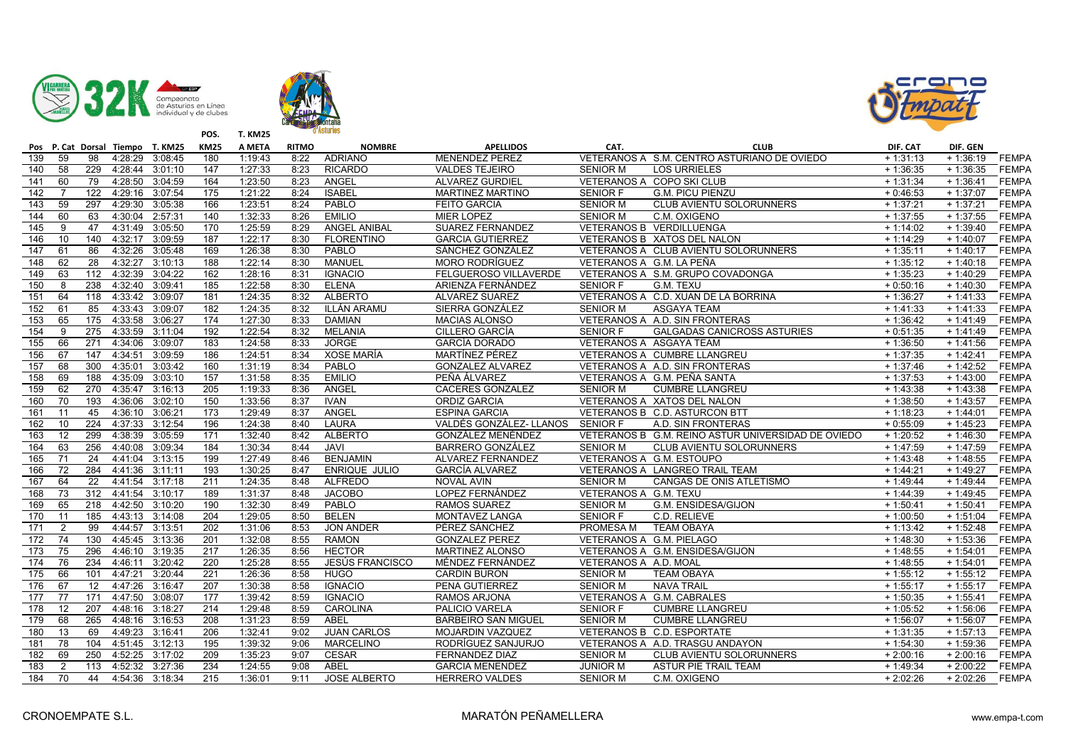





|                  |                 |                 | Pos P. Cat Dorsal Tiempo T. KM25 |                 | <b>KM25</b>      | A META  | <b>RITMO</b> | <b>NOMBRE</b>       | <b>APELLIDOS</b>                | CAT.                     | <b>CLUB</b>                                        | DIF. CAT   | DIF. GEN   |              |
|------------------|-----------------|-----------------|----------------------------------|-----------------|------------------|---------|--------------|---------------------|---------------------------------|--------------------------|----------------------------------------------------|------------|------------|--------------|
| 139              | 59              | 98              | 4:28:29                          | 3:08:45         | 180              | 1:19:43 | 8:22         | <b>ADRIANO</b>      | <b>MENENDEZ PEREZ</b>           |                          | VETERANOS A S.M. CENTRO ASTURIANO DE OVIEDO        | $+1:31:13$ | $+1:36:19$ | <b>FEMPA</b> |
| $\overline{140}$ | 58              | 229             | 4:28:44                          | 3:01:10         | 147              | 1:27:33 | 8:23         | <b>RICARDO</b>      | <b>VALDES TEJEIRO</b>           | <b>SENIOR M</b>          | <b>LOS URRIELES</b>                                | $+1:36:35$ | $+1:36:35$ | <b>FEMPA</b> |
| 141              | 60              | 79              | 4:28:50                          | 3:04:59         | 164              | 1:23:50 | 8:23         | ANGEL               | <b>ALVAREZ GURDIEL</b>          |                          | VETERANOS A COPO SKI CLUB                          | $+1:31:34$ | $+1:36:41$ | <b>FEMPA</b> |
| 142              | 7               | 122             | 4:29:16                          | 3:07:54         | 175              | 1:21:22 | 8:24         | <b>ISABEL</b>       | <b>MARTINEZ MARTINO</b>         | <b>SENIOR F</b>          | <b>G.M. PICU PIENZU</b>                            | $+0:46:53$ | $+1:37:07$ | <b>FEMPA</b> |
| 143              | 59              | 297             | 4:29:30                          | 3:05:38         | 166              | 1:23:51 | 8:24         | PABLO               | <b>FEITO GARCIA</b>             | <b>SENIOR M</b>          | CLUB AVIENTU SOLORUNNERS                           | $+1:37:21$ | $+1:37:21$ | <b>FEMPA</b> |
| 144              | 60              | 63              | 4:30:04                          | 2:57:31         | 140              | 1:32:33 | 8:26         | <b>EMILIO</b>       | MIER LOPEZ                      | SENIOR M                 | C.M. OXIGENO                                       | $+1:37:55$ | $+1:37:55$ | <b>FEMPA</b> |
| 145              | 9               | 47              | 4:31:49                          | 3:05:50         | 170              | 1:25:59 | 8:29         | <b>ANGEL ANIBAL</b> | <b>SUAREZ FERNANDEZ</b>         |                          | <b>VETERANOS B VERDILLUENGA</b>                    | $+1:14:02$ | $+1:39:40$ | <b>FEMPA</b> |
| 146              | 10              | 140             | 4:32:17                          | 3:09:59         | 187              | 1:22:17 | 8:30         | <b>FLORENTINO</b>   | <b>GARCIA GUTIERREZ</b>         |                          | VETERANOS B XATOS DEL NALON                        | $+1:14:29$ | $+1:40:07$ | FEMPA        |
| 147              | 61              | 86              | 4:32:26                          | 3:05:48         | 169              | 1:26:38 | 8:30         | PABLO               | SÁNCHEZ GONZÁLEZ                |                          | VETERANOS A CLUB AVIENTU SOLORUNNERS               | $+1:35:11$ | $+1:40:17$ | <b>FEMPA</b> |
| 148              | 62              | 28              | 4:32:27                          | 3:10:13         | 188              | 1:22:14 | 8:30         | <b>MANUEL</b>       | <b>MORO RODRÍGUEZ</b>           | VETERANOS A G.M. LA PEÑA |                                                    | $+1:35:12$ | $+1:40:18$ | <b>FEMPA</b> |
| 149              | 63              | 112             | 4:32:39                          | 3:04:22         | 162              | 1:28:16 | 8:31         | <b>IGNACIO</b>      | FELGUEROSO VILLAVERDE           |                          | VETERANOS A S.M. GRUPO COVADONGA                   | $+1:35:23$ | $+1:40:29$ | <b>FEMPA</b> |
| 150              | 8               | 238             | 4:32:40 3:09:41                  |                 | 185              | 1:22:58 | 8:30         | <b>ELENA</b>        | ARIENZA FERNÁNDEZ               | SENIOR F                 | G.M. TEXU                                          | $+0:50:16$ | $+1:40:30$ | <b>FEMPA</b> |
| 151              | 64              | 118             | 4:33:42 3:09:07                  |                 | 181              | 1:24:35 | 8:32         | <b>ALBERTO</b>      | <b>ALVAREZ SUAREZ</b>           |                          | VETERANOS A C.D. XUAN DE LA BORRINA                | $+1:36:27$ | $+1:41:33$ | <b>FEMPA</b> |
| 152              | 61              | 85              | 4:33:43                          | 3:09:07         | $\overline{182}$ | 1:24:35 | 8:32         | ILLÁN ARAMU         | SIERRA GONZÁLEZ                 | <b>SENIOR M</b>          | <b>ASGAYA TEAM</b>                                 | $+1:41:33$ | $+1:41:33$ | <b>FEMPA</b> |
| 153              | 65              | 175             | 4:33:58 3:06:27                  |                 | 174              | 1:27:30 | 8:33         | <b>DAMIAN</b>       | <b>MACIAS ALONSO</b>            |                          | VETERANOS A A.D. SIN FRONTERAS                     | $+1:36:42$ | $+1:41:49$ | <b>FEMPA</b> |
| 154              | 9               | 275             | 4:33:59                          | 3:11:04         | 192              | 1:22:54 | 8:32         | MELANIA             | CILLERO GARCÍA                  | <b>SENIOR F</b>          | <b>GALGADAS CANICROSS ASTURIES</b>                 | $+0:51:35$ | $+1:41:49$ | <b>FEMPA</b> |
| 155              | 66              | 271             | 4:34:06                          | 3:09:07         | 183              | 1:24:58 | 8:33         | <b>JORGE</b>        | <b>GARCÍA DORADO</b>            | VETERANOS A ASGAYA TEAM  |                                                    | $+1:36:50$ | $+1:41:56$ | <b>FEMPA</b> |
| 156              | 67              | 147             | 4:34:51                          | 3:09:59         | 186              | 1:24:51 | 8:34         | XOSE MARÍA          | MARTÍNEZ PÉREZ                  |                          | VETERANOS A CUMBRE LLANGREU                        | $+1:37:35$ | $+1:42:41$ | <b>FEMPA</b> |
| 157              | 68              | 300             | 4:35:01                          | 3:03:42         | 160              | 1:31:19 | 8:34         | PABLO               | <b>GONZALEZ ALVAREZ</b>         |                          | VETERANOS A A.D. SIN FRONTERAS                     | $+1:37:46$ | $+1:42:52$ | <b>FEMPA</b> |
| 158              | 69              | 188             | 4:35:09                          | 3:03:10         | 157              | 1:31:58 | 8:35         | <b>EMILIO</b>       | PEÑA ÁLVAREZ                    |                          | VETERANOS A G.M. PEÑA SANTA                        | $+1:37:53$ | $+1:43:00$ | <b>FEMPA</b> |
| 159              | 62              | 270             | 4:35:47                          | 3:16:13         | 205              | 1:19:33 | 8:36         | ANGEL               | <b>CACERES GONZALEZ</b>         | <b>SENIOR M</b>          | <b>CUMBRE LLANGREU</b>                             | $+1:43:38$ | $+1:43:38$ | <b>FEMPA</b> |
| 160              | 70              | 193             | 4:36:06                          | 3:02:10         | 150              | 1:33:56 | 8:37         | <b>IVAN</b>         | <b>ORDIZ GARCIA</b>             |                          | VETERANOS A XATOS DEL NALON                        | $+1:38:50$ | $+1:43:57$ | <b>FEMPA</b> |
| 161              | 11              | 45              | 4:36:10                          | 3:06:21         | 173              | 1:29:49 | 8:37         | ANGEL               | <b>ESPINA GARCIA</b>            |                          | VETERANOS B C.D. ASTURCON BTT                      | $+1:18:23$ | $+1:44:01$ | <b>FEMPA</b> |
| 162              | 10              | 224             | 4:37:33                          | 3:12:54         | 196              | 1:24:38 | 8:40         | LAURA               | VALDÉS GONZÁLEZ-LLANOS SENIOR F |                          | A.D. SIN FRONTERAS                                 | $+0:55:09$ | $+1:45:23$ | FEMPA        |
| 163              | 12 <sup>2</sup> | 299             | 4:38:39                          | 3:05:59         | 171              | 1:32:40 | 8:42         | <b>ALBERTO</b>      | GONZÁLEZ MENÉNDEZ               |                          | VETERANOS B G.M. REINO ASTUR UNIVERSIDAD DE OVIEDO | $+1:20:52$ | $+1:46:30$ | <b>FEMPA</b> |
| 164              | 63              | 256             | 4:40:08                          | 3:09:34         | 184              | 1:30:34 | 8:44         | <b>JAVI</b>         | <b>BARRERO GONZÁLEZ</b>         | <b>SENIOR M</b>          | CLUB AVIENTU SOLORUNNERS                           | $+1:47:59$ | $+1:47:59$ | <b>FEMPA</b> |
| 165              | 71              | 24              | 4:41:04                          | 3:13:15         | 199              | 1:27:49 | 8:46         | <b>BENJAMIN</b>     | ALVAREZ FERNANDEZ               |                          | VETERANOS A G.M. ESTOUPO                           | $+1:43:48$ | $+1:48:55$ | <b>FEMPA</b> |
| 166              | 72              | 284             | 4:41:36 3:11:11                  |                 | 193              | 1:30:25 | 8:47         | ENRIQUE JULIO       | <b>GARCÍA ALVAREZ</b>           |                          | VETERANOS A LANGREO TRAIL TEAM                     | $+1:44:21$ | $+1:49:27$ | <b>FEMPA</b> |
| 167              | 64              | $\overline{22}$ | 4:41:54                          | 3:17:18         | 211              | 1:24:35 | 8:48         | <b>ALFREDO</b>      | <b>NOVAL AVIN</b>               | <b>SENIOR M</b>          | CANGAS DE ONIS ATLETISMO                           | $+1:49:44$ | $+1:49:44$ | <b>FEMPA</b> |
| 168              | 73              | 312             | 4:41:54                          | 3:10:17         | 189              | 1:31:37 | 8:48         | <b>JACOBO</b>       | LOPEZ FERNÁNDEZ                 | VETERANOS A G.M. TEXU    |                                                    | $+1:44:39$ | $+1:49:45$ | <b>FEMPA</b> |
| 169              | 65              | 218             | 4:42:50                          | 3:10:20         | 190              | 1:32:30 | 8:49         | PABLO               | <b>RAMOS SUAREZ</b>             | <b>SENIOR M</b>          | G.M. ENSIDESA/GIJON                                | $+1:50:41$ | $+1:50:41$ | <b>FEMPA</b> |
| 170              | 11              | 185             | 4:43:13                          | 3:14:08         | 204              | 1:29:05 | 8:50         | <b>BELEN</b>        | <b>MONTAVEZ LANGA</b>           | <b>SENIOR F</b>          | C.D. RELIEVE                                       | $+1:00:50$ | $+1:51:04$ | <b>FEMPA</b> |
| 171              | 2               | 99              | 4:44:57                          | 3:13:51         | 202              | 1:31:06 | 8:53         | JON ANDER           | PÉREZ SÁNCHEZ                   | PROMESA M                | <b>TEAM OBAYA</b>                                  | $+1:13:42$ | $+1:52:48$ | <b>FEMPA</b> |
| $\frac{1}{2}$    | $\overline{74}$ | 130             | 4:45:45                          | 3:13:36         | $\overline{201}$ | 1:32:08 | 8:55         | <b>RAMON</b>        | <b>GONZALEZ PEREZ</b>           | VETERANOS A G.M. PIELAGO |                                                    | $+1:48:30$ | $+1:53:36$ | <b>FEMPA</b> |
| 173              | 75              | 296             | 4:46:10                          | 3:19:35         | 217              | 1:26:35 | 8:56         | <b>HECTOR</b>       | MARTINEZ ALONSO                 |                          | VETERANOS A G.M. ENSIDESA/GIJON                    | $+1:48:55$ | $+1:54:01$ | <b>FEMPA</b> |
| 174              | 76              | 234             | 4:46:11                          | 3:20:42         | 220              | 1:25:28 | 8:55         | JESÚS FRANCISCO     | MÉNDEZ FERNÁNDEZ                | VETERANOS A A.D. MOAL    |                                                    | $+1:48:55$ | $+1:54:01$ | <b>FEMPA</b> |
| 175              | 66              | 101             | 4:47:21                          | 3:20:44         | 221              | 1:26:36 | 8:58         | <b>HUGO</b>         | <b>CARDIN BURON</b>             | <b>SENIOR M</b>          | <b>TEAM OBAYA</b>                                  | $+1:55:12$ | $+1:55:12$ | <b>FEMPA</b> |
| 176              | 67              | $\overline{12}$ | 4:47:26                          | 3:16:47         | 207              | 1:30:38 | 8:58         | <b>IGNACIO</b>      | PENA GUTIERREZ                  | <b>SENIOR M</b>          | <b>NAVA TRAIL</b>                                  | $+1:55:17$ | $+1:55:17$ | <b>FEMPA</b> |
| 177              | 77              | 171             | 4:47:50                          | 3:08:07         | 177              | 1:39:42 | 8:59         | <b>IGNACIO</b>      | <b>RAMOS ARJONA</b>             |                          | VETERANOS A G.M. CABRALES                          | $+1:50:35$ | $+1:55:41$ | <b>FEMPA</b> |
| 178              | 12              | 207             | 4:48:16                          | 3:18:27         | 214              | 1:29:48 | 8:59         | <b>CAROLINA</b>     | PALICIO VARELA                  | <b>SENIOR F</b>          | <b>CUMBRE LLANGREU</b>                             | $+1:05:52$ | $+1:56:06$ | <b>FEMPA</b> |
| 179              | 68              | 265             | 4:48:16                          | 3:16:53         | 208              | 1:31:23 | 8:59         | <b>ABEL</b>         | <b>BARBEIRO SAN MIGUEL</b>      | <b>SENIOR M</b>          | <b>CUMBRE LLANGREU</b>                             | $+1:56:07$ | $+1:56:07$ | <b>FEMPA</b> |
| 180              | 13              | 69              | 4:49:23                          | 3:16:41         | 206              | 1:32:41 | 9:02         | <b>JUAN CARLOS</b>  | <b>MOJARDIN VAZQUEZ</b>         |                          | VETERANOS B C.D. ESPORTATE                         | $+1:31:35$ | $+1:57:13$ | <b>FEMPA</b> |
| 181              | 78              | 104             | 4:51:45 3:12:13                  |                 | 195              | 1:39:32 | 9:06         | <b>MARCELINO</b>    | RODRÍGUEZ SANJURJO              |                          | VETERANOS A A.D. TRASGU ANDAYON                    | $+1:54:30$ | $+1:59:36$ | <b>FEMPA</b> |
| 182              | 69              | 250             | 4:52:25                          | 3:17:02         | 209              | 1:35:23 | 9:07         | <b>CESAR</b>        | FERNANDEZ DIAZ                  | <b>SENIOR M</b>          | CLUB AVIENTU SOLORUNNERS                           | $+2:00:16$ | $+2:00:16$ | <b>FEMPA</b> |
| 183              | $\overline{2}$  | 113             | 4:52:32                          | 3:27:36         | 234              | 1:24:55 | 9:08         | <b>ABEL</b>         | <b>GARCIA MENENDEZ</b>          | <b>JUNIOR M</b>          | ASTUR PIE TRAIL TEAM                               | $+1:49:34$ | $+2:00:22$ | <b>FEMPA</b> |
| 184              | $\overline{70}$ | 44              |                                  | 4:54:36 3:18:34 | 215              | 1:36:01 | 9:11         | <b>JOSE ALBERTO</b> | <b>HERRERO VALDES</b>           | <b>SENIOR M</b>          | C.M. OXIGENO                                       | $+2:02:26$ | $+2:02:26$ | <b>FEMPA</b> |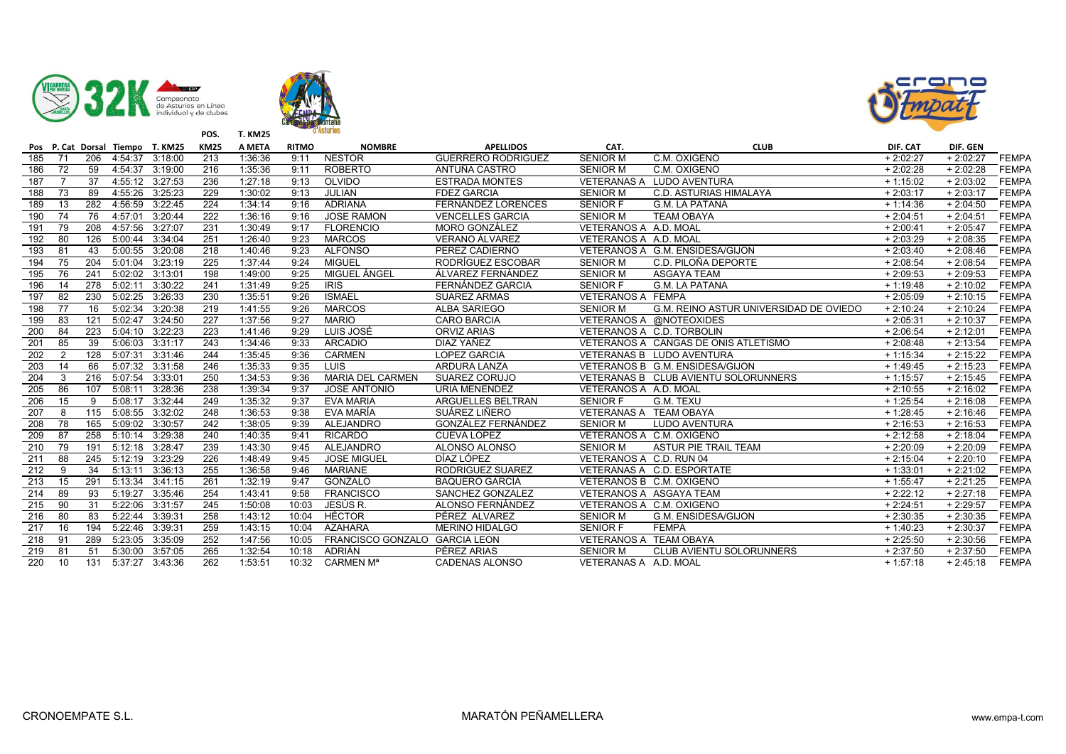





|     |                 |     |         | Pos P. Cat Dorsal Tiempo T. KM25 | <b>KM25</b> | A META  | <b>RITMO</b> | <b>NOMBRE</b>                 | <b>APELLIDOS</b>          | CAT.                     | <b>CLUB</b>                            | DIF. CAT   | DIF. GEN   |              |
|-----|-----------------|-----|---------|----------------------------------|-------------|---------|--------------|-------------------------------|---------------------------|--------------------------|----------------------------------------|------------|------------|--------------|
| 185 | 71              | 206 | 4:54:37 | 3:18:00                          | 213         | 1:36:36 | 9:11         | <b>NESTOR</b>                 | <b>GUERRERO RODRIGUEZ</b> | <b>SENIOR M</b>          | C.M. OXIGENO                           | $+2:02:27$ | $+2:02:27$ | <b>FEMPA</b> |
| 186 | $\overline{72}$ | 59  | 4:54:37 | 3:19:00                          | 216         | 1:35:36 | 9:11         | <b>ROBERTO</b>                | ANTUÑA CASTRO             | <b>SENIOR M</b>          | C.M. OXIGENO                           | $+2:02:28$ | $+2:02:28$ | <b>FEMPA</b> |
| 187 | $\overline{7}$  | 37  | 4:55:12 | 3:27:53                          | 236         | 1:27:18 | 9:13         | OLVIDO                        | <b>ESTRADA MONTES</b>     |                          | VETERANAS A LUDO AVENTURA              | $+1:15:02$ | $+2:03:02$ | <b>FEMPA</b> |
| 188 | 73              | 89  | 4:55:26 | 3:25:23                          | 229         | 1:30:02 | 9:13         | <b>JULIAN</b>                 | <b>FDEZ GARCIA</b>        | <b>SENIOR M</b>          | C.D. ASTURIAS HIMALAYA                 | $+2:03:17$ | $+2:03:17$ | <b>FEMPA</b> |
| 189 | 13              | 282 | 4:56:59 | 3:22:45                          | 224         | 1:34:14 | 9:16         | <b>ADRIANA</b>                | FERNÁNDEZ LORENCES        | <b>SENIOR F</b>          | <b>G.M. LA PATANA</b>                  | $+1:14:36$ | $+2:04:50$ | <b>FEMPA</b> |
| 190 | 74              | 76  | 4:57:01 | 3:20:44                          | 222         | 1:36:16 | 9:16         | <b>JOSE RAMON</b>             | <b>VENCELLES GARCIA</b>   | <b>SENIOR M</b>          | <b>TEAM OBAYA</b>                      | $+2:04:51$ | $+2:04:51$ | <b>FEMPA</b> |
| 191 | 79              | 208 | 4:57:56 | 3:27:07                          | 231         | 1:30:49 | 9:17         | <b>FLORENCIO</b>              | <b>MORO GONZÁLEZ</b>      | VETERANOS A A.D. MOAL    |                                        | $+2:00:41$ | $+2:05:47$ | <b>FEMPA</b> |
| 192 | 80              | 126 | 5:00:44 | 3:34:04                          | 251         | 1:26:40 | 9:23         | <b>MARCOS</b>                 | VERANO ÁLVAREZ            | VETERANOS A A.D. MOAL    |                                        | $+2:03:29$ | $+2:08:35$ | <b>FEMPA</b> |
| 193 | 81              | 43  | 5:00:55 | 3:20:08                          | 218         | 1:40:46 | 9:23         | <b>ALFONSO</b>                | PEREZ CADIERNO            |                          | VETERANOS A G.M. ENSIDESA/GIJON        | $+2:03:40$ | $+2:08:46$ | <b>FEMPA</b> |
| 194 | 75              | 204 | 5:01:04 | 3:23:19                          | 225         | 1:37:44 | 9:24         | <b>MIGUEL</b>                 | RODRÍGUEZ ESCOBAR         | <b>SENIOR M</b>          | C.D. PILOÑA DEPORTE                    | $+2:08:54$ | $+2:08:54$ | <b>FEMPA</b> |
| 195 | 76              | 241 | 5:02:02 | 3:13:01                          | 198         | 1:49:00 | 9:25         | MIGUEL ÁNGEL                  | ÁLVAREZ FERNÁNDEZ         | <b>SENIOR M</b>          | <b>ASGAYA TEAM</b>                     | $+2:09:53$ | $+2:09:53$ | <b>FEMPA</b> |
| 196 | 14              | 278 | 5:02:11 | 3:30:22                          | 241         | 1:31:49 | 9:25         | <b>IRIS</b>                   | FERNÁNDEZ GARCIA          | <b>SENIOR F</b>          | <b>G.M. LA PATANA</b>                  | $+1:19:48$ | $+2:10:02$ | <b>FEMPA</b> |
| 197 | 82              | 230 | 5:02:25 | 3:26:33                          | 230         | 1:35:51 | 9:26         | <b>ISMAEL</b>                 | <b>SUAREZ ARMAS</b>       | <b>VETERANOS A FEMPA</b> |                                        | $+2:05:09$ | $+2:10:15$ | <b>FEMPA</b> |
| 198 | 77              | 16  | 5:02:34 | 3:20:38                          | 219         | 1:41:55 | 9:26         | <b>MARCOS</b>                 | <b>ALBA SARIEGO</b>       | <b>SENIOR M</b>          | G.M. REINO ASTUR UNIVERSIDAD DE OVIEDO | $+2:10:24$ | $+2:10:24$ | <b>FEMPA</b> |
| 199 | 83              | 121 | 5:02:47 | 3:24:50                          | 227         | 1:37:56 | 9:27         | <b>MARIO</b>                  | <b>CARO BARCIA</b>        |                          | VETERANOS A @NOTEOXIDES                | $+2:05:31$ | $+2:10:37$ | <b>FEMPA</b> |
| 200 | 84              | 223 | 5:04:10 | 3:22:23                          | 223         | 1:41:46 | 9:29         | LUIS JOSÉ                     | <b>ORVIZ ARIAS</b>        |                          | VETERANOS A C.D. TORBOLIN              | $+2:06:54$ | $+2:12:01$ | <b>FEMPA</b> |
| 201 | 85              | 39  | 5:06:03 | 3:31:17                          | 243         | 1:34:46 | 9:33         | <b>ARCADIO</b>                | DIAZ YAÑEZ                |                          | VETERANOS A CANGAS DE ONIS ATLETISMO   | $+2:08:48$ | $+2:13:54$ | <b>FEMPA</b> |
| 202 | 2               | 128 | 5:07:31 | 3:31:46                          | 244         | 1:35:45 | 9:36         | <b>CARMEN</b>                 | <b>LOPEZ GARCIA</b>       |                          | VETERANAS B LUDO AVENTURA              | $+1:15:34$ | $+2:15:22$ | <b>FEMPA</b> |
| 203 | 14              | 66  | 5:07:32 | 3:31:58                          | 246         | 1:35:33 | 9:35         | LUIS                          | ARDURA LANZA              |                          | VETERANOS B G.M. ENSIDESA/GIJON        | $+1:49:45$ | $+2:15:23$ | <b>FEMPA</b> |
| 204 | 3               | 216 | 5:07:54 | 3:33:01                          | 250         | 1:34:53 | 9:36         | <b>MARIA DEL CARMEN</b>       | SUAREZ CORUJO             |                          | VETERANAS B CLUB AVIENTU SOLORUNNERS   | $+1:15:57$ | $+2:15:45$ | <b>FEMPA</b> |
| 205 | 86              | 107 | 5:08:11 | 3:28:36                          | 238         | 1:39:34 | 9:37         | <b>JOSE ANTONIO</b>           | <b>URIA MENENDEZ</b>      | VETERANOS A A.D. MOAL    |                                        | $+2:10:55$ | $+2:16:02$ | <b>FEMPA</b> |
| 206 | 15              | 9   | 5:08:17 | 3:32:44                          | 249         | 1:35:32 | 9:37         | <b>EVA MARIA</b>              | ARGUELLES BELTRAN         | <b>SENIOR F</b>          | G.M. TEXU                              | $+1:25:54$ | $+2:16:08$ | <b>FEMPA</b> |
| 207 | 8               | 115 | 5:08:55 | 3:32:02                          | 248         | 1:36:53 | 9:38         | EVA MARÍA                     | SUÁREZ LIÑERO             | VETERANAS A TEAM OBAYA   |                                        | $+1:28:45$ | $+2:16:46$ | <b>FEMPA</b> |
| 208 | 78              | 165 | 5:09:02 | 3:30:57                          | 242         | 1:38:05 | 9:39         | ALEJANDRO                     | GONZÁLEZ FERNÁNDEZ        | <b>SENIOR M</b>          | LUDO AVENTURA                          | $+2:16:53$ | $+2:16:53$ | <b>FEMPA</b> |
| 209 | 87              | 258 | 5:10:14 | 3:29:38                          | 240         | 1:40:35 | 9:41         | <b>RICARDO</b>                | <b>CUEVA LOPEZ</b>        | VETERANOS A C.M. OXIGENO |                                        | $+2:12:58$ | $+2:18:04$ | <b>FEMPA</b> |
| 210 | 79              | 191 | 5:12:18 | 3:28:47                          | 239         | 1:43:30 | 9:45         | <b>ALEJANDRO</b>              | ALONSO ALONSO             | <b>SENIOR M</b>          | ASTUR PIE TRAIL TEAM                   | $+2:20:09$ | $+2:20:09$ | <b>FEMPA</b> |
| 211 | 88              | 245 | 5:12:19 | 3:23:29                          | 226         | 1:48:49 | 9:45         | <b>JOSE MIGUEL</b>            | DÍAZ LÓPEZ                | VETERANOS A C.D. RUN 04  |                                        | $+2:15:04$ | $+2:20:10$ | <b>FEMPA</b> |
| 212 | 9               | 34  | 5:13:11 | 3:36:13                          | 255         | 1:36:58 | 9:46         | <b>MARIANE</b>                | RODRIGUEZ SUAREZ          |                          | VETERANAS A C.D. ESPORTATE             | $+1:33:01$ | $+2:21:02$ | <b>FEMPA</b> |
| 213 | 15              | 291 | 5:13:34 | 3:41:15                          | 261         | 1:32:19 | 9:47         | GONZALO                       | <b>BAQUERO GARCÍA</b>     | VETERANOS B C.M. OXIGENO |                                        | $+1:55:47$ | $+2:21:25$ | <b>FEMPA</b> |
| 214 | 89              | 93  | 5:19:27 | 3:35:46                          | 254         | 1:43:41 | 9:58         | <b>FRANCISCO</b>              | SANCHEZ GONZALEZ          |                          | VETERANOS A ASGAYA TEAM                | $+2:22:12$ | $+2:27:18$ | <b>FEMPA</b> |
| 215 | 90              | 31  | 5:22:06 | 3:31:57                          | 245         | 1:50:08 | 10:03        | JESÚS R.                      | ALONSO FERNÁNDEZ          | VETERANOS A C.M. OXIGENO |                                        | $+2:24:51$ | $+2:29:57$ | <b>FEMPA</b> |
| 216 | 80              | 83  | 5:22:44 | 3:39:31                          | 258         | 1:43:12 | 10:04        | HÉCTOR                        | PÉREZ ALVAREZ             | <b>SENIOR M</b>          | G.M. ENSIDESA/GIJON                    | $+2:30:35$ | $+2:30:35$ | <b>FEMPA</b> |
| 217 | 16              | 194 | 5:22:46 | 3:39:31                          | 259         | 1:43:15 | 10:04        | <b>AZAHARA</b>                | <b>MERINO HIDALGO</b>     | <b>SENIOR F</b>          | <b>FEMPA</b>                           | $+1:40:23$ | $+2:30:37$ | <b>FEMPA</b> |
| 218 | 91              | 289 | 5:23:05 | 3:35:09                          | 252         | 1:47:56 | 10:05        | FRANCISCO GONZALO GARCIA LEON |                           | VETERANOS A TEAM OBAYA   |                                        | $+2:25:50$ | $+2:30:56$ | <b>FEMPA</b> |
| 219 | 81              | 51  | 5:30:00 | 3:57:05                          | 265         | 1:32:54 | 10:18        | ADRIÁN                        | PÉREZ ARIAS               | <b>SENIOR M</b>          | <b>CLUB AVIENTU SOLORUNNERS</b>        | $+2:37:50$ | $+2:37:50$ | <b>FEMPA</b> |
| 220 | 10              | 131 | 5:37:27 | 3:43:36                          | 262         | 1:53:51 |              | 10:32 CARMEN M <sup>a</sup>   | <b>CADENAS ALONSO</b>     | VETERANAS A A.D. MOAL    |                                        | $+1:57:18$ | $+2:45:18$ | <b>FEMPA</b> |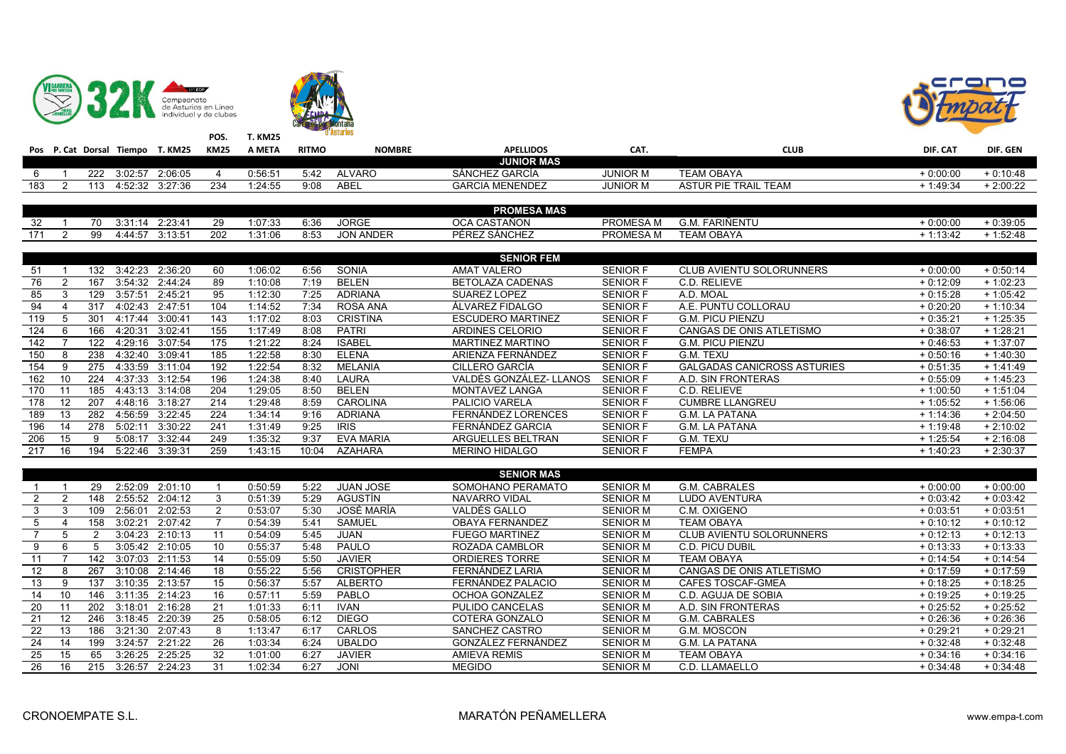





|                         |                 |                  |                 | Pos P. Cat Dorsal Tiempo T. KM25 KM25 |                 | A META  | <b>RITMO</b> | <b>NOMBRE</b>     | <b>APELLIDOS</b>          | CAT.            | <b>CLUB</b>                        | DIF. CAT   | DIF. GEN   |
|-------------------------|-----------------|------------------|-----------------|---------------------------------------|-----------------|---------|--------------|-------------------|---------------------------|-----------------|------------------------------------|------------|------------|
|                         |                 |                  |                 |                                       |                 |         |              |                   | <b>JUNIOR MAS</b>         |                 |                                    |            |            |
| 6                       |                 |                  |                 | 222 3:02:57 2:06:05                   | $\overline{4}$  | 0:56:51 | 5:42         | <b>ALVARO</b>     | SÁNCHEZ GARCÍA            | <b>JUNIOR M</b> | <b>TEAM OBAYA</b>                  | $+0:00:00$ | $+0:10:48$ |
| 183                     | 2               |                  |                 | 113 4:52:32 3:27:36                   | 234             | 1:24:55 | 9:08         | ABEL              | <b>GARCIA MENENDEZ</b>    | <b>JUNIOR M</b> | <b>ASTUR PIE TRAIL TEAM</b>        | $+1:49:34$ | $+2:00:22$ |
|                         |                 |                  |                 |                                       |                 |         |              |                   |                           |                 |                                    |            |            |
|                         |                 |                  |                 |                                       |                 |         |              |                   | <b>PROMESA MAS</b>        |                 |                                    |            |            |
| 32                      |                 | 70               |                 | 3:31:14 2:23:41                       | 29              | 1:07:33 | 6:36         | <b>JORGE</b>      | OCA CASTAÑON              | PROMESA M       | G.M. FARIÑENTU                     | $+0:00:00$ | $+0.39:05$ |
| 171                     | $\overline{2}$  | 99               |                 | 4:44:57 3:13:51                       | 202             | 1:31:06 | 8:53         | <b>JON ANDER</b>  | PÉREZ SÁNCHEZ             | PROMESA M       | <b>TEAM OBAYA</b>                  | $+1:13:42$ | $+1:52:48$ |
|                         |                 |                  |                 |                                       |                 |         |              |                   |                           |                 |                                    |            |            |
|                         |                 |                  |                 |                                       |                 |         |              |                   | <b>SENIOR FEM</b>         |                 |                                    |            |            |
| 51                      | - 1             |                  |                 | 132 3:42:23 2:36:20                   | 60              | 1:06:02 | 6:56         | SONIA             | <b>AMAT VALERO</b>        | <b>SENIOR F</b> | CLUB AVIENTU SOLORUNNERS           | $+0:00:00$ | $+0.50:14$ |
| 76                      | $\overline{2}$  | 167              |                 | 3:54:32 2:44:24                       | 89              | 1:10:08 | 7:19         | <b>BELEN</b>      | <b>BETOLAZA CADENAS</b>   | <b>SENIOR F</b> | C.D. RELIEVE                       | $+0:12:09$ | $+1:02:23$ |
| 85                      | 3               | 129              |                 | 3:57:51 2:45:21                       | 95              | 1:12:30 | 7:25         | <b>ADRIANA</b>    | SUAREZ LOPEZ              | <b>SENIOR F</b> | A.D. MOAL                          | $+0:15:28$ | $+1:05:42$ |
| 94                      | $\overline{4}$  | 317              |                 | 4:02:43 2:47:51                       | 104             | 1:14:52 | 7:34         | <b>ROSA ANA</b>   | ÁLVAREZ FIDALGO           | <b>SENIOR F</b> | A.E. PUNTU COLLORAU                | $+0:20:20$ | $+1:10:34$ |
| 119                     | 5               | 301              |                 | 4:17:44 3:00:41                       | 143             | 1:17:02 | 8:03         | <b>CRISTINA</b>   | <b>ESCUDERO MARTINEZ</b>  | <b>SENIOR F</b> | <b>G.M. PICU PIENZU</b>            | $+0:35:21$ | $+1:25:35$ |
| 124                     | 6               | 166              | 4:20:31         | 3:02:41                               | 155             | 1:17:49 | 8:08         | <b>PATRI</b>      | <b>ARDINES CELORIO</b>    | <b>SENIOR F</b> | CANGAS DE ONIS ATLETISMO           | $+0.38:07$ | $+1:28:21$ |
| 142                     |                 | $\overline{122}$ |                 | 4:29:16 3:07:54                       | $\frac{175}{2}$ | 1:21:22 | 8:24         | <b>ISABEL</b>     | MARTINEZ MARTINO          | <b>SENIOR F</b> | <b>G.M. PICU PIENZU</b>            | $+0.46.53$ | $+1:37:07$ |
| 150                     | 8               | 238              | 4:32:40 3:09:41 |                                       | 185             | 1:22:58 | 8:30         | <b>ELENA</b>      | ARIENZA FERNÁNDEZ         | <b>SENIOR F</b> | G.M. TEXU                          | $+0:50:16$ | $+1:40:30$ |
| 154                     | 9               | 275              |                 | 4:33:59 3:11:04                       | 192             | 1:22:54 | 8:32         | <b>MELANIA</b>    | CILLERO GARCÍA            | <b>SENIOR F</b> | <b>GALGADAS CANICROSS ASTURIES</b> | $+0.51:35$ | $+1:41:49$ |
| 162                     | 10              | 224              |                 | 4:37:33 3:12:54                       | 196             | 1:24:38 | 8:40         | LAURA             | VALDÉS GONZÁLEZ- LLANOS   | <b>SENIOR F</b> | A.D. SIN FRONTERAS                 | $+0.55:09$ | $+1:45:23$ |
| 170                     | 11              | 185              |                 | 4:43:13 3:14:08                       | 204             | 1:29:05 | 8:50         | <b>BELEN</b>      | <b>MONTAVEZ LANGA</b>     | <b>SENIOR F</b> | C.D. RELIEVE                       | $+1:00:50$ | $+1:51:04$ |
| 178                     | 12              | 207              |                 | 4:48:16 3:18:27                       | 214             | 1:29:48 | 8:59         | <b>CAROLINA</b>   | PALICIO VARELA            | <b>SENIOR F</b> | <b>CUMBRE LLANGREU</b>             | $+1:05:52$ | $+1:56:06$ |
| 189                     | 13              | 282              |                 | 4:56:59 3:22:45                       | 224             | 1:34:14 | 9:16         | <b>ADRIANA</b>    | <b>FERNÁNDEZ LORENCES</b> | <b>SENIOR F</b> | <b>G.M. LA PATANA</b>              | $+1:14:36$ | $+2:04:50$ |
| 196                     | 14              | 278              | 5:02:11         | 3:30:22                               | 241             | 1:31:49 | 9:25         | <b>IRIS</b>       | FERNÁNDEZ GARCIA          | <b>SENIOR F</b> | <b>G.M. LA PATANA</b>              | $+1:19:48$ | $+2:10:02$ |
| 206                     | 15              | 9                |                 | 5:08:17 3:32:44                       | 249             | 1:35:32 | 9:37         | <b>EVA MARIA</b>  | ARGUELLES BELTRAN         | <b>SENIOR F</b> | G.M. TEXU                          | $+1:25:54$ | $+2:16:08$ |
| 217                     | 16              | 194              |                 | 5:22:46 3:39:31                       | 259             | 1:43:15 | 10:04        | <b>AZAHARA</b>    | MERINO HIDALGO            | <b>SENIOR F</b> | <b>FEMPA</b>                       | $+1:40:23$ | $+2:30:37$ |
|                         |                 |                  |                 |                                       |                 |         |              |                   |                           |                 |                                    |            |            |
|                         |                 |                  |                 |                                       |                 |         |              |                   | <b>SENIOR MAS</b>         |                 |                                    |            |            |
| $\overline{1}$          |                 | 29               |                 | 2:52:09 2:01:10                       | $\overline{1}$  | 0:50:59 | 5:22         | <b>JUAN JOSE</b>  | SOMOHANO PERAMATO         | <b>SENIOR M</b> | G.M. CABRALES                      | $+0:00:00$ | $+0.00:00$ |
| $\overline{2}$          | $\overline{2}$  | 148              |                 | 2:55:52 2:04:12                       | 3               | 0:51:39 | 5:29         | AGUSTÍN           | NAVARRO VIDAL             | <b>SENIOR M</b> | LUDO AVENTURA                      | $+0.03:42$ | $+0.03:42$ |
| $\overline{\mathbf{3}}$ | 3               | 109              |                 | 2:56:01 2:02:53                       | 2               | 0:53:07 | 5:30         | JOSÉ MARÍA        | VALDÉS GALLO              | <b>SENIOR M</b> | C.M. OXIGENO                       | $+0:03:51$ | $+0:03:51$ |
| 5                       | $\overline{4}$  | 158              |                 | 3:02:21 2:07:42                       | $\overline{7}$  | 0:54:39 | 5:41         | <b>SAMUEL</b>     | OBAYA FERNANDEZ           | <b>SENIOR M</b> | <b>TEAM OBAYA</b>                  | $+0:10:12$ | $+0:10:12$ |
| $\overline{7}$          | 5               | $\overline{2}$   |                 | 3:04:23 2:10:13                       | 11              | 0:54:09 | 5:45         | <b>JUAN</b>       | <b>FUEGO MARTINEZ</b>     | <b>SENIOR M</b> | <b>CLUB AVIENTU SOLORUNNERS</b>    | $+0:12:13$ | $+0:12:13$ |
| 9                       | 6               | 5                |                 | 3:05:42 2:10:05                       | 10              | 0:55:37 | 5:48         | PAULO             | ROZADA CAMBLOR            | <b>SENIOR M</b> | C.D. PICU DUBIL                    | $+0:13:33$ | $+0:13:33$ |
| 11                      | $\overline{7}$  | 142              |                 | 3:07:03 2:11:53                       | 14              | 0:55:09 | 5:50         | <b>JAVIER</b>     | <b>ORDIERES TORRE</b>     | <b>SENIOR M</b> | <b>TEAM OBAYA</b>                  | $+0:14:54$ | $+0:14:54$ |
| 12                      | 8               | 267              |                 | 3:10:08 2:14:46                       | $\overline{18}$ | 0:55:22 | 5:56         | <b>CRISTOPHER</b> | FERNÁNDEZ LARIA           | <b>SENIOR M</b> | CANGAS DE ONIS ATLETISMO           | $+0.17:59$ | $+0:17:59$ |
| 13                      | 9               | 137              |                 | 3:10:35 2:13:57                       | 15              | 0:56:37 | 5:57         | <b>ALBERTO</b>    | FERNÁNDEZ PALACIO         | <b>SENIOR M</b> | CAFES TOSCAF-GMEA                  | $+0:18:25$ | $+0:18:25$ |
| 14                      | 10              | 146              |                 | 3:11:35 2:14:23                       | 16              | 0:57:11 | 5:59         | PABLO             | OCHOA GONZALEZ            | <b>SENIOR M</b> | C.D. AGUJA DE SOBIA                | $+0:19:25$ | $+0:19:25$ |
| 20                      | 11              | 202              |                 | 3:18:01 2:16:28                       | 21              | 1:01:33 | 6:11         | <b>IVAN</b>       | PULIDO CANCELAS           | <b>SENIOR M</b> | A.D. SIN FRONTERAS                 | $+0:25:52$ | $+0.25.52$ |
| 21                      | 12              |                  |                 | 246 3:18:45 2:20:39                   | $\overline{25}$ | 0:58:05 | 6:12         | <b>DIEGO</b>      | COTERA GONZALO            | <b>SENIOR M</b> | G.M. CABRALES                      | $+0:26:36$ | $+0:26:36$ |
| $\overline{22}$         | 13              | 186              |                 | 3:21:30 2:07:43                       | 8               | 1:13:47 | 6:17         | CARLOS            | SANCHEZ CASTRO            | <b>SENIOR M</b> | G.M. MOSCON                        | $+0:29:21$ | $+0.29:21$ |
| 24                      | 14              | 199              |                 | 3:24:57 2:21:22                       | $\overline{26}$ | 1:03:34 | 6:24         | <b>UBALDO</b>     | GONZÁLEZ FERNÁNDEZ        | <b>SENIOR M</b> | G.M. LA PATANA                     | $+0:32:48$ | $+0.32:48$ |
| 25                      | 15              | 65               |                 | 3:26:25 2:25:25                       | 32              | 1:01:00 | 6:27         | <b>JAVIER</b>     | <b>AMIEVA REMIS</b>       | <b>SENIOR M</b> | <b>TEAM OBAYA</b>                  | $+0:34:16$ | $+0.34:16$ |
| 26                      | $\overline{16}$ | $\overline{215}$ |                 | 3:26:57 2:24:23                       | 31              | 1:02:34 | 6:27         | <b>JONI</b>       | <b>MEGIDO</b>             | <b>SENIOR M</b> | C.D. LLAMAELLO                     | $+0.34:48$ | $+0.34:48$ |
|                         |                 |                  |                 |                                       |                 |         |              |                   |                           |                 |                                    |            |            |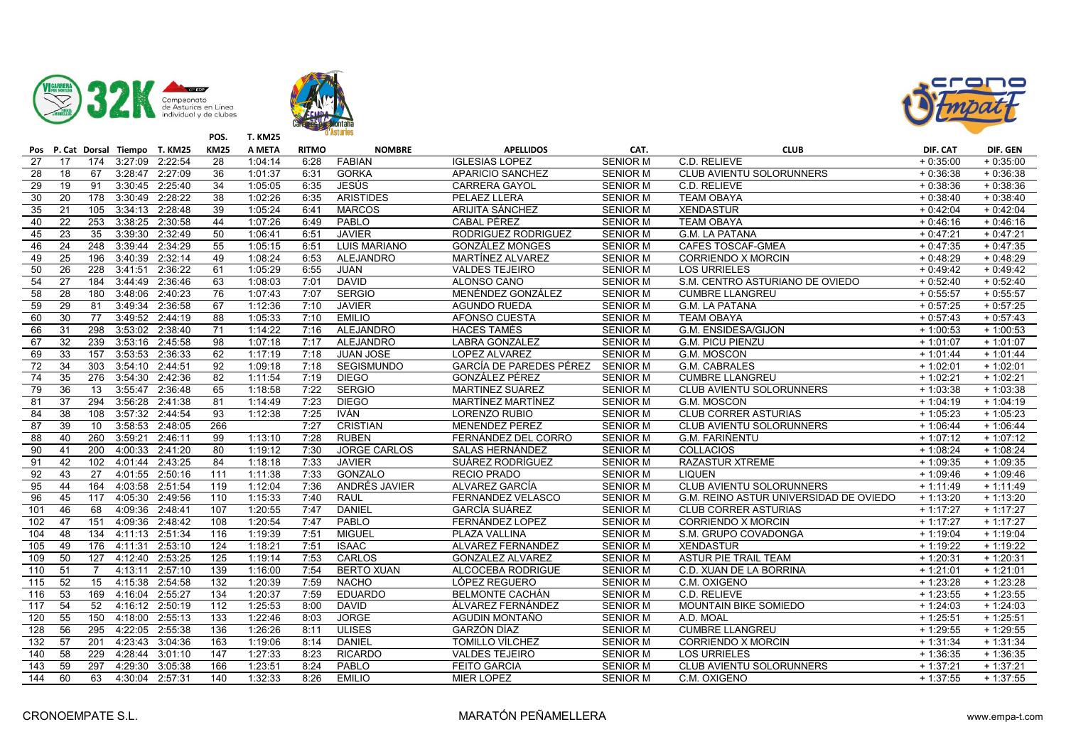





| Pos             |                 |                | P. Cat Dorsal Tiempo T. KM25 |                 | <b>KM25</b>      | A META  | <b>RITMO</b> | <b>NOMBRE</b>       | <b>APELLIDOS</b>        | CAT.            | <b>CLUB</b>                            | DIF. CAT   | DIF. GEN   |
|-----------------|-----------------|----------------|------------------------------|-----------------|------------------|---------|--------------|---------------------|-------------------------|-----------------|----------------------------------------|------------|------------|
| 27              | 17              | 174            |                              | 3:27:09 2:22:54 | 28               | 1:04:14 | 6:28         | <b>FABIAN</b>       | <b>IGLESIAS LOPEZ</b>   | <b>SENIOR M</b> | C.D. RELIEVE                           | $+0:35:00$ | $+0:35:00$ |
| 28              | 18              | 67             |                              | 3:28:47 2:27:09 | 36               | 1:01:37 | 6:31         | <b>GORKA</b>        | APARICIO SANCHEZ        | <b>SENIOR M</b> | CLUB AVIENTU SOLORUNNERS               | $+0:36:38$ | $+0.36.38$ |
| 29              | 19              | 91             |                              | 3:30:45 2:25:40 | $\overline{34}$  | 1:05:05 | 6:35         | <b>JESÚS</b>        | <b>CARRERA GAYOL</b>    | <b>SENIOR M</b> | C.D. RELIEVE                           | $+0:38:36$ | $+0:38:36$ |
| 30              | 20              | 178            | 3:30:49 2:28:22              |                 | 38               | 1:02:26 | 6:35         | <b>ARISTIDES</b>    | PELAEZ LLERA            | <b>SENIOR M</b> | <b>TEAM OBAYA</b>                      | $+0.38:40$ | $+0.38:40$ |
| 35              | 21              | 105            | 3:34:13 2:28:48              |                 | 39               | 1:05:24 | 6:41         | <b>MARCOS</b>       | ARIJITA SÁNCHEZ         | <b>SENIOR M</b> | <b>XENDASTUR</b>                       | $+0:42:04$ | $+0.42:04$ |
| 40              | 22              | 253            | 3:38:25                      | 2:30:58         | 44               | 1:07:26 | 6:49         | PABLO               | <b>CABAL PÉREZ</b>      | <b>SENIOR M</b> | <b>TEAM OBAYA</b>                      | $+0:46:16$ | $+0.46:16$ |
| 45              | $\overline{23}$ | 35             | 3:39:30                      | 2:32:49         | 50               | 1:06:41 | 6:51         | <b>JAVIER</b>       | RODRIGUEZ RODRIGUEZ     | <b>SENIOR M</b> | <b>G.M. LA PATANA</b>                  | $+0.47:21$ | $+0.47:21$ |
| 46              | $\overline{24}$ | 248            | 3:39:44                      | 2:34:29         | 55               | 1:05:15 | 6:51         | <b>LUIS MARIANO</b> | <b>GONZÁLEZ MONGES</b>  | <b>SENIOR M</b> | <b>CAFES TOSCAF-GMEA</b>               | $+0.47:35$ | $+0.47:35$ |
| 49              | 25              | 196            |                              | 3:40:39 2:32:14 | 49               | 1:08:24 | 6:53         | ALEJANDRO           | MARTÍNEZ ALVAREZ        | <b>SENIOR M</b> | <b>CORRIENDO X MORCIN</b>              | $+0.48:29$ | $+0.48:29$ |
| 50              | 26              | 228            | 3:41:51                      | 2:36:22         | 61               | 1:05:29 | 6:55         | <b>JUAN</b>         | <b>VALDES TEJEIRO</b>   | <b>SENIOR M</b> | <b>LOS URRIELES</b>                    | $+0.49:42$ | $+0.49:42$ |
| 54              | 27              | 184            |                              | 3:44:49 2:36:46 | 63               | 1:08:03 | 7:01         | <b>DAVID</b>        | ALONSO CANO             | <b>SENIOR M</b> | S.M. CENTRO ASTURIANO DE OVIEDO        | $+0.52:40$ | $+0.52:40$ |
| 58              | 28              | 180            | 3:48:06                      | 2:40:23         | 76               | 1:07:43 | 7:07         | <b>SERGIO</b>       | MENÉNDEZ GONZÁLEZ       | <b>SENIOR M</b> | <b>CUMBRE LLANGREU</b>                 | $+0.55:57$ | $+0.55:57$ |
| 59              | 29              | 81             |                              | 3:49:34 2:36:58 | 67               | 1:12:36 | 7:10         | <b>JAVIER</b>       | <b>AGUNDO RUEDA</b>     | <b>SENIOR M</b> | <b>G.M. LA PATANA</b>                  | $+0.57:25$ | $+0.57:25$ |
| 60              | $\overline{30}$ | 77             |                              | 3:49:52 2:44:19 | 88               | 1:05:33 | 7:10         | <b>EMILIO</b>       | <b>AFONSO CUESTA</b>    | <b>SENIOR M</b> | <b>TEAM OBAYA</b>                      | $+0.57:43$ | $+0.57:43$ |
| 66              | 31              | 298            | 3:53:02 2:38:40              |                 | 71               | 1:14:22 | 7:16         | ALEJANDRO           | <b>HACES TAMÉS</b>      | <b>SENIOR M</b> | G.M. ENSIDESA/GIJON                    | $+1:00:53$ | $+1:00:53$ |
| 67              | 32              | 239            | 3:53:16 2:45:58              |                 | 98               | 1:07:18 | 7:17         | ALEJANDRO           | LABRA GONZALEZ          | <b>SENIOR M</b> | <b>G.M. PICU PIENZU</b>                | $+1:01:07$ | $+1:01:07$ |
| 69              | $\overline{33}$ | 157            | 3:53:53                      | 2:36:33         | 62               | 1:17:19 | 7:18         | <b>JUAN JOSE</b>    | <b>LOPEZ ALVAREZ</b>    | <b>SENIOR M</b> | <b>G.M. MOSCON</b>                     | $+1:01:44$ | $+1:01:44$ |
| 72              | 34              | 303            | 3:54:10                      | 2:44:51         | 92               | 1:09:18 | 7:18         | <b>SEGISMUNDO</b>   | GARCÍA DE PAREDES PÉREZ | <b>SENIOR M</b> | <b>G.M. CABRALES</b>                   | $+1:02:01$ | $+1:02:01$ |
| 74              | 35              | 276            | 3:54:30                      | 2:42:36         | 82               | 1:11:54 | 7:19         | <b>DIEGO</b>        | GONZÁLEZ PÉREZ          | <b>SENIOR M</b> | <b>CUMBRE LLANGREU</b>                 | $+1:02:21$ | $+1:02:21$ |
| 79              | 36              | 13             | 3:55:47                      | 2:36:48         | 65               | 1:18:58 | 7:22         | <b>SERGIO</b>       | <b>MARTINEZ SUAREZ</b>  | <b>SENIOR M</b> | CLUB AVIENTU SOLORUNNERS               | $+1:03:38$ | $+1:03:38$ |
| 81              | 37              | 294            |                              | 3:56:28 2:41:38 | 81               | 1:14:49 | 7:23         | <b>DIEGO</b>        | MARTÍNEZ MARTÍNEZ       | <b>SENIOR M</b> | G.M. MOSCON                            | $+1:04:19$ | $+1:04:19$ |
| 84              | 38              | 108            | 3:57:32 2:44:54              |                 | 93               | 1:12:38 | 7:25         | IVÁN.               | LORENZO RUBIO           | <b>SENIOR M</b> | CLUB CORRER ASTURIAS                   | $+1:05:23$ | $+1:05:23$ |
| 87              | 39              | 10             |                              | 3:58:53 2:48:05 | 266              |         | 7:27         | <b>CRISTIAN</b>     | <b>MENENDEZ PEREZ</b>   | <b>SENIOR M</b> | CLUB AVIENTU SOLORUNNERS               | $+1:06:44$ | $+1:06:44$ |
| 88              | 40              | 260            | 3:59:21                      | 2:46:11         | 99               | 1:13:10 | 7:28         | <b>RUBEN</b>        | FERNÁNDEZ DEL CORRO     | <b>SENIOR M</b> | <b>G.M. FARIÑENTU</b>                  | $+1:07:12$ | $+1:07:12$ |
| 90              | 41              | 200            |                              | 4:00:33 2:41:20 | 80               | 1:19:12 | 7:30         | <b>JORGE CARLOS</b> | SALAS HERNÁNDEZ         | <b>SENIOR M</b> | <b>COLLACIOS</b>                       | $+1:08:24$ | $+1:08:24$ |
| 91              | 42              | 102            | 4:01:44 2:43:25              |                 | 84               | 1:18:18 | 7:33         | <b>JAVIER</b>       | SUÁREZ RODRÍGUEZ        | <b>SENIOR M</b> | <b>RAZASTUR XTREME</b>                 | $+1:09:35$ | $+1:09:35$ |
| 92              | 43              | 27             |                              | 4:01:55 2:50:16 | 111              | 1:11:38 | 7:33         | <b>GONZALO</b>      | <b>RECIO PRADO</b>      | <b>SENIOR M</b> | <b>LIQUEN</b>                          | $+1:09:46$ | $+1:09:46$ |
| 95              | 44              | 164            |                              | 4:03:58 2:51:54 | 119              | 1:12:04 | 7:36         | ANDRÉS JAVIER       | ALVAREZ GARCÍA          | <b>SENIOR M</b> | CLUB AVIENTU SOLORUNNERS               | $+1:11:49$ | $+1:11:49$ |
| 96              | 45              | 117            | 4:05:30                      | 2:49:56         | $\overline{110}$ | 1:15:33 | 7:40         | <b>RAUL</b>         | FERNANDEZ VELASCO       | <b>SENIOR M</b> | G.M. REINO ASTUR UNIVERSIDAD DE OVIEDO | $+1:13:20$ | $+1:13:20$ |
| 101             | 46              | 68             | 4:09:36 2:48:41              |                 | 107              | 1:20:55 | 7:47         | <b>DANIEL</b>       | GARCÍA SUÁREZ           | <b>SENIOR M</b> | <b>CLUB CORRER ASTURIAS</b>            | $+1:17:27$ | $+1:17:27$ |
| 102             | 47              | 151            |                              | 4:09:36 2:48:42 | 108              | 1:20:54 | 7:47         | PABLO               | <b>FERNÁNDEZ LOPEZ</b>  | <b>SENIOR M</b> | <b>CORRIENDO X MORCIN</b>              | $+1:17:27$ | $+1:17:27$ |
| 104             | 48              | 134            | 4:11:13 2:51:34              |                 | 116              | 1:19:39 | 7:51         | <b>MIGUEL</b>       | PLAZA VALLINA           | <b>SENIOR M</b> | S.M. GRUPO COVADONGA                   | $+1:19:04$ | $+1:19:04$ |
| $\frac{105}{2}$ | 49              | 176            | 4:11:31 2:53:10              |                 | 124              | 1:18:21 | 7:51         | <b>ISAAC</b>        | ALVAREZ FERNANDEZ       | <b>SENIOR M</b> | <b>XENDASTUR</b>                       | $+1:19:22$ | $+1:19:22$ |
| 109             | 50              | 127            | 4:12:40 2:53:25              |                 | 125              | 1:19:14 | 7:53         | CARLOS              | <b>GONZALEZ ALVAREZ</b> | <b>SENIOR M</b> | ASTUR PIE TRAIL TEAM                   | $+1:20:31$ | $+1:20:31$ |
| 110             | 51              | $\overline{7}$ |                              | 4:13:11 2:57:10 | 139              | 1:16:00 | 7:54         | <b>BERTO XUAN</b>   | ALCOCEBA RODRIGUE       | <b>SENIOR M</b> | C.D. XUAN DE LA BORRINA                | $+1:21:01$ | $+1:21:01$ |
| 115             | 52              | 15             |                              | 4:15:38 2:54:58 | 132              | 1:20:39 | 7:59         | <b>NACHO</b>        | LÓPEZ REGUERO           | <b>SENIOR M</b> | C.M. OXIGENO                           | $+1:23:28$ | $+1:23:28$ |
| 116             | 53              | 169            | 4:16:04 2:55:27              |                 | 134              | 1:20:37 | 7:59         | <b>EDUARDO</b>      | BELMONTE CACHÁN         | <b>SENIOR M</b> | C.D. RELIEVE                           | $+1:23:55$ | $+1:23:55$ |
| 117             | 54              | 52             |                              | 4:16:12 2:50:19 | 112              | 1:25:53 | 8:00         | <b>DAVID</b>        | ÁLVAREZ FERNÁNDEZ       | <b>SENIOR M</b> | <b>MOUNTAIN BIKE SOMIEDO</b>           | $+1:24:03$ | $+1:24:03$ |
| 120             | 55              | 150            | 4:18:00 2:55:13              |                 | 133              | 1:22:46 | 8:03         | <b>JORGE</b>        | AGUDIN MONTAÑO          | <b>SENIOR M</b> | A.D. MOAL                              | $+1:25:51$ | $+1:25:51$ |
| 128             | 56              | 295            | 4:22:05 2:55:38              |                 | 136              | 1:26:26 | 8:11         | <b>ULISES</b>       | GARZÓN DÍAZ             | <b>SENIOR M</b> | <b>CUMBRE LLANGREU</b>                 | $+1:29:55$ | $+1:29:55$ |
| 132             | $\overline{57}$ | 201            | 4:23:43 3:04:36              |                 | 163              | 1:19:06 | 8:14         | <b>DANIEL</b>       | <b>TOMILLO VÍLCHEZ</b>  | <b>SENIOR M</b> | <b>CORRIENDO X MORCIN</b>              | $+1:31:34$ | $+1:31:34$ |
| 140             | 58              | 229            | 4:28:44 3:01:10              |                 | 147              | 1:27:33 | 8:23         | <b>RICARDO</b>      | <b>VALDES TEJEIRO</b>   | <b>SENIOR M</b> | LOS URRIELES                           | $+1:36:35$ | $+1:36:35$ |
| 143             | 59              | 297            |                              | 4:29:30 3:05:38 | 166              | 1:23:51 | 8:24         | PABLO               | <b>FEITO GARCIA</b>     | <b>SENIOR M</b> | CLUB AVIENTU SOLORUNNERS               | $+1:37:21$ | $+1:37:21$ |
| 144             | 60              | 63             |                              | 4:30:04 2:57:31 | 140              | 1:32:33 | 8:26         | <b>EMILIO</b>       | <b>MIER LOPEZ</b>       | <b>SENIOR M</b> | C.M. OXIGENO                           | $+1:37:55$ | $+1:37:55$ |
|                 |                 |                |                              |                 |                  |         |              |                     |                         |                 |                                        |            |            |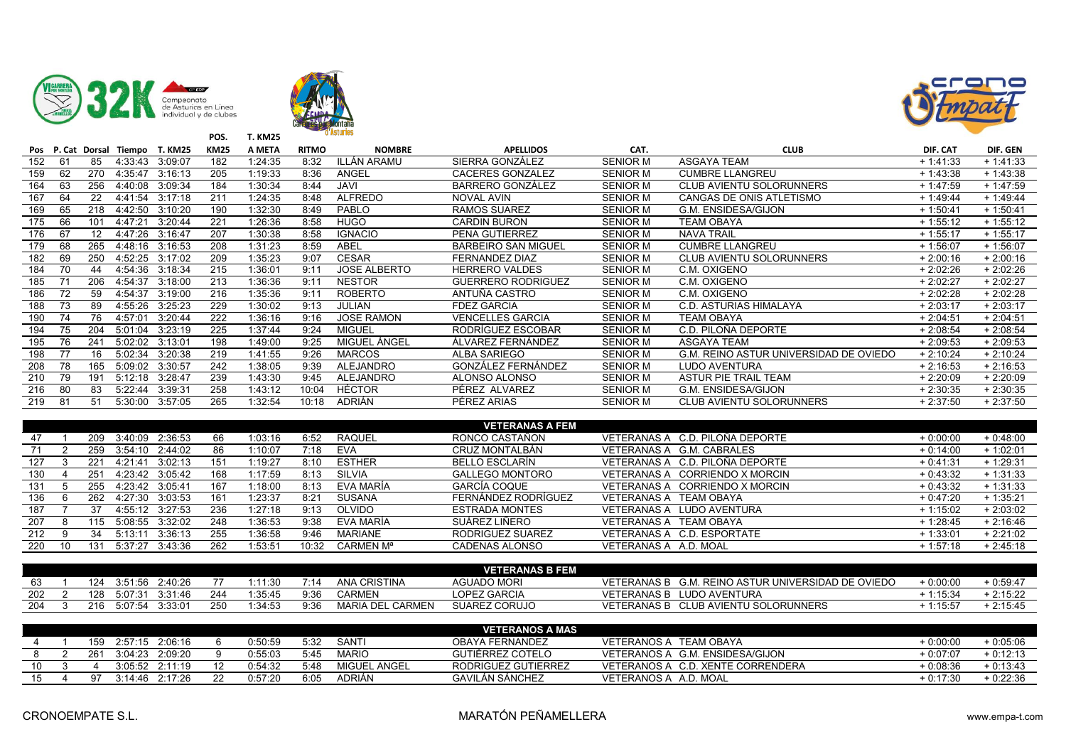





| Pos |    | P. Cat Dorsal   | Tiempo  | <b>T. KM25</b> | <b>KM25</b> | A META  | <b>RITMO</b> | <b>NOMBRE</b>       | <b>APELLIDOS</b>           | CAT.            | <b>CLUB</b>                            | DIF. CAT   | DIF. GEN    |
|-----|----|-----------------|---------|----------------|-------------|---------|--------------|---------------------|----------------------------|-----------------|----------------------------------------|------------|-------------|
| 152 | 61 | 85              | 4:33:43 | 3:09:07        | 182         | 1:24:35 | 8:32         | <b>ILLÁN ARAMU</b>  | SIERRA GONZÁLEZ            | <b>SENIOR M</b> | <b>ASGAYA TEAM</b>                     | $+1.41.33$ | $+1.41.33$  |
| 159 | 62 | 270             | 4:35:47 | 3:16:13        | 205         | 1:19:33 | 8:36         | ANGEL               | <b>CACERES GONZALEZ</b>    | <b>SENIOR M</b> | <b>CUMBRE LLANGREU</b>                 | $+1.43.38$ | $+1.43.38$  |
| 164 | 63 | 256             | 4:40:08 | 3:09:34        | 184         | 1:30:34 | 8:44         | JAVI                | <b>BARRERO GONZÁLEZ</b>    | <b>SENIOR M</b> | <b>CLUB AVIENTU SOLORUNNERS</b>        | $+1.47.59$ | $+1.47:59$  |
| 167 | 64 | 22              | 4:41:54 | 3:17:18        | 211         | 1:24:35 | 8:48         | <b>ALFREDO</b>      | NOVAL AVIN                 | <b>SENIOR M</b> | CANGAS DE ONIS ATLETISMO               | $+1.49.44$ | $+ 1.49.44$ |
| 169 | 65 | 218             | 4:42:50 | 3:10:20        | 190         | 1:32:30 | 8:49         | <b>PABLO</b>        | <b>RAMOS SUAREZ</b>        | <b>SENIOR M</b> | <b>G.M. ENSIDESA/GIJON</b>             | $+1:50:41$ | $+1:50:41$  |
| 175 | 66 | 101             | 4:47:21 | 3:20:44        | 221         | 1:26:36 | 8:58         | <b>HUGO</b>         | <b>CARDIN BURON</b>        | <b>SENIOR M</b> | <b>TEAM OBAYA</b>                      | $+1:55:12$ | $+1:55:12$  |
| 176 | 67 | 12              | 4:47:26 | 3:16:47        | 207         | 1:30:38 | 8:58         | <b>IGNACIO</b>      | PENA GUTIERREZ             | <b>SENIOR M</b> | <b>NAVA TRAIL</b>                      | $+1:55:17$ | $+1:55:17$  |
| 179 | 68 | 265             | 4:48:16 | 3:16:53        | 208         | 1:31:23 | 8:59         | <b>ABEL</b>         | <b>BARBEIRO SAN MIGUEL</b> | <b>SENIOR M</b> | <b>CUMBRE LLANGREU</b>                 | $+1:56:07$ | $+1:56:07$  |
| 182 | 69 | 250             | 4:52:25 | 3:17:02        | 209         | 1:35:23 | 9:07         | <b>CESAR</b>        | <b>FERNANDEZ DIAZ</b>      | <b>SENIOR M</b> | <b>CLUB AVIENTU SOLORUNNERS</b>        | $+2:00:16$ | $+2:00:16$  |
| 184 | 70 | 44              | 4:54:36 | 3:18:34        | 215         | 1:36:01 | 9:11         | <b>JOSE ALBERTO</b> | <b>HERRERO VALDES</b>      | <b>SENIOR M</b> | C.M. OXIGENO                           | $+2:02:26$ | $+2:02:26$  |
| 185 |    | 206             | 4:54:37 | 3:18:00        | 213         | 1:36:36 | 9:11         | <b>NESTOR</b>       | <b>GUERRERO RODRIGUEZ</b>  | <b>SENIOR M</b> | C.M. OXIGENO                           | $+2:02:27$ | $+2:02:27$  |
| 186 | 72 | 59              | 4:54:37 | 3:19:00        | 216         | 1:35:36 | 9:11         | <b>ROBERTO</b>      | ANTUÑA CASTRO              | <b>SENIOR M</b> | C.M. OXIGENO                           | $+2:02:28$ | $+2:02:28$  |
| 188 | 73 | 89              | 4:55:26 | 3:25:23        | 229         | 1:30:02 | 9:13         | <b>JULIAN</b>       | <b>FDEZ GARCIA</b>         | <b>SENIOR M</b> | C.D. ASTURIAS HIMALAYA                 | $+2:03:17$ | $+2:03:17$  |
| 190 | 74 | 76              | 4:57:01 | 3:20:44        | 222         | 1:36:16 | 9:16         | <b>JOSE RAMON</b>   | VENCELLES GARCIA           | <b>SENIOR M</b> | TEAM OBAYA                             | $+2:04:51$ | $+2:04:51$  |
| 194 | 75 | 204             | 5:01:04 | 3:23:19        | 225         | 1:37:44 | 9:24         | <b>MIGUEL</b>       | RODRÍGUEZ ESCOBAR          | <b>SENIOR M</b> | C.D. PILOÑA DEPORTE                    | $+2:08:54$ | $+2:08:54$  |
| 195 | 76 | 24′             | 5:02:02 | 3:13:01        | 198         | 1:49:00 | 9:25         | MIGUEL ÁNGEL        | ÁLVAREZ FERNÁNDEZ          | <b>SENIOR M</b> | <b>ASGAYA TEAM</b>                     | $+2:09:53$ | $+2:09:53$  |
| 198 | 77 | 16              | 5:02:34 | 3:20:38        | 219         | 1:41:55 | 9:26         | <b>MARCOS</b>       | ALBA SARIEGO               | <b>SENIOR M</b> | G.M. REINO ASTUR UNIVERSIDAD DE OVIEDO | $+2:10:24$ | $+2:10:24$  |
| 208 | 78 | 165             | 5:09:02 | 3:30:57        | 242         | 1:38:05 | 9:39         | <b>ALEJANDRO</b>    | GONZÁLEZ FERNÁNDEZ         | <b>SENIOR M</b> | <b>LUDO AVENTURA</b>                   | $+2:16:53$ | $+2:16:53$  |
| 210 | 79 | 19 <sup>7</sup> | 5:12:18 | 3:28:47        | 239         | 1:43:30 | 9:45         | <b>ALEJANDRO</b>    | ALONSO ALONSO              | <b>SENIOR M</b> | ASTUR PIE TRAIL TEAM                   | $+2:20:09$ | $+2:20:09$  |
| 216 | 80 | 83              | 5:22:44 | 3:39:31        | 258         | 1:43:12 | 10:04        | <b>HÉCTOR</b>       | PÉREZ ALVAREZ              | <b>SENIOR M</b> | G.M. ENSIDESA/GIJON                    | $+2:30:35$ | $+2:30:35$  |
| 219 | 81 | 51              | 5:30:00 | 3:57:05        | 265         | 1:32:54 | 10:18        | <b>ADRIÁN</b>       | PÉREZ ARIAS                | <b>SENIOR M</b> | <b>CLUB AVIENTU SOLORUNNERS</b>        | $+2:37:50$ | $+2:37:50$  |

|     |    |     |         |                 |     |         |       |                | <b>VETERANAS A FEM</b> |                                 |            |            |
|-----|----|-----|---------|-----------------|-----|---------|-------|----------------|------------------------|---------------------------------|------------|------------|
| 47  |    | 209 |         | 3:40:09 2:36:53 | 66  | 1:03:16 | 6:52  | <b>RAQUEL</b>  | RONCO CASTAÑON         | VETERANAS A C.D. PILOÑA DEPORTE | $+0.00:00$ | $+0.48.00$ |
|     |    | 259 |         | 3:54:10 2:44:02 | 86  | 1:10:07 | 7:18  | EVA            | CRUZ MONTALBÁN         | VETERANAS A G.M. CABRALES       | $+0.14.00$ | $+1:02:01$ |
| 127 |    | 221 | 4:21:41 | 3:02:13         | 151 | 1:19:27 | 8:10  | <b>ESTHER</b>  | BELLO ESCLARÍN         | VETERANAS A C.D. PILOÑA DEPORTE | $+0.41.31$ | $+1:29:31$ |
| 130 |    | 251 |         | 4:23:42 3:05:42 | 168 | 1:17:59 | 8:13  | <b>SILVIA</b>  | <b>GALLEGO MONTORO</b> | VETERANAS A CORRIENDO X MORCIN  | $+0.43.32$ | $+1:31:33$ |
| 131 |    | 255 |         | 4:23:42 3:05:41 | 167 | 1:18:00 | 8:13  | EVA MARÍA      | GARCÍA COQUE           | VETERANAS A CORRIENDO X MORCIN  | $+0.43.32$ | $+1:31:33$ |
| 136 |    | 262 |         | 4.27:30 3.03:53 | 161 | 1:23:37 | 8:21  | <b>SUSANA</b>  | FERNÁNDEZ RODRÍGUEZ    | VETERANAS A TEAM OBAYA          | $+0.47:20$ | $+1.35:21$ |
| 187 |    |     |         | 4:55:12 3:27:53 | 236 | 1:27:18 | 9:13  | OLVIDO         | <b>ESTRADA MONTES</b>  | LUDO AVENTURA<br>VETERANAS A    | $+1:15:02$ | $+2:03:02$ |
| 207 |    | 115 | 5:08:55 | 3:32:02         | 248 | 1:36:53 | 9:38  | EVA MARÍA      | SUÁREZ LIÑERO          | VETERANAS A TEAM OBAYA          | $+1.28.45$ | $+2:16:46$ |
| 212 |    | 34  | 5:13:11 | 3:36:13         | 255 | 1:36:58 | 9:46  | <b>MARIANE</b> | RODRIGUEZ SUAREZ       | VETERANAS A C.D. ESPORTATE      | $+1:33:01$ | $+2:21:02$ |
| 220 | 10 | 131 | 5:37:27 | 3:43:36         | 262 | 1:53:51 | 10:32 | CARMEN Mª      | <b>CADENAS ALONSO</b>  | VETERANAS A A.D. MOAL           | $+1:57:18$ | $+2.45.18$ |

|     |     |         |         |     |           |      |                     | <b>VETERANAS B FEM</b> |                    |                                        |            |               |
|-----|-----|---------|---------|-----|-----------|------|---------------------|------------------------|--------------------|----------------------------------------|------------|---------------|
|     | 124 | 3:51:56 | 40.26   |     | ⊶ 11 ∙ ?∩ |      | <b>ANA CRISTINA</b> | <b>AGUADO MORI</b>     | VETERANAS B        | G.M. REINO ASTUR UNIVERSIDAD DE OVIEDO | $-0.00:00$ | $+0.59.4^{-}$ |
| 202 | 128 | 5:07:31 | 3 31 46 | 244 | $-35.45$  | 9:36 | CARMEN              | LOPEZ GARCIA           | <b>VETERANAS B</b> | LUDO AVENTURA                          | :15:34     | 2:15:22       |
| 204 | 216 | 5:07:54 | 3:33:01 | 250 | :34.53    | 9:36 | MARIA DEL CARMEN    | <b>SUAREZ CORUJO</b>   | <b>VETERANAS B</b> | <b>CLUB AVIENTU SOLORUNNERS</b>        | 1:15:57    | 2:15:45       |

|    |     |         |         |         |      |               | <b>VETERANOS A MAS</b> |                                   |            |            |
|----|-----|---------|---------|---------|------|---------------|------------------------|-----------------------------------|------------|------------|
|    | 159 | 2:57:15 | 2:06:16 | 0:50:59 | 5:32 | SANTI         | <b>OBAYA FERNANDEZ</b> | VETERANOS A TEAM OBAYA            | 0:00:00    | $+0.05.06$ |
|    | 261 | 3:04:23 | 2:09:20 | 0:55:03 | 5:45 | <b>MARIO</b>  | GUTIÉRREZ COTELO       | VETERANOS A G.M. ENSIDESA/GIJON   | 0.07:07    | $+0:12:13$ |
| 10 |     | 3.05.52 | 2:11:19 | 0.54.32 | 5:48 | MIGUEL ANGEL  | RODRIGUEZ GUTIERREZ    | VETERANOS A C.D. XENTE CORRENDERA | 0:08:36    | $+0.13.43$ |
|    | 97  | 3 14 46 | 2:17:26 | 0:57:20 | 6:05 | <b>ADRIAN</b> | <b>GAVILÁN SÁNCHEZ</b> | VETERANOS A A.D. MOAL             | $-0.17.30$ | + 0:22:36  |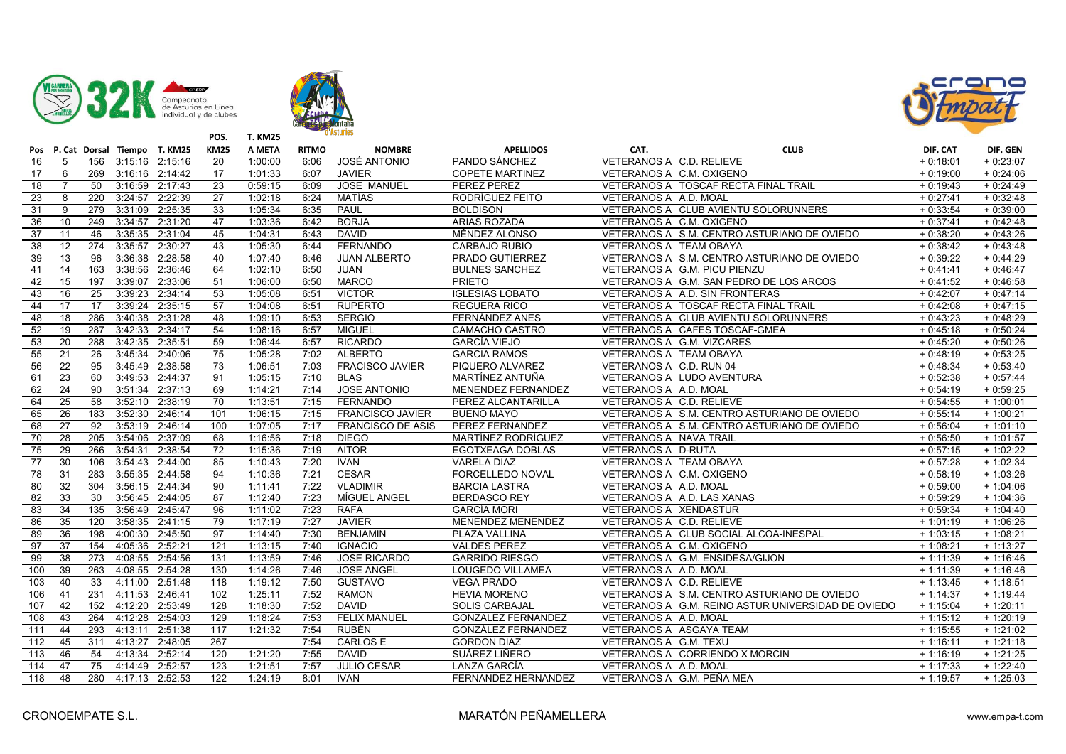





|                 |                 |                 |                     | Pos P. Cat Dorsal Tiempo T. KM25 | <b>KM25</b>      | A META  | <b>RITMO</b> | <b>NOMBRE</b>            | <b>APELLIDOS</b>          | CAT.                     | <b>CLUB</b>                                        | DIF. CAT   | DIF. GEN   |
|-----------------|-----------------|-----------------|---------------------|----------------------------------|------------------|---------|--------------|--------------------------|---------------------------|--------------------------|----------------------------------------------------|------------|------------|
| 16              | 5               |                 | 156 3:15:16 2:15:16 |                                  | 20               | 1:00:00 | 6:06         | JOSÉ ANTONIO             | PANDO SÁNCHEZ             | VETERANOS A C.D. RELIEVE |                                                    | $+0:18:01$ | $+0:23:07$ |
| 17              | 6               |                 | 269 3:16:16 2:14:42 |                                  | $\overline{17}$  | 1:01:33 | 6:07         | <b>JAVIER</b>            | <b>COPETE MARTINEZ</b>    | VETERANOS A C.M. OXIGENO |                                                    | $+0:19:00$ | $+0.24:06$ |
| $\overline{18}$ |                 | 50              | 3:16:59 2:17:43     |                                  | $\overline{23}$  | 0:59:15 | 6:09         | <b>JOSE MANUEL</b>       | <b>PEREZ PEREZ</b>        |                          | VETERANOS A TOSCAF RECTA FINAL TRAIL               | $+0.19.43$ | $+0.24:49$ |
| 23              | 8               | 220             | 3:24:57 2:22:39     |                                  | 27               | 1:02:18 | 6:24         | MATÍAS                   | RODRÍGUEZ FEITO           | VETERANOS A A.D. MOAL    |                                                    | $+0:27:41$ | $+0.32:48$ |
| 31              | 9               | 279             | 3:31:09             | 2:25:35                          | 33               | 1:05:34 | 6:35         | <b>PAUL</b>              | <b>BOLDISON</b>           |                          | VETERANOS A CLUB AVIENTU SOLORUNNERS               | $+0:33:54$ | $+0.39:00$ |
| 36              | 10              | 249             | 3:34:57 2:31:20     |                                  | 47               | 1:03:36 | 6:42         | <b>BORJA</b>             | ARIAS ROZADA              | VETERANOS A C.M. OXIGENO |                                                    | $+0:37:41$ | $+0.42:48$ |
| 37              | $\overline{11}$ | 46              | 3:35:35 2:31:04     |                                  | 45               | 1:04:31 | 6:43         | <b>DAVID</b>             | MÉNDEZ ALONSO             |                          | VETERANOS A S.M. CENTRO ASTURIANO DE OVIEDO        | $+0:38:20$ | $+0.43:26$ |
| 38              | $\overline{12}$ | 274             | 3:35:57 2:30:27     |                                  | 43               | 1:05:30 | 6:44         | FERNANDO                 | <b>CARBAJO RUBIO</b>      | VETERANOS A TEAM OBAYA   |                                                    | $+0.38:42$ | $+0.43:48$ |
| 39              | 13              | 96              |                     | 3:36:38 2:28:58                  | 40               | 1:07:40 | 6:46         | <b>JUAN ALBERTO</b>      | PRADO GUTIERREZ           |                          | VETERANOS A S.M. CENTRO ASTURIANO DE OVIEDO        | $+0.39:22$ | $+0.44:29$ |
| 41              | 14              | 163             | 3:38:56 2:36:46     |                                  | 64               | 1:02:10 | 6:50         | JUAN                     | <b>BULNES SANCHEZ</b>     |                          | VETERANOS A G.M. PICU PIENZU                       | $+0:41:41$ | $+0.46:47$ |
| 42              | 15              | 197             | 3:39:07 2:33:06     |                                  | 51               | 1:06:00 | 6:50         | <b>MARCO</b>             | <b>PRIETO</b>             |                          | VETERANOS A G.M. SAN PEDRO DE LOS ARCOS            | $+0.41:52$ | $+0.46:58$ |
| 43              | 16              | 25              |                     | 3:39:23 2:34:14                  | 53               | 1:05:08 | 6:51         | <b>VICTOR</b>            | <b>IGLESIAS LOBATO</b>    |                          | VETERANOS A A.D. SIN FRONTERAS                     | $+0.42:07$ | $+0.47:14$ |
| 44              | 17              | 17              |                     | 3:39:24 2:35:15                  | $\overline{57}$  | 1:04:08 | 6:51         | <b>RUPERTO</b>           | <b>REGUERA RICO</b>       |                          | VETERANOS A TOSCAF RECTA FINAL TRAIL               | $+0.42:08$ | $+0.47:15$ |
| 48              | $\overline{18}$ | 286             | 3:40:38 2:31:28     |                                  | $-48$            | 1:09:10 | 6:53         | <b>SERGIO</b>            | FERNÁNDEZ ANES            |                          | VETERANOS A CLUB AVIENTU SOLORUNNERS               | $+0.43:23$ | $+0.48:29$ |
| 52              | 19              | 287             | 3:42:33 2:34:17     |                                  | 54               | 1:08:16 | 6:57         | <b>MIGUEL</b>            | CAMACHO CASTRO            |                          | VETERANOS A CAFES TOSCAF-GMEA                      | $+0.45:18$ | $+0.50:24$ |
| 53              | 20              | 288             | 3:42:35 2:35:51     |                                  | 59               | 1:06:44 | 6:57         | <b>RICARDO</b>           | <b>GARCÍA VIEJO</b>       |                          | VETERANOS A G.M. VIZCARES                          | $+0.45:20$ | $+0.50:26$ |
| 55              | 21              | 26              |                     | 3:45:34 2:40:06                  | 75               | 1:05:28 | 7:02         | ALBERTO                  | <b>GARCIA RAMOS</b>       | VETERANOS A TEAM OBAYA   |                                                    | $+0.48:19$ | $+0.53:25$ |
| 56              | 22              | 95              |                     | 3:45:49 2:38:58                  | 73               | 1:06:51 | 7:03         | <b>FRACISCO JAVIER</b>   | PIQUERO ALVAREZ           | VETERANOS A C.D. RUN 04  |                                                    | $+0.48:34$ | $+0.53:40$ |
| 61              | 23              | 60              | 3:49:53 2:44:37     |                                  | 91               | 1:05:15 | 7:10         | <b>BLAS</b>              | MARTÍNEZ ANTUÑA           |                          | VETERANOS A LUDO AVENTURA                          | $+0.52:38$ | $+0.57:44$ |
| 62              | 24              | 90              |                     | 3:51:34 2:37:13                  | 69               | 1:14:21 | 7:14         | <b>JOSE ANTONIO</b>      | MENENDEZ FERNANDEZ        | VETERANOS A A.D. MOAL    |                                                    | $+0.54:19$ | $+0.59:25$ |
| 64              | $\overline{25}$ | $\overline{58}$ |                     | 3:52:10 2:38:19                  | 70               | 1:13:51 | 7:15         | FERNANDO                 | PEREZ ALCANTARILLA        | VETERANOS A C.D. RELIEVE |                                                    | $+0.54:55$ | $+1:00:01$ |
| 65              | 26              | 183             | 3:52:30 2:46:14     |                                  | 101              | 1:06:15 | 7:15         | <b>FRANCISCO JAVIER</b>  | <b>BUENO MAYO</b>         |                          | VETERANOS A S.M. CENTRO ASTURIANO DE OVIEDO        | $+0.55:14$ | $+1:00:21$ |
| 68              | $\overline{27}$ | 92              | 3:53:19 2:46:14     |                                  | 100              | 1:07:05 | 7:17         | <b>FRANCISCO DE ASIS</b> | PEREZ FERNANDEZ           |                          | VETERANOS A S.M. CENTRO ASTURIANO DE OVIEDO        | $+0.56:04$ | $+1:01:10$ |
| 70              | $\overline{28}$ | 205             | 3:54:06 2:37:09     |                                  | 68               | 1:16:56 | 7:18         | <b>DIEGO</b>             | MARTÍNEZ RODRÍGUEZ        | VETERANOS A NAVA TRAIL   |                                                    | $+0.56:50$ | $+1:01:57$ |
| 75              | 29              | 266             | 3:54:31 2:38:54     |                                  | 72               | 1:15:36 | 7:19         | <b>AITOR</b>             | EGOTXEAGA DOBLAS          | VETERANOS A D-RUTA       |                                                    | $+0.57:15$ | $+1:02:22$ |
| 77              | 30              | 106             | 3:54:43 2:44:00     |                                  | 85               | 1:10:43 | 7:20         | <b>IVAN</b>              | <b>VARELA DIAZ</b>        | VETERANOS A TEAM OBAYA   |                                                    | $+0.57:28$ | $+1:02:34$ |
| 78              | 31              | 283             | 3:55:35 2:44:58     |                                  | 94               | 1:10:36 | 7:21         | CESAR                    | FORCELLEDO NOVAL          | VETERANOS A C.M. OXIGENO |                                                    | $+0.58:19$ | $+1:03:26$ |
| 80              | 32              |                 | 304 3:56:15 2:44:34 |                                  | 90               | 1:11:41 | 7:22         | <b>VLADIMIR</b>          | <b>BARCIA LASTRA</b>      | VETERANOS A A.D. MOAL    |                                                    | $+0.59:00$ | $+1:04:06$ |
| 82              | 33              | 30              |                     | 3:56:45 2:44:05                  | 87               | 1:12:40 | 7:23         | MÍGUEL ANGEL             | <b>BERDASCO REY</b>       |                          | VETERANOS A A.D. LAS XANAS                         | $+0.59:29$ | $+1:04:36$ |
| 83              | 34              | 135             | 3:56:49 2:45:47     |                                  | 96               | 1:11:02 | 7:23         | <b>RAFA</b>              | <b>GARCÍA MORI</b>        | VETERANOS A XENDASTUR    |                                                    | $+0.59.34$ | $+1:04:40$ |
| 86              | 35              | 120             | 3:58:35 2:41:15     |                                  | $\overline{79}$  | 1:17:19 | 7:27         | <b>JAVIER</b>            | <b>MENENDEZ MENENDEZ</b>  | VETERANOS A C.D. RELIEVE |                                                    | $+1:01:19$ | $+1:06:26$ |
| 89              | 36              | 198             | 4:00:30 2:45:50     |                                  | 97               | 1:14:40 | 7:30         | <b>BENJAMIN</b>          | PLAZA VALLINA             |                          | VETERANOS A CLUB SOCIAL ALCOA-INESPAL              | $+1:03:15$ | $+1:08:21$ |
| 97              | $\overline{37}$ | 154             | 4:05:36 2:52:21     |                                  | $\overline{121}$ | 1:13:15 | 7:40         | <b>IGNACIO</b>           | <b>VALDES PEREZ</b>       | VETERANOS A C.M. OXIGENO |                                                    | $+1:08:21$ | $+1:13:27$ |
| 99              | 38              | 273             | 4:08:55 2:54:56     |                                  | 131              | 1:13:59 | 7:46         | <b>JOSE RICARDO</b>      | <b>GARRIDO RIESGO</b>     |                          | VETERANOS A G.M. ENSIDESA/GIJON                    | $+1:11:39$ | $+1:16:46$ |
| 100             | 39              | 263             | 4:08:55 2:54:28     |                                  | 130              | 1:14:26 | 7:46         | <b>JOSE ANGEL</b>        | <b>LOUGEDO VILLAMEA</b>   | VETERANOS A A.D. MOAL    |                                                    | $+1:11:39$ | $+1:16:46$ |
| 103             | 40              | 33              | 4:11:00 2:51:48     |                                  | 118              | 1:19:12 | 7:50         | <b>GUSTAVO</b>           | <b>VEGA PRADO</b>         | VETERANOS A C.D. RELIEVE |                                                    | $+1:13:45$ | $+1:18:51$ |
| 106             | 41              | 231             | 4:11:53 2:46:41     |                                  | 102              | 1:25:11 | 7:52         | <b>RAMON</b>             | <b>HEVIA MORENO</b>       |                          | VETERANOS A S.M. CENTRO ASTURIANO DE OVIEDO        | $+1:14:37$ | $+1:19:44$ |
| 107             | 42              | 152             | 4:12:20 2:53:49     |                                  | 128              | 1:18:30 | 7:52         | <b>DAVID</b>             | <b>SOLIS CARBAJAL</b>     |                          | VETERANOS A G.M. REINO ASTUR UNIVERSIDAD DE OVIEDO | $+1:15:04$ | $+1:20:11$ |
| 108             | 43              |                 | 264 4:12:28 2:54:03 |                                  | 129              | 1:18:24 | 7:53         | <b>FELIX MANUEL</b>      | <b>GONZALEZ FERNANDEZ</b> | VETERANOS A A.D. MOAL    |                                                    | $+1:15:12$ | $+1:20:19$ |
| 111             | 44              | 293             | 4:13:11 2:51:38     |                                  | 117              | 1:21:32 | 7:54         | <b>RUBÉN</b>             | GONZÁLEZ FERNÁNDEZ        |                          | VETERANOS A ASGAYA TEAM                            | $+1:15:55$ | $+1:21:02$ |
| 112             | 45              | 311             | 4:13:27 2:48:05     |                                  | 267              |         | 7:54         | <b>CARLOS E</b>          | <b>GORDON DIAZ</b>        | VETERANOS A G.M. TEXU    |                                                    | $+1:16:11$ | $+1:21:18$ |
| 113             | 46              | 54              | 4:13:34             | 2:52:14                          | 120              | 1:21:20 | 7:55         | <b>DAVID</b>             | SUÁREZ LIÑERO             |                          | VETERANOS A CORRIENDO X MORCIN                     | $+1:16:19$ | $+1:21:25$ |
| 114             | 47              | $\overline{75}$ | 4:14:49 2:52:57     |                                  | 123              | 1:21:51 | 7:57         | <b>JULIO CESAR</b>       | LANZA GARCÍA              | VETERANOS A A.D. MOAL    |                                                    | $+1:17:33$ | $+1:22:40$ |
| 118             | 48              | 280             | 4:17:13 2:52:53     |                                  | 122              | 1:24:19 | 8:01         | <b>IVAN</b>              | FERNANDEZ HERNANDEZ       |                          | VETERANOS A G.M. PEÑA MEA                          | $+1:19:57$ | $+1:25:03$ |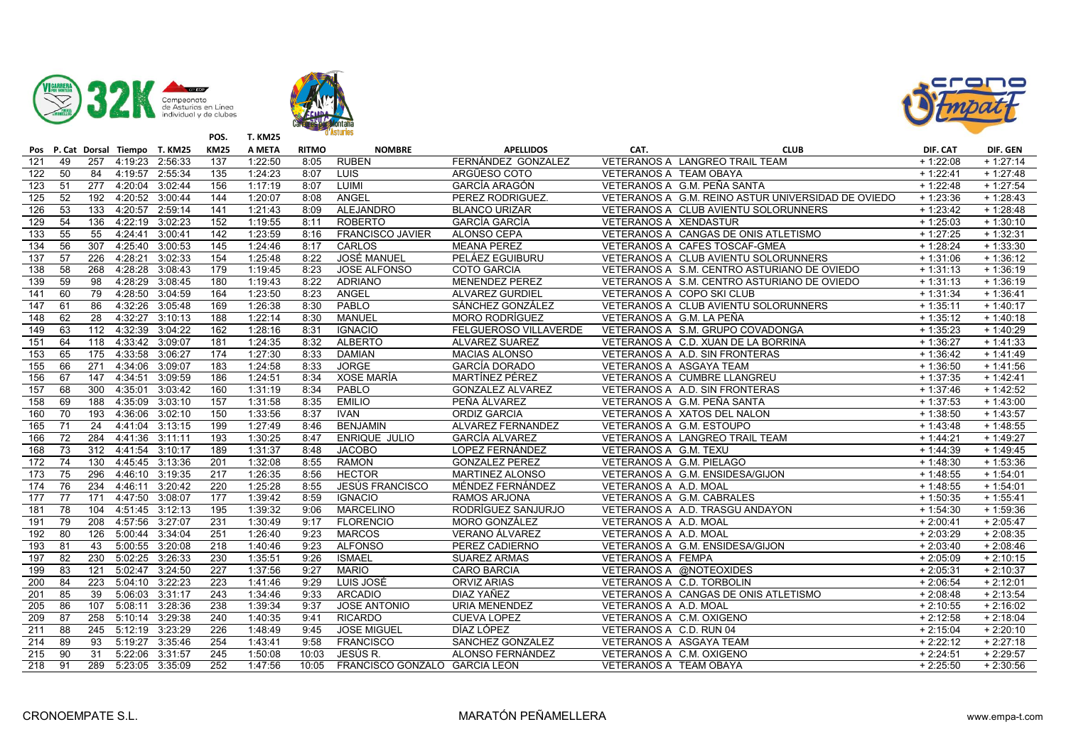





|                  |    |     |                     | Pos P. Cat Dorsal Tiempo T. KM25 | <b>KM25</b>      | A META  | <b>RITMO</b> | <b>NOMBRE</b>                 | <b>APELLIDOS</b>        | CAT.                     | <b>CLUB</b>                                                  | DIF. CAT   | DIF. GEN   |
|------------------|----|-----|---------------------|----------------------------------|------------------|---------|--------------|-------------------------------|-------------------------|--------------------------|--------------------------------------------------------------|------------|------------|
| 121              | 49 |     | 257 4:19:23 2:56:33 |                                  | 137              | 1:22:50 | 8:05         | <b>RUBEN</b>                  | FERNÁNDEZ GONZALEZ      |                          | VETERANOS A LANGREO TRAIL TEAM                               | $+1:22:08$ | $+1:27:14$ |
| 122              | 50 | 84  | 4:19:57 2:55:34     |                                  | $\overline{135}$ | 1:24:23 | 8:07         | LUIS                          | ARGÜESO COTO            | VETERANOS A TEAM OBAYA   |                                                              | $+1:22:41$ | $+1:27:48$ |
| 123              | 51 | 277 | 4:20:04 3:02:44     |                                  | 156              | 1:17:19 | 8:07         | LUIMI                         | GARCÍA ARAGÓN           |                          | VETERANOS A G.M. PEÑA SANTA                                  | $+1:22:48$ | $+1:27:54$ |
| 125              | 52 | 192 | 4:20:52 3:00:44     |                                  | 144              | 1:20:07 | 8:08         | ANGEL                         | PEREZ RODRIGUEZ.        |                          | VETERANOS A G.M. REINO ASTUR UNIVERSIDAD DE OVIEDO           | $+1:23:36$ | $+1:28:43$ |
| 126              | 53 | 133 | 4:20:57 2:59:14     |                                  | 141              | 1:21:43 | 8:09         | ALEJANDRO                     | <b>BLANCO URIZAR</b>    |                          | VETERANOS A CLUB AVIENTU SOLORUNNERS                         | $+1:23:42$ | $+1:28:48$ |
| 129              | 54 | 136 | 4:22:19 3:02:23     |                                  | 152              | 1:19:55 | 8:11         | <b>ROBERTO</b>                | <b>GARCÍA GARCÍA</b>    | VETERANOS A XENDASTUR    |                                                              | $+1:25:03$ | $+1:30:10$ |
| $\frac{133}{ }$  | 55 | 55  | 4.24.41             | 3:00:41                          | 142              | 1:23:59 | 8:16         | <b>FRANCISCO JAVIER</b>       | ALONSO CEPA             |                          | VETERANOS A CANGAS DE ONIS ATLETISMO                         | $+1:27:25$ | $+1:32:31$ |
| 134              | 56 | 307 | 4:25:40 3:00:53     |                                  | 145              | 1:24:46 | 8:17         | CARLOS                        | <b>MEANA PEREZ</b>      |                          | VETERANOS A CAFES TOSCAF-GMEA                                | $+1:28:24$ | $+1:33:30$ |
| 137              | 57 | 226 | 4:28:21             | 3:02:33                          | 154              | 1:25:48 | 8:22         | <b>JOSÉ MANUEL</b>            | PELÁEZ EGUIBURU         |                          | VETERANOS A CLUB AVIENTU SOLORUNNERS                         | $+1:31:06$ | $+1:36:12$ |
| $\overline{138}$ | 58 | 268 | 4:28:28 3:08:43     |                                  | 179              | 1:19:45 | 8:23         | JOSE ALFONSO                  | <b>COTO GARCIA</b>      |                          | VETERANOS A S.M. CENTRO ASTURIANO DE OVIEDO                  | $+1:31:13$ | $+1:36:19$ |
| $\frac{139}{ }$  | 59 | 98  | 4:28:29 3:08:45     |                                  | 180              | 1:19:43 | 8:22         | <b>ADRIANO</b>                | <b>MENENDEZ PEREZ</b>   |                          | VETERANOS A S.M. CENTRO ASTURIANO DE OVIEDO                  | $+1:31:13$ | $+1:36:19$ |
| 141              | 60 | 79  | 4:28:50 3:04:59     |                                  | 164              | 1:23:50 | 8:23         | ANGEL                         | ALVAREZ GURDIEL         |                          | VETERANOS A COPO SKI CLUB                                    | $+1:31:34$ | $+1:36:41$ |
| 147              | 61 | 86  | 4:32:26 3:05:48     |                                  | 169              | 1:26:38 | 8:30         | PABLO                         | SÁNCHEZ GONZÁLEZ        |                          | VETERANOS A CLUB AVIENTU SOLORUNNERS                         | $+1:35:11$ | $+1:40:17$ |
| 148              | 62 | 28  | 4:32:27             | 3:10:13                          | 188              | 1:22:14 | 8:30         | <b>MANUEL</b>                 | <b>MORO RODRÍGUEZ</b>   | VETERANOS A G.M. LA PEÑA |                                                              | $+1:35:12$ | $+1:40:18$ |
| 149              | 63 | 112 | 4:32:39 3:04:22     |                                  | 162              | 1:28:16 | 8:31         | <b>IGNACIO</b>                | FELGUEROSO VILLAVERDE   |                          | VETERANOS A S.M. GRUPO COVADONGA                             | $+1:35:23$ | $+1:40:29$ |
| 151              | 64 | 118 | 4:33:42 3:09:07     |                                  | 181              | 1:24:35 | 8:32         | <b>ALBERTO</b>                | <b>ALVAREZ SUAREZ</b>   |                          | VETERANOS A C.D. XUAN DE LA BORRINA                          | $+1:36:27$ | $+1:41:33$ |
| 153              | 65 | 175 | 4:33:58 3:06:27     |                                  | 174              | 1:27:30 | 8:33         | <b>DAMIAN</b>                 | <b>MACIAS ALONSO</b>    |                          | VETERANOS A A.D. SIN FRONTERAS                               | $+1:36:42$ | $+1:41:49$ |
| 155              | 66 | 271 | 4:34:06 3:09:07     |                                  | 183              | 1:24:58 | 8:33         | <b>JORGE</b>                  | <b>GARCÍA DORADO</b>    |                          | VETERANOS A ASGAYA TEAM                                      | $+1:36:50$ | $+1:41:56$ |
| 156              | 67 | 147 | 4:34:51 3:09:59     |                                  | 186              | 1:24:51 | 8:34         | XOSE MARÍA                    | MARTÍNEZ PÉREZ          |                          | VETERANOS A CUMBRE LLANGREU                                  | $+1:37:35$ | $+1:42:41$ |
| 157              | 68 | 300 |                     | 4:35:01 3:03:42                  | 160              | 1:31:19 | 8:34         | PABLO                         | <b>GONZALEZ ALVAREZ</b> |                          | VETERANOS A A.D. SIN FRONTERAS                               | $+1:37:46$ | $+1:42:52$ |
| 158              | 69 | 188 | 4:35:09 3:03:10     |                                  | 157              | 1:31:58 | 8:35         | <b>EMILIO</b>                 | PEÑA ÁLVAREZ            |                          | VETERANOS A G.M. PEÑA SANTA                                  | $+1:37:53$ | $+1:43:00$ |
| 160              | 70 | 193 | 4:36:06 3:02:10     |                                  | 150              | 1:33:56 | 8:37         | <b>IVAN</b>                   | ORDIZ GARCIA            |                          | VETERANOS A XATOS DEL NALON                                  | $+1:38:50$ | $+1:43:57$ |
| 165              | 71 | 24  |                     | 4:41:04 3:13:15                  | 199              | 1:27:49 | 8:46         | <b>BENJAMIN</b>               | ALVAREZ FERNANDEZ       |                          | VETERANOS A G.M. ESTOUPO                                     | $+1:43:48$ | $+1:48:55$ |
| 166              | 72 |     | 284 4:41:36 3:11:11 |                                  | 193              | 1:30:25 | 8:47         | <b>ENRIQUE JULIO</b>          | <b>GARCÍA ALVAREZ</b>   |                          | VETERANOS A LANGREO TRAIL TEAM                               | $+1.44:21$ | $+1:49:27$ |
| 168              | 73 |     | 312 4:41:54 3:10:17 |                                  | 189              | 1:31:37 | 8:48         | <b>JACOBO</b>                 | LOPEZ FERNÁNDEZ         | VETERANOS A G.M. TEXU    |                                                              | $+1:44:39$ | $+1:49:45$ |
| 172              | 74 | 130 | 4.45.45 3.13.36     |                                  | 201              | 1:32:08 | 8:55         | <b>RAMON</b>                  | <b>GONZALEZ PEREZ</b>   | VETERANOS A G.M. PIELAGO |                                                              | $+1:48:30$ | $+1:53:36$ |
| 173              | 75 |     | 296 4:46:10 3:19:35 |                                  | 217              | 1:26:35 | 8:56         | <b>HECTOR</b>                 | <b>MARTINEZ ALONSO</b>  |                          | VETERANOS A G.M. ENSIDESA/GIJON                              | $+1:48:55$ | $+1:54:01$ |
| 174              | 76 | 234 | 4:46:11             | 3:20:42                          | 220              | 1:25:28 | 8:55         | <b>JESÚS FRANCISCO</b>        | MÉNDEZ FERNÁNDEZ        | VETERANOS A A.D. MOAL    |                                                              | $+1:48:55$ | $+1:54:01$ |
| 177              | 77 | 171 | 4:47:50 3:08:07     |                                  | 177              | 1:39:42 | 8:59         | <b>IGNACIO</b>                | RAMOS ARJONA            |                          |                                                              | $+1:50:35$ | $+1:55:41$ |
| 181              | 78 | 104 | 4:51:45 3:12:13     |                                  | 195              | 1:39:32 | 9:06         | <b>MARCELINO</b>              | RODRÍGUEZ SANJURJO      |                          | VETERANOS A G.M. CABRALES<br>VETERANOS A A.D. TRASGU ANDAYON | $+1:54:30$ | $+1:59:36$ |
| 191              | 79 |     | 208 4:57:56 3:27:07 |                                  | 231              | 1:30:49 | 9:17         | <b>FLORENCIO</b>              | <b>MORO GONZÁLEZ</b>    | VETERANOS A A.D. MOAL    |                                                              | $+2:00:41$ | $+2:05:47$ |
| 192              | 80 |     | 126 5:00:44 3:34:04 |                                  | 251              | 1:26:40 | 9:23         | <b>MARCOS</b>                 | VERANO ÁLVAREZ          | VETERANOS A A.D. MOAL    |                                                              | $+2:03:29$ | $+2:08:35$ |
| 193              | 81 | 43  | 5:00:55 3:20:08     |                                  | 218              | 1:40:46 | 9:23         | <b>ALFONSO</b>                | PEREZ CADIERNO          |                          | VETERANOS A G.M. ENSIDESA/GIJON                              | $+2:03:40$ | $+2:08:46$ |
| 197              | 82 | 230 | 5:02:25 3:26:33     |                                  | 230              | 1:35:51 | 9:26         | <b>ISMAEL</b>                 | <b>SUAREZ ARMAS</b>     | <b>VETERANOS A FEMPA</b> |                                                              | $+2:05:09$ | $+2:10:15$ |
| 199              | 83 | 121 | 5:02:47 3:24:50     |                                  | 227              | 1:37:56 | 9:27         | <b>MARIO</b>                  | <b>CARO BARCIA</b>      |                          | VETERANOS A @NOTEOXIDES                                      | $+2:05:31$ | $+2:10:37$ |
| 200              | 84 | 223 | 5:04:10 3:22:23     |                                  | 223              | 1:41:46 | 9:29         | LUIS JOSÉ                     | ORVIZ ARIAS             |                          | VETERANOS A C.D. TORBOLIN                                    | $+2:06:54$ | $+2:12:01$ |
| 201              | 85 | 39  | 5:06:03 3:31:17     |                                  | 243              | 1:34:46 | 9:33         | ARCADIO                       | DIAZ YAÑEZ              |                          | VETERANOS A CANGAS DE ONIS ATLETISMO                         | $+2:08:48$ | $+2:13:54$ |
| 205              | 86 | 107 | 5:08:11             | 3:28:36                          | 238              | 1:39:34 | 9:37         | <b>JOSE ANTONIO</b>           | URIA MENENDEZ           | VETERANOS A A.D. MOAL    |                                                              | $+2:10:55$ | $+2:16:02$ |
| 209              | 87 | 258 | 5:10:14 3:29:38     |                                  | 240              | 1:40:35 | 9:41         | <b>RICARDO</b>                | <b>CUEVA LOPEZ</b>      |                          | VETERANOS A C.M. OXIGENO                                     | $+2:12:58$ | $+2:18:04$ |
| 211              | 88 | 245 | 5:12:19 3:23:29     |                                  | 226              | 1:48:49 | 9:45         | <b>JOSE MIGUEL</b>            | DÍAZ LÓPEZ              | VETERANOS A C.D. RUN 04  |                                                              | $+2:15:04$ | $+2:20:10$ |
| 214              | 89 | 93  | 5:19:27 3:35:46     |                                  | 254              | 1:43:41 | 9:58         | <b>FRANCISCO</b>              | SANCHEZ GONZALEZ        |                          | VETERANOS A ASGAYA TEAM                                      | $+2:22:12$ | $+2:27:18$ |
| 215              | 90 | 31  | 5:22:06 3:31:57     |                                  | 245              | 1:50:08 | 10:03        | JESÚS R.                      | ALONSO FERNÁNDEZ        |                          | VETERANOS A C.M. OXIGENO                                     | $+2:24:51$ | $+2:29:57$ |
| 218              | 91 | 289 | 5:23:05 3:35:09     |                                  | 252              | 1:47:56 | 10:05        | FRANCISCO GONZALO GARCIA LEON |                         | VETERANOS A TEAM OBAYA   |                                                              | $+2:25:50$ | $+2:30:56$ |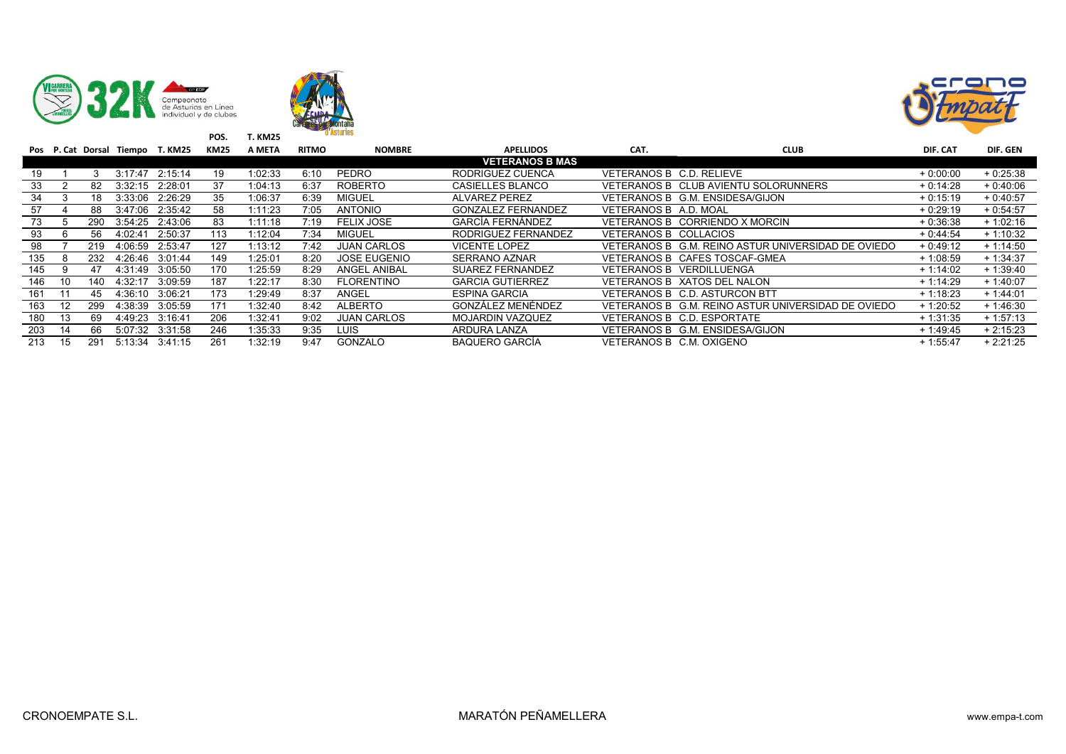





|     |    |     |                 | Pos P. Cat Dorsal Tiempo T. KM25 | KM25 | A META  | <b>RITMO</b> | <b>NOMBRE</b>       | <b>APELLIDOS</b>          | CAT.                     | <b>CLUB</b>                                        | DIF. CAT   | DIF. GEN   |
|-----|----|-----|-----------------|----------------------------------|------|---------|--------------|---------------------|---------------------------|--------------------------|----------------------------------------------------|------------|------------|
|     |    |     |                 |                                  |      |         |              |                     | <b>VETERANOS B MAS</b>    |                          |                                                    |            |            |
| 19  |    |     | 3:17:47         | 2:15:14                          | 19   | 1:02:33 | 6:10         | PEDRO               | RODRIGUEZ CUENCA          | VETERANOS B C.D. RELIEVE |                                                    | $+0.00:00$ | $+0.25.38$ |
| 33  |    | 82  | 3:32:15         | 2:28:01                          | 37   | 1:04:13 | 6:37         | <b>ROBERTO</b>      | <b>CASIELLES BLANCO</b>   |                          | VETERANOS B CLUB AVIENTU SOLORUNNERS               | $+0.14.28$ | $+0.40:06$ |
| 34  |    | 18  | 3:33:06         | 2:26:29                          | 35   | 1:06:37 | 6:39         | <b>MIGUEL</b>       | <b>ALVAREZ PEREZ</b>      |                          | VETERANOS B G.M. ENSIDESA/GIJON                    | $+0:15:19$ | $+0.40:57$ |
| 57  |    | 88  |                 | 3:47:06 2:35:42                  | 58   | 1:11:23 | 7:05         | <b>ANTONIO</b>      | <b>GONZALEZ FERNANDEZ</b> | VETERANOS B A.D. MOAL    |                                                    | $+0.29:19$ | $+0.54.57$ |
| 73  |    | 290 |                 | 3:54:25 2:43:06                  | 83   | 1:11:18 | 7:19         | <b>FELIX JOSE</b>   | <b>GARCÍA FERNÁNDEZ</b>   |                          | VETERANOS B CORRIENDO X MORCIN                     | $+0.36.38$ | $+1:02:16$ |
| 93  |    | 56  | 4:02:41         | 2:50:37                          | 113  | 1:12:04 | 7:34         | <b>MIGUEL</b>       | RODRIGUEZ FERNANDEZ       | VETERANOS B COLLACIOS    |                                                    | $+0.44.54$ | $+1:10:32$ |
| 98  |    | 219 | 4:06:59         | 2:53:47                          | 127  | 1:13:12 | 7:42         | <b>JUAN CARLOS</b>  | <b>VICENTE LOPEZ</b>      |                          | VETERANOS B G.M. REINO ASTUR UNIVERSIDAD DE OVIEDO | $+0.49:12$ | $+1:14:50$ |
| 135 |    | 232 | 4:26:46 3:01:44 |                                  | 149  | 1:25:01 | 8:20         | <b>JOSE EUGENIO</b> | <b>SERRANO AZNAR</b>      |                          | VETERANOS B CAFES TOSCAF-GMEA                      | $+1.08:59$ | $+1:34:37$ |
| 145 | g  | 47  | 4:31:49         | 3:05:50                          | 170  | 1:25:59 | 8:29         | <b>ANGEL ANIBAL</b> | <b>SUAREZ FERNANDEZ</b>   |                          | VETERANOS B VERDILLUENGA                           | $+1:14:02$ | $+1:39:40$ |
| 146 | 10 | 140 | 4:32:17         | 3:09:59                          | 187  | 1:22:17 | 8:30         | <b>FLORENTINO</b>   | <b>GARCIA GUTIERREZ</b>   |                          | VETERANOS B XATOS DEL NALON                        | $+1:14:29$ | $+1:40:07$ |
| 161 |    | 45. | 4:36:10         | 3:06:21                          | 173  | 1:29:49 | 8:37         | ANGEL               | <b>ESPINA GARCIA</b>      |                          | VETERANOS B C.D. ASTURCON BTT                      | $+1:18:23$ | $+1.44:01$ |
| 163 | 12 | 299 | 4:38:39         | 3:05:59                          | 171  | 1:32:40 | 8:42         | ALBERTO             | GONZÁLEZ MENÉNDEZ         |                          | VETERANOS B G.M. REINO ASTUR UNIVERSIDAD DE OVIEDO | $+1:20:52$ | $+1:46:30$ |
| 180 | 13 | 69  | 4:49:23         | 3:16:41                          | 206  | 1:32:41 | 9:02         | <b>JUAN CARLOS</b>  | <b>MOJARDIN VAZQUEZ</b>   |                          | VETERANOS B C.D. ESPORTATE                         | $+1:31:35$ | $+1:57:13$ |
| 203 | 14 | 66  |                 | 5:07:32 3:31:58                  | 246  | 1:35:33 | 9:35         | LUIS                | ARDURA LANZA              |                          | VETERANOS B G.M. ENSIDESA/GIJON                    | $+1.49:45$ | $+2:15:23$ |
| 213 | 15 | 291 | 5:13:34 3:41:15 |                                  | 261  | 1:32:19 | 9:47         | GONZALO             | <b>BAQUERO GARCÍA</b>     | VETERANOS B C.M. OXIGENO |                                                    | $+1:55:47$ | $+2:21:25$ |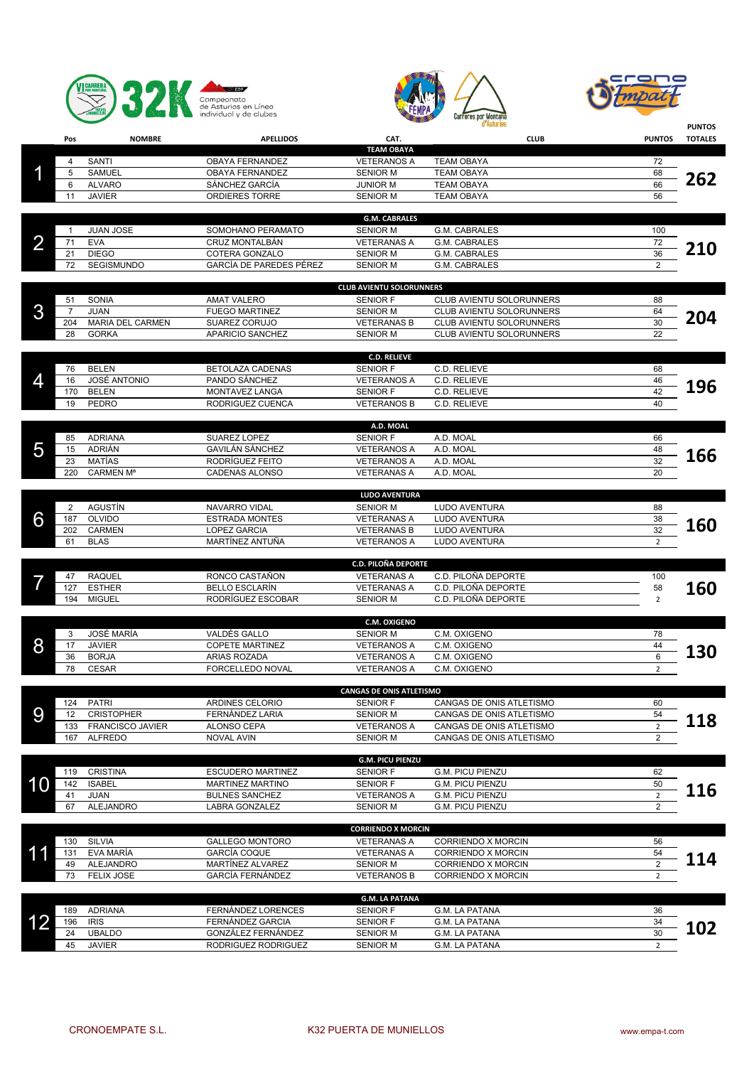





|                         |                |                                    |                                                |                                         | d'Asturies                                           |                                  | <b>PUNTOS</b>  |
|-------------------------|----------------|------------------------------------|------------------------------------------------|-----------------------------------------|------------------------------------------------------|----------------------------------|----------------|
|                         | Pos            | <b>NOMBRE</b>                      | <b>APELLIDOS</b>                               | CAT.                                    | <b>CLUB</b>                                          | <b>PUNTOS</b>                    | <b>TOTALES</b> |
|                         |                |                                    |                                                | <b>TEAM OBAYA</b>                       |                                                      |                                  |                |
|                         | 4<br>5         | SANTI<br>SAMUEL                    | OBAYA FERNANDEZ<br>OBAYA FERNANDEZ             | <b>VETERANOS A</b><br><b>SENIOR M</b>   | <b>TEAM OBAYA</b><br><b>TEAM OBAYA</b>               | 72<br>68                         |                |
|                         | 6              | <b>ALVARO</b>                      | SÁNCHEZ GARCÍA                                 | <b>JUNIOR M</b>                         | <b>TEAM OBAYA</b>                                    | 66                               | 262            |
|                         | 11             | <b>JAVIER</b>                      | <b>ORDIERES TORRE</b>                          | <b>SENIOR M</b>                         | <b>TEAM OBAYA</b>                                    | 56                               |                |
|                         |                |                                    |                                                |                                         |                                                      |                                  |                |
|                         | $\overline{1}$ | <b>JUAN JOSE</b>                   | SOMOHANO PERAMATO                              | <b>G.M. CABRALES</b><br><b>SENIOR M</b> | G.M. CABRALES                                        | 100                              |                |
| $\overline{\mathbf{2}}$ | 71             | <b>EVA</b>                         | CRUZ MONTALBÁN                                 | <b>VETERANAS A</b>                      | G.M. CABRALES                                        | 72                               |                |
|                         | 21             | <b>DIEGO</b>                       | COTERA GONZALO                                 | <b>SENIOR M</b>                         | G.M. CABRALES                                        | 36                               | <b>210</b>     |
|                         | 72             | SEGISMUNDO                         | GARCÍA DE PAREDES PÉREZ                        | <b>SENIOR M</b>                         | <b>G.M. CABRALES</b>                                 | $\overline{2}$                   |                |
|                         |                |                                    |                                                | <b>CLUB AVIENTU SOLORUNNERS</b>         |                                                      |                                  |                |
|                         | 51             | SONIA                              | <b>AMAT VALERO</b>                             | <b>SENIOR F</b>                         | CLUB AVIENTU SOLORUNNERS                             | 88                               |                |
| 3                       | $\overline{7}$ | <b>JUAN</b>                        | <b>FUEGO MARTINEZ</b>                          | <b>SENIOR M</b>                         | CLUB AVIENTU SOLORUNNERS                             | 64                               |                |
|                         | 204            | <b>MARIA DEL CARMEN</b>            | SUAREZ CORUJO                                  | <b>VETERANAS B</b>                      | CLUB AVIENTU SOLORUNNERS                             | 30                               | 204            |
|                         | 28             | <b>GORKA</b>                       | APARICIO SANCHEZ                               | <b>SENIOR M</b>                         | CLUB AVIENTU SOLORUNNERS                             | 22                               |                |
|                         |                |                                    |                                                | <b>C.D. RELIEVE</b>                     |                                                      |                                  |                |
|                         | 76             | <b>BELEN</b>                       | BETOLAZA CADENAS                               | <b>SENIOR F</b>                         | C.D. RELIEVE                                         | 68                               |                |
| 4                       | 16             | <b>JOSÉ ANTONIO</b>                | PANDO SÁNCHEZ                                  | <b>VETERANOS A</b>                      | C.D. RELIEVE                                         | 46                               | 196            |
|                         | 170            | <b>BELEN</b>                       | MONTAVEZ LANGA                                 | <b>SENIOR F</b>                         | C.D. RELIEVE                                         | 42                               |                |
|                         | 19             | PEDRO                              | RODRIGUEZ CUENCA                               | <b>VETERANOS B</b>                      | C.D. RELIEVE                                         | 40                               |                |
|                         |                |                                    |                                                | A.D. MOAL                               |                                                      |                                  |                |
|                         | 85             | <b>ADRIANA</b>                     | SUAREZ LOPEZ                                   | <b>SENIOR F</b>                         | A.D. MOAL                                            | 66                               |                |
| 5                       | 15             | ADRIÁN                             | <b>GAVILÁN SÁNCHEZ</b>                         | <b>VETERANOS A</b>                      | A.D. MOAL                                            | 48                               | 166            |
|                         | 23             | <b>MATÍAS</b>                      | RODRÍGUEZ FEITO                                | <b>VETERANOS A</b>                      | A.D. MOAL                                            | 32                               |                |
|                         | 220            | <b>CARMEN Ma</b>                   | <b>CADENAS ALONSO</b>                          | <b>VETERANAS A</b>                      | A.D. MOAL                                            | 20                               |                |
|                         |                |                                    |                                                | <b>LUDO AVENTURA</b>                    |                                                      |                                  |                |
|                         | 2              | AGUSTÍN                            | NAVARRO VIDAL                                  | <b>SENIOR M</b>                         | LUDO AVENTURA                                        | 88                               |                |
| 6                       | 187            | <b>OLVIDO</b>                      | <b>ESTRADA MONTES</b>                          | <b>VETERANAS A</b>                      | LUDO AVENTURA                                        | 38                               | 160            |
|                         | 202            | <b>CARMEN</b>                      | <b>LOPEZ GARCIA</b>                            | <b>VETERANAS B</b>                      | LUDO AVENTURA                                        | 32                               |                |
|                         | 61             | <b>BLAS</b>                        | MARTÍNEZ ANTUÑA                                | <b>VETERANOS A</b>                      | LUDO AVENTURA                                        | $\overline{2}$                   |                |
|                         |                |                                    |                                                | <b>C.D. PILOÑA DEPORTE</b>              |                                                      |                                  |                |
|                         | 47             | <b>RAQUEL</b>                      | RONCO CASTAÑON                                 | <b>VETERANAS A</b>                      | C.D. PILOÑA DEPORTE                                  | 100                              |                |
|                         | 127            | <b>ESTHER</b>                      | <b>BELLO ESCLARÍN</b>                          | <b>VETERANAS A</b>                      | C.D. PILOÑA DEPORTE                                  | 58                               | 160            |
|                         | 194            | <b>MIGUEL</b>                      | RODRÍGUEZ ESCOBAR                              | <b>SENIOR M</b>                         | C.D. PILOÑA DEPORTE                                  | $\overline{2}$                   |                |
|                         |                |                                    |                                                | <b>C.M. OXIGENO</b>                     |                                                      |                                  |                |
|                         | 3              | <b>JOSÉ MARÍA</b>                  | VALDÉS GALLO                                   | <b>SENIOR M</b>                         | C.M. OXIGENO                                         | 78                               |                |
| 8                       | 17             | JAVIER                             | <b>COPETE MARTINEZ</b>                         | <b>VETERANOS A</b>                      | C.M. OXIGENO                                         | 44                               | 130            |
|                         | 36             | <b>BORJA</b>                       | ARIAS ROZADA                                   | <b>VETERANOS A</b>                      | C.M. OXIGENO                                         | 6                                |                |
|                         | 78             | <b>CESAR</b>                       | FORCELLEDO NOVAL                               | <b>VETERANOS A</b>                      | C.M. OXIGENO                                         | $\overline{2}$                   |                |
|                         |                |                                    |                                                | <b>CANGAS DE ONIS ATLETISMO</b>         |                                                      |                                  |                |
|                         | 124            | PATRI                              | ARDINES CELORIO                                | <b>SENIOR F</b>                         | CANGAS DE ONIS ATLETISMO                             | 60                               |                |
| 9                       | 12             | <b>CRISTOPHER</b>                  | FERNÁNDEZ LARIA                                | <b>SENIOR M</b>                         | CANGAS DE ONIS ATLETISMO                             | 54                               | 118            |
|                         | 133<br>167     | FRANCISCO JAVIER<br><b>ALFREDO</b> | ALONSO CEPA<br><b>NOVAL AVIN</b>               | <b>VETERANOS A</b><br><b>SENIOR M</b>   | CANGAS DE ONIS ATLETISMO<br>CANGAS DE ONIS ATLETISMO | $\overline{2}$<br>$\overline{2}$ |                |
|                         |                |                                    |                                                |                                         |                                                      |                                  |                |
|                         |                |                                    |                                                | <b>G.M. PICU PIENZU</b>                 |                                                      |                                  |                |
|                         | 119            | <b>CRISTINA</b>                    | <b>ESCUDERO MARTINEZ</b>                       | <b>SENIOR F</b>                         | <b>G.M. PICU PIENZU</b>                              | 62                               |                |
| 10                      | 142            | <b>ISABEL</b>                      | <b>MARTINEZ MARTINO</b>                        | <b>SENIOR F</b>                         | <b>G.M. PICU PIENZU</b><br><b>G.M. PICU PIENZU</b>   | 50                               | 116            |
|                         | 41<br>67       | JUAN<br>ALEJANDRO                  | <b>BULNES SANCHEZ</b><br><b>LABRA GONZALEZ</b> | <b>VETERANOS A</b><br><b>SENIOR M</b>   | G.M. PICU PIENZU                                     | $\overline{2}$<br>$\overline{2}$ |                |
|                         |                |                                    |                                                |                                         |                                                      |                                  |                |
|                         |                |                                    |                                                | <b>CORRIENDO X MORCIN</b>               |                                                      |                                  |                |
|                         | 130            | SILVIA                             | <b>GALLEGO MONTORO</b>                         | <b>VETERANAS A</b>                      | <b>CORRIENDO X MORCIN</b>                            | 56                               |                |
| 11                      | 131            | EVA MARÍA                          | <b>GARCÍA COQUE</b>                            | <b>VETERANAS A</b>                      | <b>CORRIENDO X MORCIN</b>                            | 54<br>$\overline{2}$             | 114            |
|                         | 49<br>73       | ALEJANDRO<br><b>FELIX JOSE</b>     | MARTÍNEZ ALVAREZ<br>GARCÍA FERNÁNDEZ           | <b>SENIOR M</b><br><b>VETERANOS B</b>   | CORRIENDO X MORCIN<br>CORRIENDO X MORCIN             | $\overline{2}$                   |                |
|                         |                |                                    |                                                |                                         |                                                      |                                  |                |
|                         |                |                                    |                                                | <b>G.M. LA PATANA</b>                   |                                                      |                                  |                |
|                         | 189            | <b>ADRIANA</b>                     | FERNÁNDEZ LORENCES                             | <b>SENIOR F</b>                         | G.M. LA PATANA                                       | 36                               |                |
|                         | 196<br>24      | <b>IRIS</b><br><b>UBALDO</b>       | FERNÁNDEZ GARCIA<br>GONZÁLEZ FERNÁNDEZ         | <b>SENIOR F</b>                         | G.M. LA PATANA                                       | 34<br>30                         | 102            |
|                         |                |                                    |                                                | <b>SENIOR M</b>                         | G.M. LA PATANA                                       |                                  |                |

JAVIER RODRIGUEZ RODRIGUEZ SENIOR M G.M. LA PATANA 2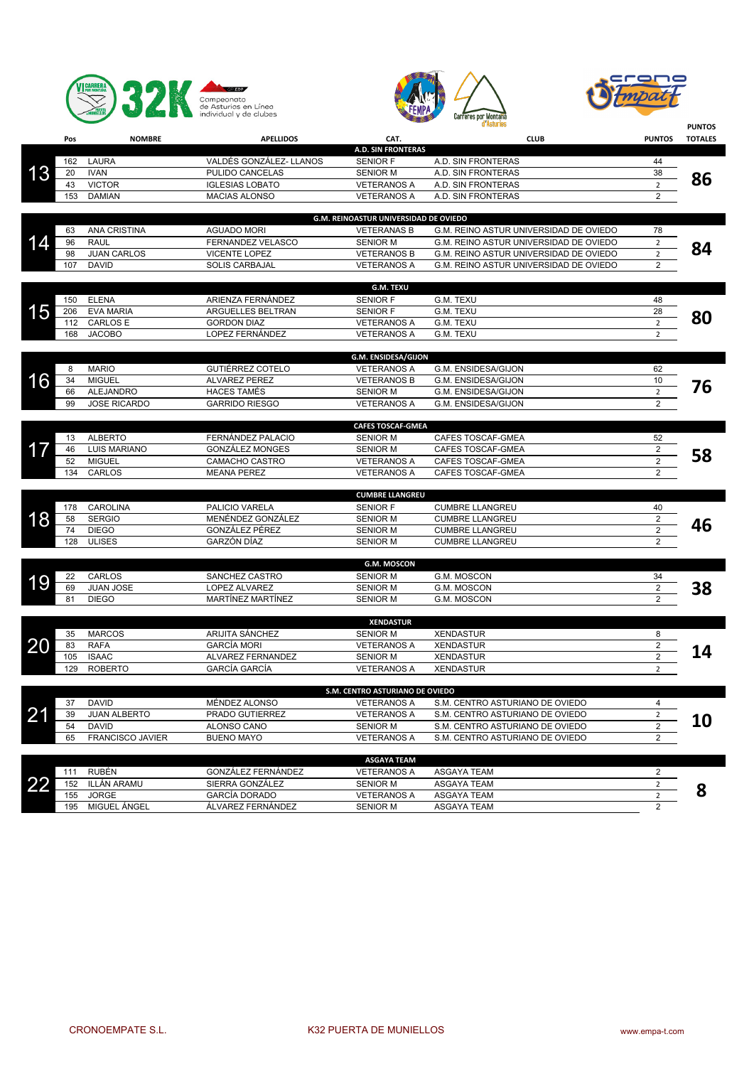





|           |     |                     |                         |                                       | d Asturies                             |                         | <b>PUNTOS</b>  |
|-----------|-----|---------------------|-------------------------|---------------------------------------|----------------------------------------|-------------------------|----------------|
|           | Pos | <b>NOMBRE</b>       | <b>APELLIDOS</b>        | CAT.                                  | <b>CLUB</b>                            | <b>PUNTOS</b>           | <b>TOTALES</b> |
|           |     |                     |                         | <b>A.D. SIN FRONTERAS</b>             |                                        |                         |                |
|           | 162 | LAURA               | VALDÉS GONZÁLEZ- LLANOS | <b>SENIOR F</b>                       | A.D. SIN FRONTERAS                     | 44                      |                |
| 13        | 20  | <b>IVAN</b>         | PULIDO CANCELAS         | <b>SENIOR M</b>                       | A.D. SIN FRONTERAS                     | 38                      | 86             |
|           | 43  | <b>VICTOR</b>       | <b>IGLESIAS LOBATO</b>  | <b>VETERANOS A</b>                    | A.D. SIN FRONTERAS                     | $\overline{2}$          |                |
|           | 153 | <b>DAMIAN</b>       | <b>MACIAS ALONSO</b>    | <b>VETERANOS A</b>                    | A.D. SIN FRONTERAS                     | $\overline{2}$          |                |
|           |     |                     |                         | G.M. REINOASTUR UNIVERSIDAD DE OVIEDO |                                        |                         |                |
|           | 63  | <b>ANA CRISTINA</b> | <b>AGUADO MORI</b>      | <b>VETERANAS B</b>                    | G.M. REINO ASTUR UNIVERSIDAD DE OVIEDO | 78                      |                |
| 14        | 96  | <b>RAUL</b>         | FERNANDEZ VELASCO       | <b>SENIOR M</b>                       | G.M. REINO ASTUR UNIVERSIDAD DE OVIEDO | $\overline{2}$          |                |
|           | 98  | <b>JUAN CARLOS</b>  | <b>VICENTE LOPEZ</b>    | <b>VETERANOS B</b>                    | G.M. REINO ASTUR UNIVERSIDAD DE OVIEDO | $\overline{2}$          | 84             |
|           | 107 | <b>DAVID</b>        | <b>SOLIS CARBAJAL</b>   | <b>VETERANOS A</b>                    | G.M. REINO ASTUR UNIVERSIDAD DE OVIEDO | 2                       |                |
|           |     |                     |                         |                                       |                                        |                         |                |
|           |     |                     |                         | <b>G.M. TEXU</b>                      |                                        |                         |                |
|           | 150 | <b>ELENA</b>        | ARIENZA FERNÁNDEZ       | <b>SENIOR F</b>                       | G.M. TEXU                              | 48                      |                |
| 15        | 206 | <b>EVA MARIA</b>    | ARGUELLES BELTRAN       | <b>SENIOR F</b>                       | G.M. TEXU                              | 28                      |                |
|           | 112 | <b>CARLOS E</b>     | <b>GORDON DIAZ</b>      | <b>VETERANOS A</b>                    | G.M. TEXU                              | $\overline{2}$          | 80             |
|           | 168 | <b>JACOBO</b>       | LOPEZ FERNÁNDEZ         | <b>VETERANOS A</b>                    | G.M. TEXU                              | $\overline{2}$          |                |
|           |     |                     |                         |                                       |                                        |                         |                |
|           |     |                     |                         | G.M. ENSIDESA/GIJON                   |                                        |                         |                |
|           | 8   | <b>MARIO</b>        | GUTIÉRREZ COTELO        | <b>VETERANOS A</b>                    | G.M. ENSIDESA/GIJON                    | 62                      |                |
| 16        | 34  | <b>MIGUEL</b>       | <b>ALVAREZ PEREZ</b>    | <b>VETERANOS B</b>                    | G.M. ENSIDESA/GIJON                    | 10                      | 76             |
|           | 66  | <b>ALEJANDRO</b>    | <b>HACES TAMÉS</b>      | <b>SENIOR M</b>                       | G.M. ENSIDESA/GIJON                    | $\overline{2}$          |                |
|           | 99  | <b>JOSE RICARDO</b> | <b>GARRIDO RIESGO</b>   | <b>VETERANOS A</b>                    | G.M. ENSIDESA/GIJON                    | $\overline{\mathbf{c}}$ |                |
|           |     |                     |                         | <b>CAFES TOSCAF-GMEA</b>              |                                        |                         |                |
|           | 13  | <b>ALBERTO</b>      | FERNÁNDEZ PALACIO       | <b>SENIOR M</b>                       | CAFES TOSCAF-GMEA                      | 52                      |                |
| 17        | 46  | <b>LUIS MARIANO</b> | <b>GONZÁLEZ MONGES</b>  | <b>SENIOR M</b>                       | CAFES TOSCAF-GMEA                      | $\overline{\mathbf{c}}$ |                |
|           | 52  | <b>MIGUEL</b>       | CAMACHO CASTRO          | <b>VETERANOS A</b>                    | CAFES TOSCAF-GMEA                      | $\overline{2}$          | 58             |
|           | 134 | CARLOS              | <b>MEANA PEREZ</b>      | <b>VETERANOS A</b>                    | CAFES TOSCAF-GMEA                      | $\overline{\mathbf{c}}$ |                |
|           |     |                     |                         |                                       |                                        |                         |                |
|           |     |                     |                         | <b>CUMBRE LLANGREU</b>                |                                        |                         |                |
|           | 178 | CAROLINA            | PALICIO VARELA          | <b>SENIOR F</b>                       | <b>CUMBRE LLANGREU</b>                 | 40                      |                |
| 18        | 58  | <b>SERGIO</b>       | MENÉNDEZ GONZÁLEZ       | <b>SENIOR M</b>                       | <b>CUMBRE LLANGREU</b>                 | $\overline{\mathbf{c}}$ | 46             |
|           | 74  | <b>DIEGO</b>        | GONZÁLEZ PÉREZ          | <b>SENIOR M</b>                       | <b>CUMBRE LLANGREU</b>                 | $\overline{2}$          |                |
|           | 128 | <b>ULISES</b>       | GARZÓN DÍAZ             | <b>SENIOR M</b>                       | <b>CUMBRE LLANGREU</b>                 | $\overline{c}$          |                |
|           |     |                     |                         |                                       |                                        |                         |                |
|           |     |                     |                         | <b>G.M. MOSCON</b>                    |                                        |                         |                |
| 19        | 22  | CARLOS              | SANCHEZ CASTRO          | <b>SENIOR M</b>                       | G.M. MOSCON                            | 34                      |                |
|           | 69  | <b>JUAN JOSE</b>    | LOPEZ ALVAREZ           | <b>SENIOR M</b>                       | G.M. MOSCON                            | 2                       | 38             |
|           | 81  | <b>DIEGO</b>        | MARTÍNEZ MARTÍNEZ       | <b>SENIOR M</b>                       | G.M. MOSCON                            | 2                       |                |
|           |     |                     |                         | <b>XENDASTUR</b>                      |                                        |                         |                |
|           | 35  | <b>MARCOS</b>       | ARIJITA SÁNCHEZ         | <b>SENIOR M</b>                       | <b>XENDASTUR</b>                       | 8                       |                |
| 20        | 83  | <b>RAFA</b>         | <b>GARCÍA MORI</b>      | <b>VETERANOS A</b>                    | <b>XENDASTUR</b>                       | $\overline{c}$          |                |
|           | 105 | <b>ISAAC</b>        | ALVAREZ FERNANDEZ       | <b>SENIOR M</b>                       | <b>XENDASTUR</b>                       | $\overline{2}$          | 14             |
|           | 129 | <b>ROBERTO</b>      | <b>GARCÍA GARCÍA</b>    | <b>VETERANOS A</b>                    | <b>XENDASTUR</b>                       | $\overline{2}$          |                |
|           |     |                     |                         |                                       |                                        |                         |                |
|           |     |                     |                         | S.M. CENTRO ASTURIANO DE OVIEDO       |                                        |                         |                |
|           | 37  | <b>DAVID</b>        | MÉNDEZ ALONSO           | <b>VETERANOS A</b>                    | S.M. CENTRO ASTURIANO DE OVIEDO        | 4                       |                |
| 21        | 39  | <b>JUAN ALBERTO</b> | PRADO GUTIERREZ         | <b>VETERANOS A</b>                    | S.M. CENTRO ASTURIANO DE OVIEDO        | $\overline{2}$          |                |
|           | 54  | <b>DAVID</b>        | ALONSO CANO             | <b>SENIOR M</b>                       | S.M. CENTRO ASTURIANO DE OVIEDO        | $\overline{\mathbf{c}}$ | <b>10</b>      |
|           | 65  | FRANCISCO JAVIER    | <b>BUENO MAYO</b>       | <b>VETERANOS A</b>                    | S.M. CENTRO ASTURIANO DE OVIEDO        | $\overline{\mathbf{c}}$ |                |
|           |     |                     |                         |                                       |                                        |                         |                |
|           |     |                     |                         | <b>ASGAYA TEAM</b>                    |                                        |                         |                |
|           | 111 | <b>RUBÉN</b>        | GONZÁLEZ FERNÁNDEZ      | <b>VETERANOS A</b>                    | <b>ASGAYA TEAM</b>                     | $\overline{2}$          |                |
| <u>22</u> | 152 | ILLÁN ARAMU         | SIERRA GONZÁLEZ         | <b>SENIOR M</b>                       | <b>ASGAYA TEAM</b>                     | $\overline{2}$          | 8              |
|           | 155 | <b>JORGE</b>        | GARCÍA DORADO           | <b>VETERANOS A</b>                    | ASGAYA TEAM                            | $\overline{2}$          |                |
|           | 195 | MIGUEL ÁNGEL        | ÁLVAREZ FERNÁNDEZ       | <b>SENIOR M</b>                       | ASGAYA TEAM                            | $\overline{2}$          |                |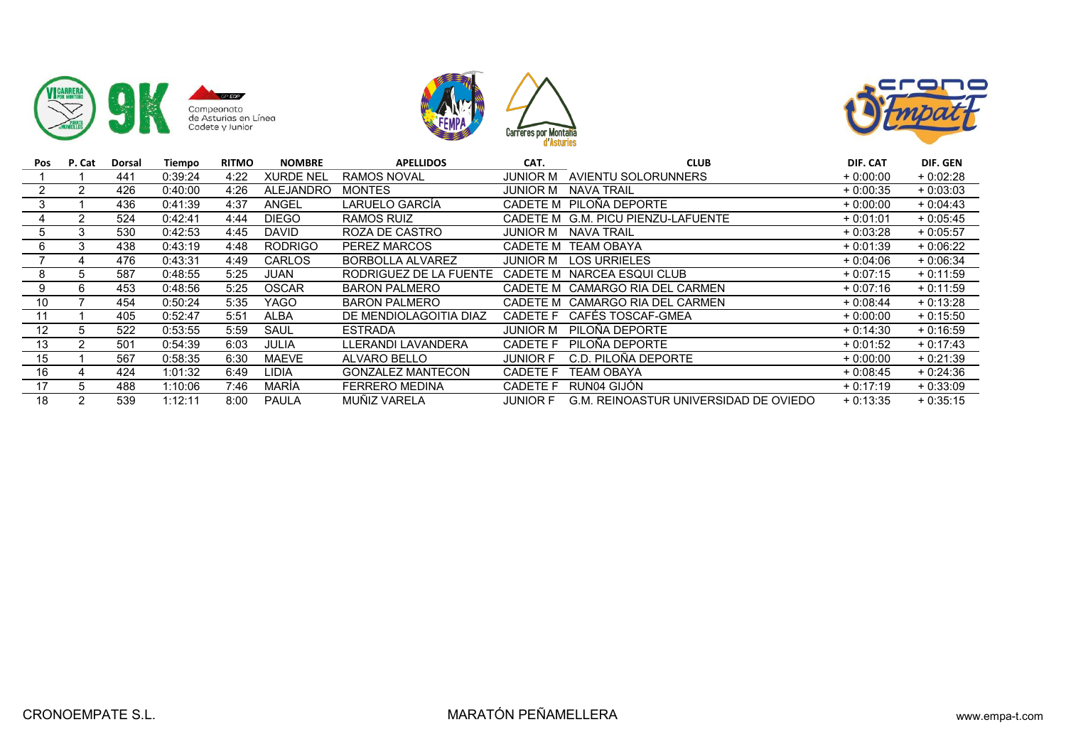





| Pos | P. Cat | Dorsal | Tiempo  | <b>RITMO</b> | <b>NOMBRE</b>    | <b>APELLIDOS</b>         | CAT.            | <b>CLUB</b>                           | DIF. CAT   | DIF. GEN   |
|-----|--------|--------|---------|--------------|------------------|--------------------------|-----------------|---------------------------------------|------------|------------|
|     |        | 441    | 0:39:24 | 4:22         | <b>XURDE NEL</b> | <b>RAMOS NOVAL</b>       | JUNIOR M        | AVIENTU SOLORUNNERS                   | $+0:00:00$ | $+0:02:28$ |
|     |        | 426    | 0:40:00 | 4:26         | <b>ALEJANDRO</b> | <b>MONTES</b>            | JUNIOR M        | NAVA TRAIL                            | $+0:00:35$ | $+0:03:03$ |
|     |        | 436    | 0:41:39 | 4:37         | <b>ANGEL</b>     | LARUELO GARCÍA           | CADETE M        | PILOÑA DEPORTE                        | $+0:00:00$ | $+0:04:43$ |
|     |        | 524    | 0:42:41 | 4:44         | <b>DIEGO</b>     | <b>RAMOS RUIZ</b>        |                 | CADETE M G.M. PICU PIENZU-LAFUENTE    | $+0:01:01$ | $+0.05:45$ |
| 5   | 3      | 530    | 0:42:53 | 4:45         | <b>DAVID</b>     | ROZA DE CASTRO           | JUNIOR M        | NAVA TRAIL                            | $+0:03:28$ | $+0:05:57$ |
| 6   |        | 438    | 0:43:19 | 4:48         | <b>RODRIGO</b>   | PEREZ MARCOS             | CADETE M        | TEAM OBAYA                            | $+0:01:39$ | $+0.06:22$ |
|     | 4      | 476    | 0:43:31 | 4:49         | <b>CARLOS</b>    | <b>BORBOLLA ALVAREZ</b>  | JUNIOR M        | <b>LOS URRIELES</b>                   | $+0.04:06$ | $+0:06:34$ |
| 8   | 5      | 587    | 0:48:55 | 5:25         | <b>JUAN</b>      | RODRIGUEZ DE LA FUENTE   | CADETE M        | NARCEA ESQUI CLUB                     | $+0:07:15$ | $+0:11:59$ |
| 9   | 6      | 453    | 0:48:56 | 5:25         | <b>OSCAR</b>     | <b>BARON PALMERO</b>     |                 | CADETE M CAMARGO RIA DEL CARMEN       | $+0:07:16$ | $+0:11:59$ |
| 10  |        | 454    | 0:50:24 | 5:35         | <b>YAGO</b>      | BARON PALMERO            | CADETE M        | CAMARGO RIA DEL CARMEN                | $+0:08:44$ | $+0:13:28$ |
| 11  |        | 405    | 0:52:47 | 5:51         | ALBA             | DE MENDIOLAGOITIA DIAZ   | CADETE F        | CAFÉS TOSCAF-GMEA                     | $+0:00:00$ | $+0:15:50$ |
| 12  |        | 522    | 0:53:55 | 5:59         | SAUL             | <b>ESTRADA</b>           | JUNIOR M        | PILOÑA DEPORTE                        | $+0:14:30$ | $+0:16:59$ |
| 13  |        | 501    | 0:54:39 | 6:03         | JULIA            | LLERANDI LAVANDERA       | <b>CADETE F</b> | PILOÑA DEPORTE                        | $+0:01:52$ | $+0:17:43$ |
| 15  |        | 567    | 0:58:35 | 6:30         | MAEVE            | ALVARO BELLO             | <b>JUNIOR F</b> | C.D. PILOÑA DEPORTE                   | $+0:00:00$ | $+0:21:39$ |
| 16  |        | 424    | 1:01:32 | 6:49         | <b>LIDIA</b>     | <b>GONZALEZ MANTECON</b> | CADETE F        | <b>TEAM OBAYA</b>                     | $+0:08:45$ | + 0:24:36  |
| 17  |        | 488    | 1:10:06 | 7:46         | MARÍA            | <b>FERRERO MEDINA</b>    | <b>CADETE F</b> | RUN04 GIJÓN                           | $+0:17:19$ | $+0.33:09$ |
| 18  |        | 539    | 1:12:11 | 8:00         | <b>PAULA</b>     | MUÑIZ VARELA             | <b>JUNIOR F</b> | G.M. REINOASTUR UNIVERSIDAD DE OVIEDO | $+0:13:35$ | $+0:35:15$ |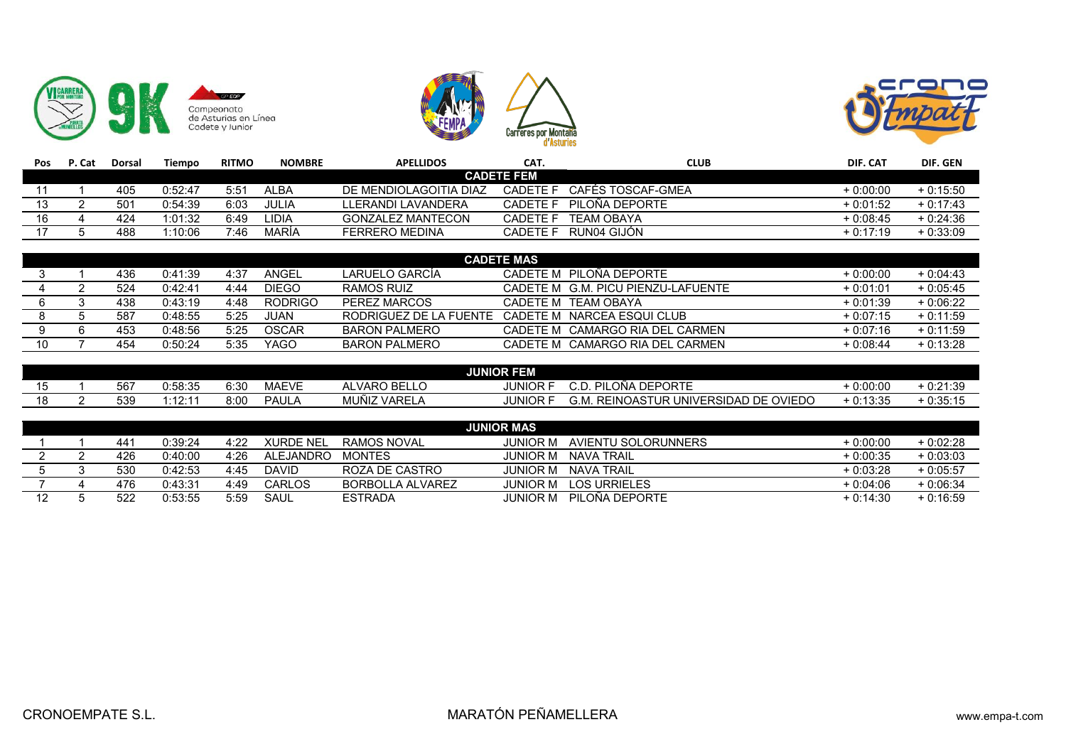





| <b>Pos</b> | P. Cat | Dorsal          | Tiempo  | <b>RITMO</b> | <b>NOMBRE</b> | <b>APELLIDOS</b>         | CAT.              | <b>CLUB</b>       | DIF. CAT   | DIF. GEN   |
|------------|--------|-----------------|---------|--------------|---------------|--------------------------|-------------------|-------------------|------------|------------|
|            |        |                 |         |              |               |                          | <b>CADETE FEM</b> |                   |            |            |
|            |        | 405             | 0:52:47 | 5:51         | ALBA          | DE MENDIOLAGOITIA DIAZ   | CADETE F          | CAFÉS TOSCAF-GMEA | $+0:00:00$ | $+0:15:50$ |
| 13         |        | 50 <sup>4</sup> | 0:54:39 | 6:03         | JULIA         | LLERANDI LAVANDERA       | <b>CADETE F</b>   | PILOÑA DEPORTE    | $+0:01:52$ | $+0:17:43$ |
| 16         |        | 424             | 1:01:32 | 6:49         | LIDIA         | <b>GONZALEZ MANTECON</b> | CADETE F          | TEAM OBAYA        | $+0:08:45$ | $+0:24:36$ |
|            |        | 488             | 1:10:06 | 7:46         | MARÍA         | FERRERO MEDINA           | CADETE F          | RUN04 GIJÓN       | $+0:17:19$ | $+0:33:09$ |

|    | <b>CADETE MAS</b> |     |         |      |                |                          |                                    |            |            |  |  |  |
|----|-------------------|-----|---------|------|----------------|--------------------------|------------------------------------|------------|------------|--|--|--|
|    |                   | 436 | 0:41:39 | 4:37 | ANGEL          | LARUELO GARCÍA           | CADETE M PILOÑA DEPORTE            | $+0:00:00$ | $+0:04:43$ |  |  |  |
|    |                   | 524 | 0:42:41 | 4:44 | <b>DIEGO</b>   | RAMOS RUIZ               | CADETE M G.M. PICU PIENZU-LAFUENTE | $+0:01:01$ | $+0:05:45$ |  |  |  |
|    |                   | 438 | 0:43:19 | 4:48 | <b>RODRIGO</b> | PEREZ MARCOS             | CADETE M TEAM OBAYA                | $+0:01:39$ | $+0:06:22$ |  |  |  |
|    |                   | 587 | 0:48:55 | 5:25 | JUAN           | RODRIGUEZ DE LA FUENTE ( | CADETE M NARCEA ESQUI CLUB         | $+0:07:15$ | $+0:11:59$ |  |  |  |
|    |                   | 453 | 0:48:56 | 5:25 | <b>OSCAR</b>   | BARON PALMERO            | CADETE M CAMARGO RIA DEL CARMEN    | $+0:07:16$ | $+0:11:59$ |  |  |  |
| 10 |                   | 454 | 0:50:24 | 5:35 | <b>YAGO</b>    | BARON PALMERO            | CADETE M CAMARGO RIA DEL CARMEN    | $+0:08:44$ | $+0:13:28$ |  |  |  |

|  |     |         |      |              |                               | <b>JUNIOR FEM</b> |                                                                                            |                                  |                  |
|--|-----|---------|------|--------------|-------------------------------|-------------------|--------------------------------------------------------------------------------------------|----------------------------------|------------------|
|  | 567 | 0:58:35 | 6:30 | <b>MAEVE</b> | <b>BELLO</b><br><b>ALVARO</b> | <b>JUNIOR</b>     | <b>PILOÑA</b><br><b>DEPORTE</b><br>-<br>ו∟ש ו<br>ر.                                        | 0:00:00                          | 0.24.<br>0:21:39 |
|  | 539 | .40.44  | 8:00 | PAUL,        | <b>MUÑIZ VAREL</b>            | <b>JUNIOR</b>     | ⊥INOAST′<br>DE.<br><b>OVIEDO</b><br><b>UNIVERSIDAD</b><br><b>REI</b><br>G.M.<br>. ∟۳<br>பட | 0.49.95<br>・・・・・・・<br>. u. 13.35 | $-0.35:15$       |

|    |     |         |      |              |                  | <b>JUNIOR MAS</b> |                     |            |            |
|----|-----|---------|------|--------------|------------------|-------------------|---------------------|------------|------------|
|    | 441 | 0:39:24 | 4:22 | XURDE NEL    | RAMOS NOVAL      | JUNIOR M          | AVIENTU SOLORUNNERS | $+0:00:00$ | $+0:02:28$ |
|    | 426 | 0:40:00 | 4:26 | ALEJANDRO    | <b>MONTES</b>    | JUNIOR M          | NAVA TRAIL          | $+0:00:35$ | $+0:03:03$ |
|    | 530 | 0:42:53 | 4:45 | <b>DAVID</b> | ROZA DE CASTRO   | iunior m          | NAVA TRAIL          | $+0:03:28$ | $+0:05:57$ |
|    | 476 | 0:43:31 | 4:49 | CARLOS       | BORBOLLA ALVAREZ | JUNIOR M          | <b>LOS URRIELES</b> | $+0:04:06$ | $+0:06:34$ |
| 12 | 522 | 0:53:55 | 5:59 | SAUL         | <b>ESTRADA</b>   | IUNIOR M          | PILOÑA DEPORTE      | $+0:14:30$ | $+0:16:59$ |